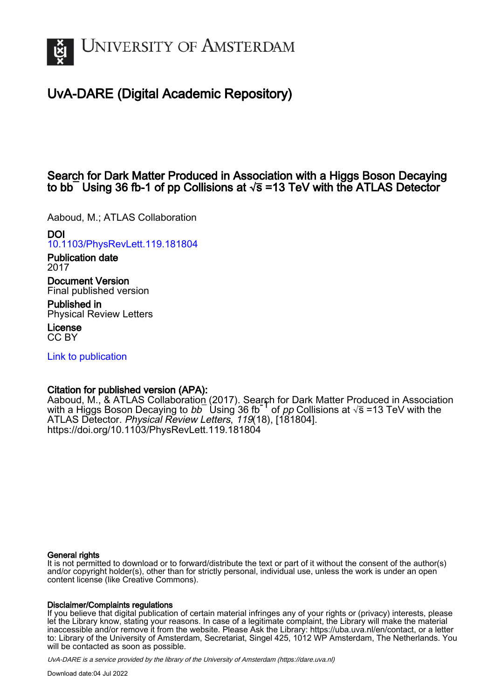

# UvA-DARE (Digital Academic Repository)

## Search for Dark Matter Produced in Association with a Higgs Boson Decaying to bb<sup> $-$ </sup> Using 36 fb-1 of pp Collisions at  $\sqrt{s}$  =13 TeV with the ATLAS Detector

Aaboud, M.; ATLAS Collaboration

## DOI

[10.1103/PhysRevLett.119.181804](https://doi.org/10.1103/PhysRevLett.119.181804)

Publication date 2017

Document Version Final published version

Published in Physical Review Letters

License CC BY

[Link to publication](https://dare.uva.nl/personal/pure/en/publications/search-for-dark-matter-produced-in-association-with-a-higgs-boson-decaying-tobbusing-36-fb1-of-pp-collisions-at-s-13-tev-with-the-atlas-detector(d801afa0-d03f-41c3-bce5-8baf99efe0cc).html)

## Citation for published version (APA):

Aaboud, M., & ATLAS Collaboratio<u>n</u> (2017). Search for Dark Matter Produced in Association<br>with a Higgs Boson Decaying to *bb*  $\,$  Using 36 fb  $\,$  of *pp* Collisions at √s =13 TeV with the ATLAS Detector. Physical Review Letters, 119(18), [181804]. <https://doi.org/10.1103/PhysRevLett.119.181804>

#### General rights

It is not permitted to download or to forward/distribute the text or part of it without the consent of the author(s) and/or copyright holder(s), other than for strictly personal, individual use, unless the work is under an open content license (like Creative Commons).

#### Disclaimer/Complaints regulations

If you believe that digital publication of certain material infringes any of your rights or (privacy) interests, please let the Library know, stating your reasons. In case of a legitimate complaint, the Library will make the material inaccessible and/or remove it from the website. Please Ask the Library: https://uba.uva.nl/en/contact, or a letter to: Library of the University of Amsterdam, Secretariat, Singel 425, 1012 WP Amsterdam, The Netherlands. You will be contacted as soon as possible.

UvA-DARE is a service provided by the library of the University of Amsterdam (http*s*://dare.uva.nl)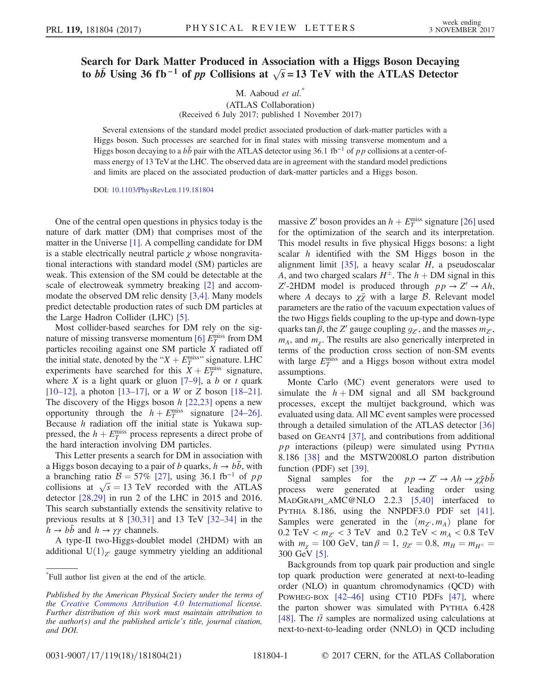#### Search for Dark Matter Produced in Association with a Higgs Boson Decaying to  $b\bar{b}$  Using 36 fb<sup>-1</sup> of pp Collisions at  $\sqrt{s}$  = 13 TeV with the ATLAS Detector

M. Aaboud et al.<sup>\*</sup> (ATLAS Collaboration) (Received 6 July 2017; published 1 November 2017)

Several extensions of the standard model predict associated production of dark-matter particles with a Higgs boson. Such processes are searched for in final states with missing transverse momentum and a Higgs boson decaying to a  $b\bar{b}$  pair with the ATLAS detector using 36.1 fb<sup>-1</sup> of pp collisions at a center-ofmass energy of 13 TeVat the LHC. The observed data are in agreement with the standard model predictions and limits are placed on the associated production of dark-matter particles and a Higgs boson.

DOI: [10.1103/PhysRevLett.119.181804](https://doi.org/10.1103/PhysRevLett.119.181804)

One of the central open questions in physics today is the nature of dark matter (DM) that comprises most of the matter in the Universe [\[1\].](#page-5-0) A compelling candidate for DM is a stable electrically neutral particle  $\gamma$  whose nongravitational interactions with standard model (SM) particles are weak. This extension of the SM could be detectable at the scale of electroweak symmetry breaking [\[2\]](#page-5-1) and accommodate the observed DM relic density [\[3,4\].](#page-5-2) Many models predict detectable production rates of such DM particles at the Large Hadron Collider (LHC) [\[5\].](#page-5-3)

Most collider-based searches for DM rely on the sig-nature of missing transverse momentum [\[6\]](#page-5-4)  $E_T^{\text{miss}}$  from DM<br>particles recoiling against one SM particle X radiated off particles recoiling against one SM particle X radiated off the initial state, denoted by the " $X + E_T^{\text{miss}}$ " signature. LHC<br>experiments, have, searched, for this  $X + E_T^{\text{miss}}$  signature. experiments have searched for this  $\overline{X} + E_T^{\text{miss}}$  signature,<br>where  $\overline{X}$  is a light quark or gluon [7–9] a h or t quark where X is a light quark or gluon  $[7-9]$  $[7-9]$ , a b or t quark  $[10-12]$  $[10-12]$ , a photon  $[13-17]$ , or a W or Z boson  $[18-21]$  $[18-21]$ . The discovery of the Higgs boson  $h$  [\[22,23\]](#page-6-4) opens a new opportunity through the  $h + E_T^{\text{miss}}$  signature [\[24](#page-6-5)–26].<br>Because *h* radiation off the initial state is Yukawa sun-Because  $h$  radiation off the initial state is Yukawa suppressed, the  $h + E_T^{\text{miss}}$  process represents a direct probe of the bard interaction involving DM particles the hard interaction involving DM particles.

This Letter presents a search for DM in association with a Higgs boson decaying to a pair of b quarks,  $h \rightarrow bb$ , with a branching ratio  $\mathcal{B} = 57\%$  [\[27\]](#page-6-6), using 36.1 fb<sup>-1</sup> of pp collisions at  $\sqrt{s} = 13$  TeV recorded with the ATLAS<br>detector [28.29] in run 2 of the LHC in 2015 and 2016 detector [\[28,29\]](#page-6-7) in run 2 of the LHC in 2015 and 2016. This search substantially extends the sensitivity relative to previous results at 8 [\[30,31\]](#page-6-8) and 13 TeV [32–[34\]](#page-6-9) in the  $h \to b\bar{b}$  and  $h \to \gamma\gamma$  channels.

A type-II two-Higgs-doublet model (2HDM) with an additional U(1) $Z$  gauge symmetry yielding an additional

massive Z' boson provides an  $h + E_T^{\text{miss}}$  signature [\[26\]](#page-6-10) used<br>for the optimization of the search and its interpretation for the optimization of the search and its interpretation. This model results in five physical Higgs bosons: a light scalar h identified with the SM Higgs boson in the alignment limit [\[35\],](#page-6-11) a heavy scalar  $H$ , a pseudoscalar A, and two charged scalars  $H^{\pm}$ . The  $h + DM$  signal in this  $Z'$ -2HDM model is produced through  $np \rightarrow Z' \rightarrow 4h$  $Z'$ -2HDM model is produced through  $pp \rightarrow Z' \rightarrow Ah$ ,<br>where A decays to  $\nu\bar{\nu}$  with a large B Relevant model where A decays to  $\chi \bar{\chi}$  with a large B. Relevant model parameters are the ratio of the vacuum expectation values of the two Higgs fields coupling to the up-type and down-type quarks tan  $\beta$ , the Z' gauge coupling  $g_{Z}$ , and the masses  $m_{Z}$ ,  $m_A$ , and  $m_\gamma$ . The results are also generically interpreted in terms of the production cross section of non-SM events with large  $E_T^{\text{miss}}$  and a Higgs boson without extra model<br>assumptions assumptions.

Monte Carlo (MC) event generators were used to simulate the  $h + DM$  signal and all SM background processes, except the multijet background, which was evaluated using data. All MC event samples were processed through a detailed simulation of the ATLAS detector [\[36\]](#page-6-12) based on GEANT4 [\[37\],](#page-6-13) and contributions from additional  $pp$  interactions (pileup) were simulated using PYTHIA 8.186 [\[38\]](#page-6-14) and the MSTW2008LO parton distribution function (PDF) set [\[39\]](#page-7-0).

Signal samples for the  $pp \rightarrow Z' \rightarrow Ah \rightarrow \chi \bar{\chi} bb$ process were generated at leading order using MADGRAPH\_AMC@NLO 2.2.3 [\[5,40\]](#page-5-3) interfaced to PYTHIA 8.186, using the NNPDF3.0 PDF set [\[41\]](#page-7-1). Samples were generated in the  $(m_{Z}, m_A)$  plane for 0.2 TeV  $< m_{Z'} < 3$  TeV and 0.2 TeV  $< m_A < 0.8$  TeV with  $m_{\chi} = 100 \text{ GeV}$ ,  $\tan \beta = 1$ ,  $g_{Z'} = 0.8$ ,  $m_H = m_{H^{\pm}} = 300 \text{ GeV}$  [5] 300 GeV [\[5\].](#page-5-3)

Backgrounds from top quark pair production and single top quark production were generated at next-to-leading order (NLO) in quantum chromodynamics (QCD) with POWHEG-BOX [42–[46\]](#page-7-2) using CT10 PDFs [\[47\]](#page-7-3), where the parton shower was simulated with PYTHIA 6.428 [\[48\]](#page-7-4). The  $t\bar{t}$  samples are normalized using calculations at next-to-next-to-leading order (NNLO) in QCD including

<sup>\*</sup> Full author list given at the end of the article.

Published by the American Physical Society under the terms of the [Creative Commons Attribution 4.0 International](https://creativecommons.org/licenses/by/4.0/) license. Further distribution of this work must maintain attribution to the author(s) and the published article's title, journal citation, and DOI.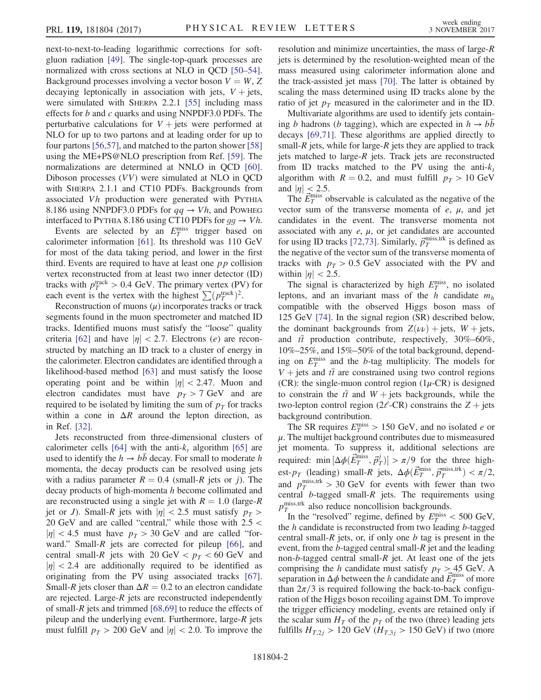next-to-next-to-leading logarithmic corrections for softgluon radiation [\[49\]](#page-7-5). The single-top-quark processes are normalized with cross sections at NLO in QCD [\[50](#page-7-6)–54]. Background processes involving a vector boson  $V = W, Z$ decaying leptonically in association with jets,  $V + j$  jets, were simulated with SHERPA 2.2.1 [\[55\]](#page-7-7) including mass effects for  $b$  and  $c$  quarks and using NNPDF3.0 PDFs. The perturbative calculations for  $V +$  jets were performed at NLO for up to two partons and at leading order for up to four partons [\[56,57\],](#page-7-8) and matched to the parton shower [\[58\]](#page-7-9) using the ME+PS@NLO prescription from Ref. [\[59\]](#page-7-10). The normalizations are determined at NNLO in QCD [\[60\]](#page-7-11). Diboson processes (VV) were simulated at NLO in QCD with SHERPA 2.1.1 and CT10 PDFs. Backgrounds from associated Vh production were generated with PYTHIA 8.186 using NNPDF3.0 PDFs for  $qq \rightarrow Vh$ , and POWHEG interfaced to PYTHIA 8.186 using CT10 PDFs for  $gg \rightarrow Vh$ .

Events are selected by an  $E_T^{\text{miss}}$  trigger based on lorimeter information [611] Its threshold was 110 GeV calorimeter information [\[61\]](#page-7-12). Its threshold was 110 GeV for most of the data taking period, and lower in the first third. Events are required to have at least one  $pp$  collision vertex reconstructed from at least two inner detector (ID) tracks with  $p_T^{\text{track}} > 0.4$  GeV. The primary vertex (PV) for each event is the vertex with the highest  $\sum (p^{\text{track}})^2$ each event is the vertex with the highest  $\sum (p_T^{\text{track}})^2$ .<br>Reconstruction of muons (*u*) incorporates tracks or

Reconstruction of muons  $(\mu)$  incorporates tracks or track segments found in the muon spectrometer and matched ID tracks. Identified muons must satisfy the "loose" quality criteria [\[62\]](#page-7-13) and have  $|\eta| < 2.7$ . Electrons (e) are reconstructed by matching an ID track to a cluster of energy in the calorimeter. Electron candidates are identified through a likelihood-based method [\[63\]](#page-7-14) and must satisfy the loose operating point and be within  $|\eta| < 2.47$ . Muon and electron candidates must have  $p_T > 7$  GeV and are required to be isolated by limiting the sum of  $p<sub>T</sub>$  for tracks within a cone in  $\Delta R$  around the lepton direction, as in Ref. [\[32\]](#page-6-9).

Jets reconstructed from three-dimensional clusters of calorimeter cells [\[64\]](#page-7-15) with the anti- $k_t$  algorithm [\[65\]](#page-7-16) are used to identify the  $h \to b\bar{b}$  decay. For small to moderate h momenta, the decay products can be resolved using jets with a radius parameter  $R = 0.4$  (small-R jets or j). The decay products of high-momenta h become collimated and are reconstructed using a single jet with  $R = 1.0$  (large-R) jet or J). Small-R jets with  $|\eta| < 2.5$  must satisfy  $p_T >$ <sup>20</sup> GeV and are called "central," while those with <sup>2</sup>.<sup>5</sup> <  $|\eta|$  < 4.5 must have  $p_T > 30$  GeV and are called "forward." Small- $R$  jets are corrected for pileup [\[66\],](#page-7-17) and central small-R jets with 20 GeV  $p_T < 60$  GeV and  $|\eta|$  < 2.4 are additionally required to be identified as originating from the PV using associated tracks [\[67\]](#page-7-18). Small-R jets closer than  $\Delta R = 0.2$  to an electron candidate are rejected. Large- $R$  jets are reconstructed independently of small-R jets and trimmed [\[68,69\]](#page-7-19) to reduce the effects of pileup and the underlying event. Furthermore, large- $R$  jets must fulfill  $p_T > 200$  GeV and  $|\eta| < 2.0$ . To improve the resolution and minimize uncertainties, the mass of large-R jets is determined by the resolution-weighted mean of the mass measured using calorimeter information alone and the track-assisted jet mass [\[70\].](#page-7-20) The latter is obtained by scaling the mass determined using ID tracks alone by the ratio of jet  $p_T$  measured in the calorimeter and in the ID.

Multivariate algorithms are used to identify jets containing b hadrons (b tagging), which are expected in  $h \rightarrow bb$ decays [\[69,71\]](#page-7-21). These algorithms are applied directly to small- $R$  jets, while for large- $R$  jets they are applied to track jets matched to large- $R$  jets. Track jets are reconstructed from ID tracks matched to the PV using the anti- $k_t$ algorithm with  $R = 0.2$ , and must fulfill  $p<sub>T</sub> > 10$  GeV and  $|\eta|$  < 2.5.

The  $\vec{E}_T^{\text{miss}}$  observable is calculated as the negative of the transverse momenta of  $e$ ,  $\mu$  and jet vector sum of the transverse momenta of  $e$ ,  $\mu$ , and jet candidates in the event. The transverse momenta not associated with any  $e$ ,  $\mu$ , or jet candidates are accounted for using ID tracks [\[72,73\].](#page-7-22) Similarly,  $\vec{p}_T^{\text{miss,tr}}$  is defined as the negative of the vector sum of the transverse momenta of the negative of the vector sum of the transverse momenta of tracks with  $p_T > 0.5$  GeV associated with the PV and within  $|\eta| < 2.5$ .

The signal is characterized by high  $E_T^{\text{miss}}$ , no isolated<br>tons, and an invariant mass of the h candidate m. leptons, and an invariant mass of the h candidate  $m<sub>h</sub>$ compatible with the observed Higgs boson mass of 125 GeV [\[74\].](#page-7-23) In the signal region (SR) described below, the dominant backgrounds from  $Z(\nu\nu)$  + jets,  $W$  + jets, and  $t\bar{t}$  production contribute, respectively, 30%–60%, 10%–25%, and 15%–50% of the total background, depending on  $E_T^{\text{miss}}$  and the *b*-tag multiplicity. The models for  $V + \text{jets}$  and  $t\bar{t}$  are constrained using two control regions  $V +$  jets and  $t\bar{t}$  are constrained using two control regions (CR): the single-muon control region ( $1\mu$ -CR) is designed to constrain the  $t\bar{t}$  and  $W$  + jets backgrounds, while the two-lepton control region (2 $\ell$ -CR) constrains the Z  $+$  jets background contribution.

The SR requires  $E_T^{\text{miss}} > 150 \text{ GeV}$ , and no isolated *e* or<br>The multiet background contributes due to mismeasured  $\mu$ . The multijet background contributes due to mismeasured jet momenta. To suppress it, additional selections are required: min  $[\Delta \phi(\vec{E}_T^{\text{miss}}, \vec{p}_T^j)] > \pi/9$  for the three highest- $p_T$  (leading) small-R jets,  $\Delta\phi(\vec{E}_T^{\text{miss}}, \vec{p}_T^{\text{miss,trk}}) < \pi/2$ ,<br>and  $E_{\text{miss,trk}} > 30$  GeV for events with fewer than two and  $p_T^{\text{miss,trk}} > 30$  GeV for events with fewer than two<br>central *b*-tagged small-*R* jets. The requirements using central  $b$ -tagged small- $R$  jets. The requirements using  $p_T^{\text{miss,trk}}$  also reduce noncollision backgrounds.<br>In the "resolved" regime defined by  $F_{\text{miss}}^{\text{miss}}$ .

In the "resolved" regime, defined by  $E_T^{\text{miss}} < 500$  GeV,  $\hbar$  candidate is reconstructed from two leading *h*-tagged the h candidate is reconstructed from two leading b-tagged central small- $R$  jets, or, if only one  $b$  tag is present in the event, from the  $b$ -tagged central small- $R$  jet and the leading non-b-tagged central small-R jet. At least one of the jets comprising the h candidate must satisfy  $p_T > 45$  GeV. A separation in  $\Delta \phi$  between the h candidate and  $\vec{E}_T^{\text{miss}}$  of more than  $2\pi/3$  is required following the back-to-back configuthan  $2\pi/3$  is required following the back-to-back configuration of the Higgs boson recoiling against DM. To improve the trigger efficiency modeling, events are retained only if the scalar sum  $H<sub>T</sub>$  of the  $p<sub>T</sub>$  of the two (three) leading jets fulfills  $H_{T,2j} > 120 \text{ GeV } (H_{T,3j} > 150 \text{ GeV})$  if two (more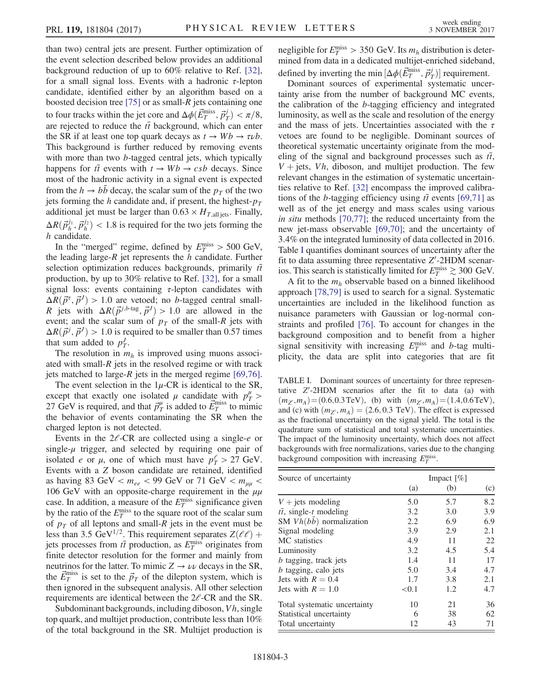than two) central jets are present. Further optimization of the event selection described below provides an additional background reduction of up to 60% relative to Ref. [\[32\]](#page-6-9), for a small signal loss. Events with a hadronic  $\tau$ -lepton candidate, identified either by an algorithm based on a boosted decision tree  $[75]$  or as small- $R$  jets containing one to four tracks within the jet core and  $\Delta \phi(\vec{E}_T^{\text{miss}}, \vec{p}_T^j) < \pi/8$ ,<br>are rejected to reduce the  $t\bar{t}$  background, which can enter are rejected to reduce the  $t\bar{t}$  background, which can enter the SR if at least one top quark decays as  $t \to Wb \to \tau \nu b$ . This background is further reduced by removing events with more than two *b*-tagged central jets, which typically happens for  $t\bar{t}$  events with  $t \to Wb \to \c{c}sb$  decays. Since most of the hadronic activity in a signal event is expected from the  $h \to b\bar{b}$  decay, the scalar sum of the  $p_T$  of the two jets forming the h candidate and, if present, the highest- $p_T$ additional jet must be larger than  $0.63 \times H_{T, \text{all jets}}$ . Finally,  $\Delta R(\vec{p}_h^{j_1}, \vec{p}_h^{j_2}) < 1.8$  is required for the two jets forming the h candidate h candidate.

In the "merged" regime, defined by  $E_T^{\text{miss}} > 500$  GeV,<br>reading large-R jet represents the h candidate Further the leading large- $R$  jet represents the  $h$  candidate. Further selection optimization reduces backgrounds, primarily  $t\bar{t}$ production, by up to 30% relative to Ref. [\[32\]](#page-6-9), for a small signal loss: events containing  $\tau$ -lepton candidates with  $\Delta R(\vec{p}^{\tau}, \vec{p}^{\prime}) > 1.0$  are vetoed; no *b*-tagged central small-<br>*R* jets with  $\Delta R(\vec{p}^{\prime}, b$ -tag  $\vec{p}^{\prime}) > 1.0$  are allowed in the R jets with  $\Delta R(\vec{p}^{j,b\text{-tag}}, \vec{p}^J) > 1.0$  are allowed in the event; and the scalar sum of  $p<sub>T</sub>$  of the small-R jets with  $\Delta R(\vec{p}^j, \vec{p}^J) > 1.0$  is required to be smaller than 0.57 times that sum added to  $p^J$ . that sum added to  $p_T^J$ .<br>The resolution in m

The resolution in  $m_h$  is improved using muons associated with small- $R$  jets in the resolved regime or with track jets matched to large- $R$  jets in the merged regime [\[69,76\]](#page-7-21).

The event selection in the  $1\mu$ -CR is identical to the SR, except that exactly one isolated  $\mu$  candidate with  $p_T^{\mu}$  > 27 GeV is required, and that  $\vec{p}^{\mu}_{T}$  is added to  $\vec{E}^{\text{miss}}_{T}$  to mimic<br>the behavior of events contaminating the SR when the the behavior of events contaminating the SR when the charged lepton is not detected.

Events in the  $2\ell$ -CR are collected using a single-e or single- $\mu$  trigger, and selected by requiring one pair of isolated *e* or  $\mu$ , one of which must have  $p_T^{\ell} > 27$  GeV.<br>Events with a Z boson candidate are retained identified Events with a Z boson candidate are retained, identified as having 83 GeV  $< m_{ee} < 99$  GeV or 71 GeV  $< m_{\mu\mu} < 106$  GeV with an opposite-charge requirement in the  $\mu\mu$ case. In addition, a measure of the  $E_T^{\text{miss}}$  significance given<br>by the ratio of the  $F_T^{\text{miss}}$  to the square root of the scalar sum by the ratio of the  $E_T^{\text{miss}}$  to the square root of the scalar sum of  $n_x$  of all leptons and small-R jets in the event must be of  $p<sub>T</sub>$  of all leptons and small-R jets in the event must be less than 3.5 GeV<sup>1/2</sup>. This requirement separates  $Z(\ell\ell)$  + jets processes from  $t\bar{t}$  production, as  $E_T^{\text{miss}}$  originates from<br>tinite detector resolution for the former and mainly from finite detector resolution for the former and mainly from neutrinos for the latter. To mimic  $Z \rightarrow \nu \nu$  decays in the SR, the  $\vec{E}_T^{\text{miss}}$  is set to the  $\vec{p}_T$  of the dilepton system, which is then ignored in the subsequent analysis. All other selection then ignored in the subsequent analysis. All other selection requirements are identical between the  $2\ell$ -CR and the SR.

Subdominant backgrounds, including diboson,  $Vh$ , single top quark, and multijet production, contribute less than 10% of the total background in the SR. Multijet production is

negligible for  $E_T^{\text{miss}} > 350 \text{ GeV}$ . Its  $m_h$  distribution is deter-<br>mined from data in a dedicated multijet-enriched sideband mined from data in a dedicated multijet-enriched sideband, defined by inverting the min  $[\Delta \phi (\vec{E}_T^{\text{miss}}, \vec{p}_T^i)]$  requirement.<br>Dominant, sources, of experimental systematic, uncer-

Dominant sources of experimental systematic uncertainty arise from the number of background MC events, the calibration of the b-tagging efficiency and integrated luminosity, as well as the scale and resolution of the energy and the mass of jets. Uncertainties associated with the  $\tau$ vetoes are found to be negligible. Dominant sources of theoretical systematic uncertainty originate from the modeling of the signal and background processes such as  $t\bar{t}$ ,  $V +$  jets, *Vh*, diboson, and multijet production. The few relevant changes in the estimation of systematic uncertainties relative to Ref. [\[32\]](#page-6-9) encompass the improved calibrations of the *b*-tagging efficiency using  $t\bar{t}$  events [\[69,71\]](#page-7-21) as well as of the jet energy and mass scales using various in situ methods [\[70,77\]](#page-7-20); the reduced uncertainty from the new jet-mass observable [\[69,70\];](#page-7-21) and the uncertainty of 3.4% on the integrated luminosity of data collected in 2016. Table [I](#page-3-0) quantifies dominant sources of uncertainty after the fit to data assuming three representative  $Z'$ -2HDM scenar-<br>ios This search is statistically limited for  $F_{\rm m}^{\rm miss} > 300$  GeV ios. This search is statistically limited for  $E_T^{\text{miss}} \gtrsim 300 \text{ GeV}$ .<br>A fit to the m, observable based on a binned likelihood

A fit to the  $m_h$  observable based on a binned likelihood approach [\[78,79\]](#page-8-0) is used to search for a signal. Systematic uncertainties are included in the likelihood function as nuisance parameters with Gaussian or log-normal constraints and profiled [\[76\].](#page-7-25) To account for changes in the background composition and to benefit from a higher signal sensitivity with increasing  $E_T^{\text{miss}}$  and b-tag multi-<br>plicity, the data are split into categories that are fit plicity, the data are split into categories that are fit

<span id="page-3-0"></span>TABLE I. Dominant sources of uncertainty for three representative Z'-2HDM scenarios after the fit to data (a) with  $(m_{\text{ex}} m_{\text{ex}}) = (0.603 \text{ TeV})$  (b) with  $(m_{\text{ex}} m_{\text{ex}}) = (1.406 \text{ TeV})$  $(m_{Z'}, m_A) = (0.6, 0.3 \text{ TeV})$ , (b) with  $(m_{Z'}, m_A) = (1.4, 0.6 \text{ TeV})$ , and (c) with  $(m_{Z}, m_A) = (2.6, 0.3 \text{ TeV})$ . The effect is expressed as the fractional uncertainty on the signal yield. The total is the quadrature sum of statistical and total systematic uncertainties. The impact of the luminosity uncertainty, which does not affect backgrounds with free normalizations, varies due to the changing background composition with increasing  $E_T^{\text{miss}}$ .

| Source of uncertainty           | Impact $[\%]$ |     |     |
|---------------------------------|---------------|-----|-----|
|                                 | (a)           | (b) | (c) |
| $V + jets$ modeling             | 5.0           | 5.7 | 8.2 |
| $t\bar{t}$ , single-t modeling  | 3.2           | 3.0 | 3.9 |
| SM $Vh(b\bar{b})$ normalization | 2.2           | 6.9 | 6.9 |
| Signal modeling                 | 3.9           | 2.9 | 2.1 |
| MC statistics                   | 4.9           | 11  | 22  |
| Luminosity                      | 3.2           | 4.5 | 5.4 |
| <i>b</i> tagging, track jets    | 1.4           | 11  | 17  |
| $b$ tagging, calo jets          | 5.0           | 3.4 | 4.7 |
| Jets with $R = 0.4$             | 1.7           | 3.8 | 2.1 |
| Jets with $R = 1.0$             | < 0.1         | 1.2 | 4.7 |
| Total systematic uncertainty    | 10            | 21  | 36  |
| Statistical uncertainty         | 6             | 38  | 62  |
| Total uncertainty               | 12            | 43  | 71  |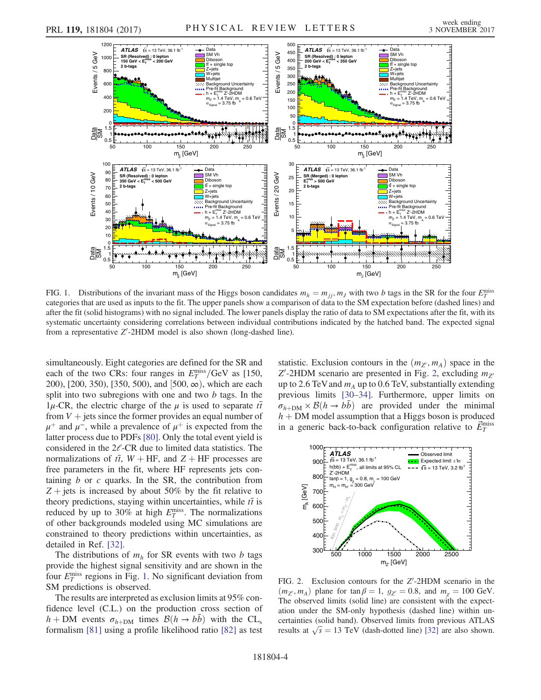<span id="page-4-0"></span>

FIG. 1. Distributions of the invariant mass of the Higgs boson candidates  $m_h = m_{ij}$ ,  $m_j$  with two b tags in the SR for the four  $E_T^{\text{miss}}$ categories that are used as inputs to the fit. The upper panels show a comparison of data to the SM expectation before (dashed lines) and after the fit (solid histograms) with no signal included. The lower panels display the ratio of data to SM expectations after the fit, with its systematic uncertainty considering correlations between individual contributions indicated by the hatched band. The expected signal from a representative  $Z'$ -2HDM model is also shown (long-dashed line).

simultaneously. Eight categories are defined for the SR and each of the two CRs: four ranges in  $E_T^{\text{miss}}/\text{GeV}$  as [150, 200) 1200, 3500 1350, 5000 and [500  $\infty$ ) which are each 200), [200, 350), [350, 500), and  $[500, \infty)$ , which are each split into two subregions with one and two  $b$  tags. In the  $1\mu$ -CR, the electric charge of the μ is used to separate  $t\bar{t}$ from  $V +$  jets since the former provides an equal number of  $\mu^+$  and  $\mu^-$ , while a prevalence of  $\mu^+$  is expected from the latter process due to PDFs [\[80\]](#page-8-1). Only the total event yield is considered in the  $2\ell$ -CR due to limited data statistics. The normalizations of  $t\bar{t}$ ,  $W + HF$ , and  $Z + HF$  processes are free parameters in the fit, where HF represents jets containing  $b$  or  $c$  quarks. In the SR, the contribution from  $Z + jets$  is increased by about 50% by the fit relative to theory predictions, staying within uncertainties, while  $t\bar{t}$  is reduced by up to 30% at high  $E_T^{\text{miss}}$ . The normalizations of other backgrounds modeled using MC simulations are of other backgrounds modeled using MC simulations are constrained to theory predictions within uncertainties, as detailed in Ref. [\[32\].](#page-6-9)

The distributions of  $m_h$  for SR events with two b tags provide the highest signal sensitivity and are shown in the four  $E_T^{\text{miss}}$  regions in Fig. [1.](#page-4-0) No significant deviation from SM predictions is observed SM predictions is observed.

The results are interpreted as exclusion limits at 95% confidence level (C.L.) on the production cross section of  $h + DM$  events  $\sigma_{h+DM}$  times  $\mathcal{B}(h \to b\bar{b})$  with the CL<sub>s</sub> formalism [\[81\]](#page-8-2) using a profile likelihood ratio [\[82\]](#page-8-3) as test statistic. Exclusion contours in the  $(m_{Z}, m_A)$  space in the  $Z'$ -[2](#page-4-1)HDM scenario are presented in Fig. 2, excluding  $m_Z$ <br>up to 2.6 TeV and  $m_L$  up to 0.6 TeV substantially extending up to 2.6 TeV and  $m_A$  up to 0.6 TeV, substantially extending previous limits [30–[34\].](#page-6-8) Furthermore, upper limits on  $\sigma_{h+\text{DM}} \times \mathcal{B}(h \to b\bar{b})$  are provided under the minimal  $h + \text{DM model assumption that a Higgs boson is produced}$  $h + DM$  model assumption that a Higgs boson is produced in a generic back-to-back configuration relative to  $\vec{E}_T^{\text{miss}}$ 

<span id="page-4-1"></span>

FIG. 2. Exclusion contours for the Z'-2HDM scenario in the  $\binom{m}{m}$  m, and  $m = 100 \text{ GeV}$  $(m_{Z'}, m_A)$  plane for tan  $\beta = 1$ ,  $g_{Z'} = 0.8$ , and  $m_{\gamma} = 100$  GeV. The observed limits (solid line) are consistent with the expectation under the SM-only hypothesis (dashed line) within uncertainties (solid band). Observed limits from previous ATLAS results at  $\sqrt{s} = 13$  TeV (dash-dotted line) [\[32\]](#page-6-9) are also shown.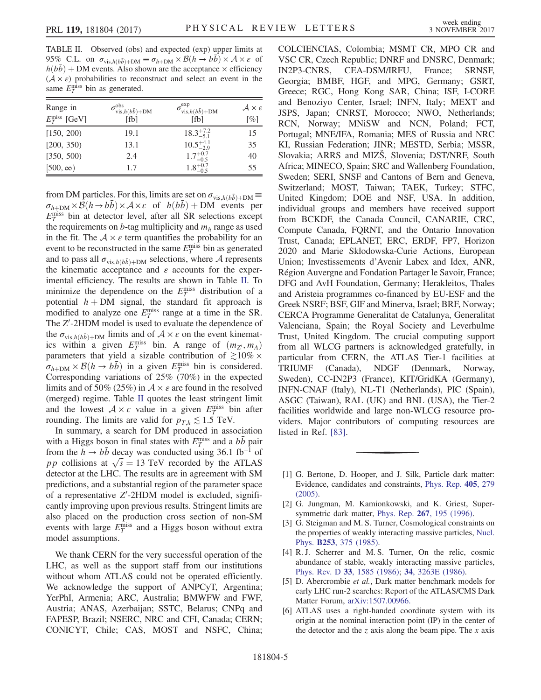<span id="page-5-5"></span>

| Range in<br>$E_T^{\text{miss}}$ [GeV] | $\sigma_{{\rm vis},h(b\bar{b})+{\rm DM}}^{\rm obs}$<br>[fb] | $\sigma_{\text{vis},h(b\bar{b})+{\rm DM}}^{\text{exp}}$<br>[fb] | $A \times \varepsilon$<br>$\lceil \% \rceil$ |
|---------------------------------------|-------------------------------------------------------------|-----------------------------------------------------------------|----------------------------------------------|
| [150, 200)                            | 19.1                                                        | $18.3^{+7.2}_{-5.1}$                                            | 15                                           |
| [200, 350)                            | 13.1                                                        | $10.5^{+4.1}_{-2.9}$                                            | 35                                           |
| [350, 500)                            | 2.4                                                         | $1.7^{+0.7}_{-0.5}$                                             | 40                                           |
| $[500, \infty)$                       | 1.7                                                         | $1.8^{+0.7}_{-0.5}$                                             | 55                                           |
|                                       |                                                             |                                                                 |                                              |

from DM particles. For this, limits are set on  $\sigma_{\text{vis},h(b\bar{b})+DM}$  $\sigma_{h+\text{DM}} \times \mathcal{B}(h \to b\bar{b}) \times \mathcal{A} \times \varepsilon$  of  $h(b\bar{b}) + \text{DM}$  events per<br>*F*<sup>miss</sup> bin at detector level after all SR selections except  $E_T^{\text{miss}}$  bin at detector level, after all SR selections except<br>the requirements on h-tag multiplicity and m, range as used the requirements on  $b$ -tag multiplicity and  $m_h$  range as used in the fit. The  $A \times \varepsilon$  term quantifies the probability for an event to be reconstructed in the same  $E_T^{\text{miss}}$  bin as generated<br>and to pass all  $\sigma_{\text{SUS}}$  are selections where 4 represents and to pass all  $\sigma_{\text{vis},h(b\bar{b})+DM}$  selections, where A represents the kinematic acceptance and  $\varepsilon$  accounts for the experimental efficiency. The results are shown in Table [II](#page-5-5). To minimize the dependence on the  $E_T^{\text{miss}}$  distribution of a<br>potential  $h + DM$  signal, the standard fit approach is potential  $h + DM$  signal, the standard fit approach is modified to analyze one  $E_T^{\text{miss}}$  range at a time in the SR.<br>The  $Z^{\prime}$ -2HDM model is used to evaluate the dependence of The Z'-2HDM model is used to evaluate the dependence of<br>the  $\sigma_{\text{max}}$  and limits and of  $A \times \epsilon$  on the event kinematthe  $\sigma_{\text{vis},h(b\bar{b})+DM}$  limits and of  $A \times \varepsilon$  on the event kinematics within a given  $E_T^{\text{miss}}$  bin. A range of  $(m_{Z'}, m_A)$ <br>parameters that yield a sizable contribution of  $>10\%$  x parameters that yield a sizable contribution of  $\gtrsim 10\%$  ×  $\sigma_{h+\text{DM}} \times \mathcal{B}(h \to b\bar{b})$  in a given  $E_T^{\text{miss}}$  bin is considered.<br>Corresponding variations of 25% (70%) in the expected Corresponding variations of 25% (70%) in the expected limits and of 50% (25%) in  $A \times \varepsilon$  are found in the resolved (merged) regime. Table [II](#page-5-5) quotes the least stringent limit and the lowest  $A \times \varepsilon$  value in a given  $E_T^{\text{miss}}$  bin after rounding. The limits are valid for  $n_{\text{max}} \le 1.5$  TeV rounding. The limits are valid for  $p_{Th} \lesssim 1.5$  TeV.

In summary, a search for DM produced in association with a Higgs boson in final states with  $E_T^{\text{miss}}$  and a  $b\bar{b}$  pair from the  $h \rightarrow b\bar{b}$  decay was conducted using 36.1 fb<sup>-1</sup> of from the  $h \to b\bar{b}$  decay was conducted using 36.1 fb<sup>-1</sup> of pp collisions at  $\sqrt{s} = 13$  TeV recorded by the ATLAS<br>detector at the LHC. The results are in agreement with SM detector at the LHC. The results are in agreement with SM predictions, and a substantial region of the parameter space of a representative  $Z'$ -2HDM model is excluded, signifi-<br>cantly improving upon previous results. Stringent limits are cantly improving upon previous results. Stringent limits are also placed on the production cross section of non-SM events with large  $E_T^{\text{miss}}$  and a Higgs boson without extra model assumptions model assumptions.

We thank CERN for the very successful operation of the LHC, as well as the support staff from our institutions without whom ATLAS could not be operated efficiently. We acknowledge the support of ANPCyT, Argentina; YerPhI, Armenia; ARC, Australia; BMWFW and FWF, Austria; ANAS, Azerbaijan; SSTC, Belarus; CNPq and FAPESP, Brazil; NSERC, NRC and CFI, Canada; CERN; CONICYT, Chile; CAS, MOST and NSFC, China; COLCIENCIAS, Colombia; MSMT CR, MPO CR and VSC CR, Czech Republic; DNRF and DNSRC, Denmark; IN2P3-CNRS, CEA-DSM/IRFU, France; SRNSF, Georgia; BMBF, HGF, and MPG, Germany; GSRT, Greece; RGC, Hong Kong SAR, China; ISF, I-CORE and Benoziyo Center, Israel; INFN, Italy; MEXT and JSPS, Japan; CNRST, Morocco; NWO, Netherlands; RCN, Norway; MNiSW and NCN, Poland; FCT, Portugal; MNE/IFA, Romania; MES of Russia and NRC KI, Russian Federation; JINR; MESTD, Serbia; MSSR, Slovakia; ARRS and MIZŠ, Slovenia; DST/NRF, South Africa; MINECO, Spain; SRC and Wallenberg Foundation, Sweden; SERI, SNSF and Cantons of Bern and Geneva, Switzerland; MOST, Taiwan; TAEK, Turkey; STFC, United Kingdom; DOE and NSF, USA. In addition, individual groups and members have received support from BCKDF, the Canada Council, CANARIE, CRC, Compute Canada, FQRNT, and the Ontario Innovation Trust, Canada; EPLANET, ERC, ERDF, FP7, Horizon 2020 and Marie Skłodowska-Curie Actions, European Union; Investissements d'Avenir Labex and Idex, ANR, Région Auvergne and Fondation Partager le Savoir, France; DFG and AvH Foundation, Germany; Herakleitos, Thales and Aristeia programmes co-financed by EU-ESF and the Greek NSRF; BSF, GIF and Minerva, Israel; BRF, Norway; CERCA Programme Generalitat de Catalunya, Generalitat Valenciana, Spain; the Royal Society and Leverhulme Trust, United Kingdom. The crucial computing support from all WLCG partners is acknowledged gratefully, in particular from CERN, the ATLAS Tier-1 facilities at TRIUMF (Canada), NDGF (Denmark, Norway, Sweden), CC-IN2P3 (France), KIT/GridKA (Germany), INFN-CNAF (Italy), NL-T1 (Netherlands), PIC (Spain), ASGC (Taiwan), RAL (UK) and BNL (USA), the Tier-2 facilities worldwide and large non-WLCG resource providers. Major contributors of computing resources are listed in Ref. [\[83\]](#page-8-4).

- <span id="page-5-0"></span>[1] G. Bertone, D. Hooper, and J. Silk, Particle dark matter: Evidence, candidates and constraints, [Phys. Rep.](https://doi.org/10.1016/j.physrep.2004.08.031) 405, 279 [\(2005\).](https://doi.org/10.1016/j.physrep.2004.08.031)
- <span id="page-5-1"></span>[2] G. Jungman, M. Kamionkowski, and K. Griest, Super-symmetric dark matter, Phys. Rep. 267[, 195 \(1996\).](https://doi.org/10.1016/0370-1573(95)00058-5)
- <span id="page-5-2"></span>[3] G. Steigman and M. S. Turner, Cosmological constraints on the properties of weakly interacting massive particles, [Nucl.](https://doi.org/10.1016/0550-3213(85)90537-1) Phys. B253[, 375 \(1985\).](https://doi.org/10.1016/0550-3213(85)90537-1)
- [4] R. J. Scherrer and M. S. Turner, On the relic, cosmic abundance of stable, weakly interacting massive particles, Phys. Rev. D 33[, 1585 \(1986\);](https://doi.org/10.1103/PhysRevD.33.1585) 34[, 3263E \(1986\)](https://doi.org/10.1103/PhysRevD.34.3263).
- <span id="page-5-3"></span>[5] D. Abercrombie et al., Dark matter benchmark models for early LHC run-2 searches: Report of the ATLAS/CMS Dark Matter Forum, [arXiv:1507.00966.](http://arXiv.org/abs/1507.00966)
- <span id="page-5-4"></span>[6] ATLAS uses a right-handed coordinate system with its origin at the nominal interaction point (IP) in the center of the detector and the z axis along the beam pipe. The x axis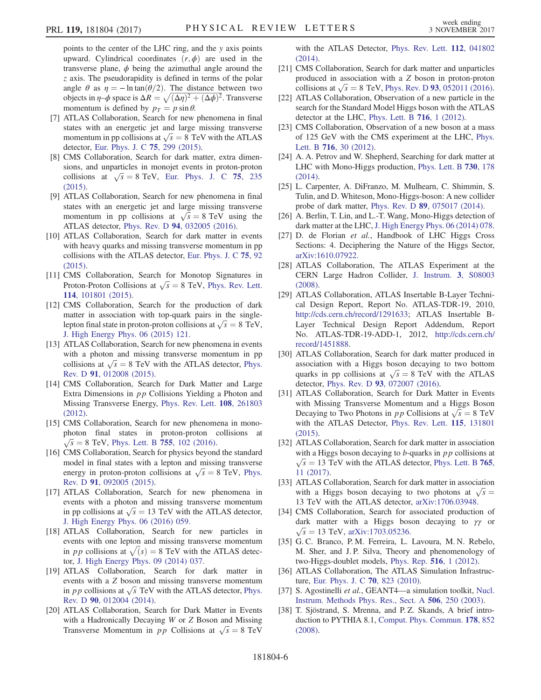points to the center of the LHC ring, and the y axis points upward. Cylindrical coordinates  $(r, \phi)$  are used in the transverse plane,  $\phi$  being the azimuthal angle around the z axis. The pseudorapidity is defined in terms of the polar angle  $\theta$  as  $\eta = -\ln \tan(\theta/2)$ . The distance between two objects in  $\eta-\phi$  space is  $\Delta R = \sqrt{(\Delta \eta)^2 + (\Delta \phi)^2}$ . Transverse momentum is defined by  $p_x = p \sin \theta$ momentum is defined by  $p_T = p \sin \theta$ .

- <span id="page-6-0"></span>[7] ATLAS Collaboration, Search for new phenomena in final states with an energetic jet and large missing transverse momentum in pp collisions at  $\sqrt{s} = 8$  TeV with the ATLAS<br>detector Fur, Phys. J. C. 75, 299 (2015) detector, [Eur. Phys. J. C](https://doi.org/10.1140/epjc/s10052-015-3517-3) 75, 299 (2015).
- [8] CMS Collaboration, Search for dark matter, extra dimensions, and unparticles in monojet events in proton-proton collisions at  $\sqrt{s} = 8$  TeV, [Eur. Phys. J. C](https://doi.org/10.1140/epjc/s10052-015-3451-4) 75, 235 (2015) [\(2015\).](https://doi.org/10.1140/epjc/s10052-015-3451-4)
- [9] ATLAS Collaboration, Search for new phenomena in final states with an energetic jet and large missing transverse momentum in pp collisions at  $\sqrt{s} = 8 \text{ TeV}$  using the ATI AS detector Phys. Bey D 94, 032005 (2016) ATLAS detector, Phys. Rev. D 94[, 032005 \(2016\).](https://doi.org/10.1103/PhysRevD.94.032005)
- <span id="page-6-1"></span>[10] ATLAS Collaboration, Search for dark matter in events with heavy quarks and missing transverse momentum in pp collisions with the ATLAS detector, [Eur. Phys. J. C](https://doi.org/10.1140/epjc/s10052-015-3306-z) 75, 92 [\(2015\).](https://doi.org/10.1140/epjc/s10052-015-3306-z)
- [11] CMS Collaboration, Search for Monotop Signatures in Proton-Proton Collisions at  $\sqrt{s} = 8$  TeV, [Phys. Rev. Lett.](https://doi.org/10.1103/PhysRevLett.114.101801)<br>114, 101801 (2015) 114[, 101801 \(2015\).](https://doi.org/10.1103/PhysRevLett.114.101801)
- [12] CMS Collaboration, Search for the production of dark matter in association with top-quark pairs in the singlelepton final state in proton-proton collisions at  $\sqrt{s} = 8$  TeV,<br>L High Epergy Phys 06 (2015) 121 [J. High Energy Phys. 06 \(2015\) 121.](https://doi.org/10.1007/JHEP06(2015)121)
- <span id="page-6-2"></span>[13] ATLAS Collaboration, Search for new phenomena in events with a photon and missing transverse momentum in pp collisions at  $\sqrt{s} = 8$  TeV with the ATLAS detector, [Phys.](https://doi.org/10.1103/PhysRevD.91.012008)<br>Rev. D. 91, 012008 (2015) Rev. D 91[, 012008 \(2015\)](https://doi.org/10.1103/PhysRevD.91.012008).
- [14] CMS Collaboration, Search for Dark Matter and Large Extra Dimensions in pp Collisions Yielding a Photon and Missing Transverse Energy, [Phys. Rev. Lett.](https://doi.org/10.1103/PhysRevLett.108.261803) 108, 261803 [\(2012\).](https://doi.org/10.1103/PhysRevLett.108.261803)
- [15] CMS Collaboration, Search for new phenomena in monophoton final states in proton-proton collisions at  $\sqrt{s}$  = 8 TeV, [Phys. Lett. B](https://doi.org/10.1016/j.physletb.2016.01.057) 755, 102 (2016).<br>CMS Collaboration. Search for physics beyong
- [16] CMS Collaboration, Search for physics beyond the standard model in final states with a lepton and missing transverse energy in proton-proton collisions at  $\sqrt{s} = 8$  TeV, [Phys.](https://doi.org/10.1103/PhysRevD.91.092005)<br>Rev. D. 91, 092005 (2015) Rev. D 91[, 092005 \(2015\)](https://doi.org/10.1103/PhysRevD.91.092005).
- [17] ATLAS Collaboration, Search for new phenomena in events with a photon and missing transverse momentum in pp collisions at  $\sqrt{s}$  = 13 TeV with the ATLAS detector,<br>I High Energy Phys 06 (2016) 059 [J. High Energy Phys. 06 \(2016\) 059.](https://doi.org/10.1007/JHEP06(2016)059)
- <span id="page-6-3"></span>[18] ATLAS Collaboration, Search for new particles in events with one lepton and missing transverse momentum in pp collisions at  $\sqrt{(s)} = 8$  TeV with the ATLAS detector I High Energy Phys 09 (2014) 037 tor, [J. High Energy Phys. 09 \(2014\) 037.](https://doi.org/10.1007/JHEP09(2014)037)
- [19] ATLAS Collaboration, Search for dark matter in events with a Z boson and missing transverse momentum in pp collisions at  $\sqrt{s}$  TeV with the ATLAS detector, [Phys.](https://doi.org/10.1103/PhysRevD.90.012004)<br>Rev. D. 90, 012004 (2014) Rev. D 90[, 012004 \(2014\)](https://doi.org/10.1103/PhysRevD.90.012004).
- [20] ATLAS Collaboration, Search for Dark Matter in Events with a Hadronically Decaying W or Z Boson and Missing Transverse Momentum in *pp* Collisions at  $\sqrt{s} = 8$  TeV

with the ATLAS Detector, [Phys. Rev. Lett.](https://doi.org/10.1103/PhysRevLett.112.041802) 112, 041802 [\(2014\).](https://doi.org/10.1103/PhysRevLett.112.041802)

- [21] CMS Collaboration, Search for dark matter and unparticles produced in association with a Z boson in proton-proton collisions at  $\sqrt{s} = 8$  TeV, Phys. Rev. D 93[, 052011 \(2016\).](https://doi.org/10.1103/PhysRevD.93.052011)<br>ATLAS Collaboration Observation of a new particle in the
- <span id="page-6-4"></span>[22] ATLAS Collaboration, Observation of a new particle in the search for the Standard Model Higgs boson with the ATLAS detector at the LHC, [Phys. Lett. B](https://doi.org/10.1016/j.physletb.2012.08.020) 716, 1 (2012).
- [23] CMS Collaboration, Observation of a new boson at a mass of 125 GeV with the CMS experiment at the LHC, [Phys.](https://doi.org/10.1016/j.physletb.2012.08.021) Lett. B 716[, 30 \(2012\)](https://doi.org/10.1016/j.physletb.2012.08.021).
- <span id="page-6-5"></span>[24] A. A. Petrov and W. Shepherd, Searching for dark matter at LHC with Mono-Higgs production, [Phys. Lett. B](https://doi.org/10.1016/j.physletb.2014.01.051) 730, 178 [\(2014\).](https://doi.org/10.1016/j.physletb.2014.01.051)
- [25] L. Carpenter, A. DiFranzo, M. Mulhearn, C. Shimmin, S. Tulin, and D. Whiteson, Mono-Higgs-boson: A new collider probe of dark matter, Phys. Rev. D 89[, 075017 \(2014\).](https://doi.org/10.1103/PhysRevD.89.075017)
- <span id="page-6-10"></span>[26] A. Berlin, T. Lin, and L.-T. Wang, Mono-Higgs detection of dark matter at the LHC, [J. High Energy Phys. 06 \(2014\) 078.](https://doi.org/10.1007/JHEP06(2014)078)
- <span id="page-6-6"></span>[27] D. de Florian et al., Handbook of LHC Higgs Cross Sections: 4. Deciphering the Nature of the Higgs Sector, [arXiv:1610.07922.](http://arXiv.org/abs/1610.07922)
- <span id="page-6-7"></span>[28] ATLAS Collaboration, The ATLAS Experiment at the CERN Large Hadron Collider, [J. Instrum.](https://doi.org/10.1088/1748-0221/3/08/S08003) 3, S08003 [\(2008\).](https://doi.org/10.1088/1748-0221/3/08/S08003)
- [29] ATLAS Collaboration, ATLAS Insertable B-Layer Technical Design Report, Report No. ATLAS-TDR-19, 2010, [http://cds.cern.ch/record/1291633;](http://cds.cern.ch/record/1291633) ATLAS Insertable B-Layer Technical Design Report Addendum, Report No. ATLAS-TDR-19-ADD-1, 2012, [http://cds.cern.ch/](http://cds.cern.ch/record/1451888) [record/1451888.](http://cds.cern.ch/record/1451888)
- <span id="page-6-8"></span>[30] ATLAS Collaboration, Search for dark matter produced in association with a Higgs boson decaying to two bottom quarks in pp collisions at  $\sqrt{s} = 8$  TeV with the ATLAS detector Phys. Rev. D. 93, 072007 (2016) detector, Phys. Rev. D 93[, 072007 \(2016\)](https://doi.org/10.1103/PhysRevD.93.072007).
- [31] ATLAS Collaboration, Search for Dark Matter in Events with Missing Transverse Momentum and a Higgs Boson Decaying to Two Photons in pp Collisions at  $\sqrt{s} = 8$  TeV with the ATI AS Detector Phys. Bey Lett 115, 131801 with the ATLAS Detector, [Phys. Rev. Lett.](https://doi.org/10.1103/PhysRevLett.115.131801) 115, 131801 [\(2015\).](https://doi.org/10.1103/PhysRevLett.115.131801)
- <span id="page-6-9"></span>[32] ATLAS Collaboration, Search for dark matter in association with a Higgs boson decaying to *b*-quarks in *pp* collisions at  $\sqrt{s} = 13$  TeV with the ATLAS detector, [Phys. Lett. B](https://doi.org/10.1016/j.physletb.2016.11.035) **765**, 11 (2017) [11 \(2017\).](https://doi.org/10.1016/j.physletb.2016.11.035)
- [33] ATLAS Collaboration, Search for dark matter in association with a Higgs boson decaying to two photons at  $\sqrt{s} = 13$  TeV with the ATI AS detector arXiv:1706.03948 13 TeV with the ATLAS detector, [arXiv:1706.03948.](http://arXiv.org/abs/1706.03948)
- [34] CMS Collaboration, Search for associated production of dark matter with a Higgs boson decaying to γγ or  $\sqrt{s}$  = 13 TeV, [arXiv:1703.05236.](http://arXiv.org/abs/1703.05236)<br>G C Branco P M Ferreira I
- <span id="page-6-11"></span>[35] G. C. Branco, P. M. Ferreira, L. Lavoura, M. N. Rebelo, M. Sher, and J. P. Silva, Theory and phenomenology of two-Higgs-doublet models, [Phys. Rep.](https://doi.org/10.1016/j.physrep.2012.02.002) 516, 1 (2012).
- <span id="page-6-13"></span><span id="page-6-12"></span>[36] ATLAS Collaboration, The ATLAS Simulation Infrastructure, [Eur. Phys. J. C](https://doi.org/10.1140/epjc/s10052-010-1429-9) 70, 823 (2010).
- <span id="page-6-14"></span>[37] S. Agostinelli et al., GEANT4—a simulation toolkit, [Nucl.](https://doi.org/10.1016/S0168-9002(03)01368-8) [Instrum. Methods Phys. Res., Sect. A](https://doi.org/10.1016/S0168-9002(03)01368-8) 506, 250 (2003).
- [38] T. Sjöstrand, S. Mrenna, and P.Z. Skands, A brief introduction to PYTHIA 8.1, [Comput. Phys. Commun.](https://doi.org/10.1016/j.cpc.2008.01.036) 178, 852 [\(2008\).](https://doi.org/10.1016/j.cpc.2008.01.036)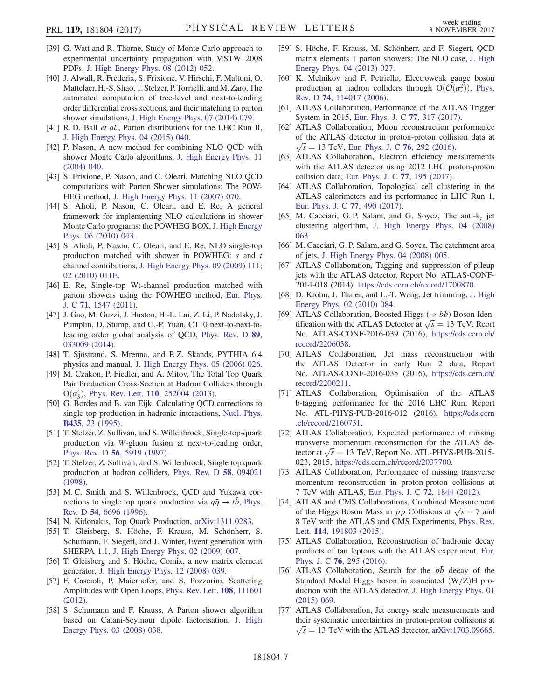- <span id="page-7-0"></span>[39] G. Watt and R. Thorne, Study of Monte Carlo approach to experimental uncertainty propagation with MSTW 2008 PDFs, [J. High Energy Phys. 08 \(2012\) 052.](https://doi.org/10.1007/JHEP08(2012)052)
- [40] J. Alwall, R. Frederix, S. Frixione, V. Hirschi, F. Maltoni, O. Mattelaer, H.-S. Shao, T. Stelzer, P. Torrielli, and M. Zaro, The automated computation of tree-level and next-to-leading order differential cross sections, and their matching to parton shower simulations, [J. High Energy Phys. 07 \(2014\) 079.](https://doi.org/10.1007/JHEP07(2014)079)
- <span id="page-7-1"></span>[41] R. D. Ball et al., Parton distributions for the LHC Run II, [J. High Energy Phys. 04 \(2015\) 040.](https://doi.org/10.1007/JHEP04(2015)040)
- <span id="page-7-2"></span>[42] P. Nason, A new method for combining NLO QCD with shower Monte Carlo algorithms, [J. High Energy Phys. 11](https://doi.org/10.1088/1126-6708/2004/11/040) [\(2004\) 040.](https://doi.org/10.1088/1126-6708/2004/11/040)
- [43] S. Frixione, P. Nason, and C. Oleari, Matching NLO QCD computations with Parton Shower simulations: The POW-HEG method, [J. High Energy Phys. 11 \(2007\) 070.](https://doi.org/10.1088/1126-6708/2007/11/070)
- [44] S. Alioli, P. Nason, C. Oleari, and E. Re, A general framework for implementing NLO calculations in shower Monte Carlo programs: the POWHEG BOX, [J. High Energy](https://doi.org/10.1007/JHEP06(2010)043) [Phys. 06 \(2010\) 043.](https://doi.org/10.1007/JHEP06(2010)043)
- [45] S. Alioli, P. Nason, C. Oleari, and E. Re, NLO single-top production matched with shower in POWHEG: s and t channel contributions, [J. High Energy Phys. 09 \(2009\) 111;](https://doi.org/10.1088/1126-6708/2009/09/111) [02 \(2010\) 011E.](https://doi.org/10.1007/JHEP02(2010)011)
- [46] E. Re, Single-top Wt-channel production matched with parton showers using the POWHEG method, [Eur. Phys.](https://doi.org/10.1140/epjc/s10052-011-1547-z) J. C 71[, 1547 \(2011\)](https://doi.org/10.1140/epjc/s10052-011-1547-z).
- <span id="page-7-3"></span>[47] J. Gao, M. Guzzi, J. Huston, H.-L. Lai, Z. Li, P. Nadolsky, J. Pumplin, D. Stump, and C.-P. Yuan, CT10 next-to-next-toleading order global analysis of QCD, [Phys. Rev. D](https://doi.org/10.1103/PhysRevD.89.033009) 89, [033009 \(2014\).](https://doi.org/10.1103/PhysRevD.89.033009)
- <span id="page-7-4"></span>[48] T. Sjöstrand, S. Mrenna, and P. Z. Skands, PYTHIA 6.4 physics and manual, [J. High Energy Phys. 05 \(2006\) 026.](https://doi.org/10.1088/1126-6708/2006/05/026)
- <span id="page-7-5"></span>[49] M. Czakon, P. Fiedler, and A. Mitov, The Total Top Quark Pair Production Cross-Section at Hadron Colliders through  $O(a_5^4)$ , Phys. Rev. Lett. **110**[, 252004 \(2013\).](https://doi.org/10.1103/PhysRevLett.110.252004)<br>G Bordes and B van Fijk. Calculating OCD
- <span id="page-7-6"></span>[50] G. Bordes and B. van Eijk, Calculating QCD corrections to single top production in hadronic interactions, [Nucl. Phys.](https://doi.org/10.1016/0550-3213(94)00460-V) B435[, 23 \(1995\)](https://doi.org/10.1016/0550-3213(94)00460-V).
- [51] T. Stelzer, Z. Sullivan, and S. Willenbrock, Single-top-quark production via W-gluon fusion at next-to-leading order, Phys. Rev. D 56[, 5919 \(1997\).](https://doi.org/10.1103/PhysRevD.56.5919)
- [52] T. Stelzer, Z. Sullivan, and S. Willenbrock, Single top quark production at hadron colliders, [Phys. Rev. D](https://doi.org/10.1103/PhysRevD.58.094021) 58, 094021 [\(1998\).](https://doi.org/10.1103/PhysRevD.58.094021)
- [53] M. C. Smith and S. Willenbrock, QCD and Yukawa corrections to single top quark production via  $q\bar{q} \rightarrow t\bar{b}$ , [Phys.](https://doi.org/10.1103/PhysRevD.54.6696) Rev. D 54[, 6696 \(1996\).](https://doi.org/10.1103/PhysRevD.54.6696)
- <span id="page-7-7"></span>[54] N. Kidonakis, Top Quark Production, [arXiv:1311.0283.](http://arXiv.org/abs/1311.0283)
- [55] T. Gleisberg, S. Höche, F. Krauss, M. Schönherr, S. Schumann, F. Siegert, and J. Winter, Event generation with SHERPA 1.1, [J. High Energy Phys. 02 \(2009\) 007.](https://doi.org/10.1088/1126-6708/2009/02/007)
- <span id="page-7-8"></span>[56] T. Gleisberg and S. Höche, Comix, a new matrix element generator, [J. High Energy Phys. 12 \(2008\) 039.](https://doi.org/10.1088/1126-6708/2008/12/039)
- [57] F. Cascioli, P. Maierhofer, and S. Pozzorini, Scattering Amplitudes with Open Loops, [Phys. Rev. Lett.](https://doi.org/10.1103/PhysRevLett.108.111601) 108, 111601 [\(2012\).](https://doi.org/10.1103/PhysRevLett.108.111601)
- <span id="page-7-9"></span>[58] S. Schumann and F. Krauss, A Parton shower algorithm based on Catani-Seymour dipole factorisation, [J. High](https://doi.org/10.1088/1126-6708/2008/03/038) [Energy Phys. 03 \(2008\) 038.](https://doi.org/10.1088/1126-6708/2008/03/038)
- <span id="page-7-10"></span>[59] S. Höche, F. Krauss, M. Schönherr, and F. Siegert, QCD matrix elements  $+$  parton showers: The NLO case, [J. High](https://doi.org/10.1007/JHEP04(2013)027) [Energy Phys. 04 \(2013\) 027.](https://doi.org/10.1007/JHEP04(2013)027)
- <span id="page-7-11"></span>[60] K. Melnikov and F. Petriello, Electroweak gauge boson production at hadron colliders through  $O(\mathcal{O}(\alpha_s^2))$ , [Phys.](https://doi.org/10.1103/PhysRevD.74.114017)<br>Pay, D.74, 114017.(2006) Rev. D 74[, 114017 \(2006\)](https://doi.org/10.1103/PhysRevD.74.114017).
- <span id="page-7-12"></span>[61] ATLAS Collaboration, Performance of the ATLAS Trigger System in 2015, [Eur. Phys. J. C](https://doi.org/10.1140/epjc/s10052-017-4852-3) 77, 317 (2017).
- <span id="page-7-13"></span>[62] ATLAS Collaboration, Muon reconstruction performance of the ATLAS detector in proton-proton collision data at  $\sqrt{s}$  = 13 TeV, [Eur. Phys. J. C](https://doi.org/10.1140/epjc/s10052-016-4120-y) 76, 292 (2016).<br>ATLAS Collaboration. Electron efficiency me
- <span id="page-7-14"></span>[63] ATLAS Collaboration, Electron effciency measurements with the ATLAS detector using 2012 LHC proton-proton collision data, [Eur. Phys. J. C](https://doi.org/10.1140/epjc/s10052-017-4756-2) 77, 195 (2017).
- <span id="page-7-15"></span>[64] ATLAS Collaboration, Topological cell clustering in the ATLAS calorimeters and its performance in LHC Run 1, [Eur. Phys. J. C](https://doi.org/10.1140/epjc/s10052-017-5004-5) 77, 490 (2017).
- <span id="page-7-16"></span>[65] M. Cacciari, G. P. Salam, and G. Soyez, The anti- $k_t$  jet clustering algorithm, [J. High Energy Phys. 04 \(2008\)](https://doi.org/10.1088/1126-6708/2008/04/063) [063.](https://doi.org/10.1088/1126-6708/2008/04/063)
- <span id="page-7-17"></span>[66] M. Cacciari, G. P. Salam, and G. Soyez, The catchment area of jets, [J. High Energy Phys. 04 \(2008\) 005.](https://doi.org/10.1088/1126-6708/2008/04/005)
- <span id="page-7-18"></span>[67] ATLAS Collaboration, Tagging and suppression of pileup jets with the ATLAS detector, Report No. ATLAS-CONF-2014-018 (2014), <https://cds.cern.ch/record/1700870>.
- <span id="page-7-19"></span>[68] D. Krohn, J. Thaler, and L.-T. Wang, Jet trimming, [J. High](https://doi.org/10.1007/JHEP02(2010)084) [Energy Phys. 02 \(2010\) 084.](https://doi.org/10.1007/JHEP02(2010)084)
- <span id="page-7-21"></span>[69] ATLAS Collaboration, Boosted Higgs ( $\rightarrow b\bar{b}$ ) Boson Identification with the ATLAS Detector at  $\sqrt{s} = 13$  TeV, Reort<br>No. ATLAS CONE 2016 039 (2016) https://cds.cern.ch/ No. ATLAS-CONF-2016-039 (2016), [https://cds.cern.ch/](https://cds.cern.ch/record/2206038) [record/2206038.](https://cds.cern.ch/record/2206038)
- <span id="page-7-20"></span>[70] ATLAS Collaboration, Jet mass reconstruction with the ATLAS Detector in early Run 2 data, Report No. ATLAS-CONF-2016-035 (2016), [https://cds.cern.ch/](https://cds.cern.ch/record/2200211) [record/2200211.](https://cds.cern.ch/record/2200211)
- [71] ATLAS Collaboration, Optimisation of the ATLAS b-tagging performance for the 2016 LHC Run, Report No. ATL-PHYS-PUB-2016-012 (2016), [https://cds.cern](https://cds.cern.ch/record/2160731) [.ch/record/2160731](https://cds.cern.ch/record/2160731).
- <span id="page-7-22"></span>[72] ATLAS Collaboration, Expected performance of missing transverse momentum reconstruction for the ATLAS detector at  $\sqrt{s}$  = 13 TeV, Report No. ATL-PHYS-PUB-2015-<br>023 2015, https://cds.cerp.ch/record/2037700 023, 2015, <https://cds.cern.ch/record/2037700>.
- [73] ATLAS Collaboration, Performance of missing transverse momentum reconstruction in proton-proton collisions at 7 TeV with ATLAS, [Eur. Phys. J. C](https://doi.org/10.1140/epjc/s10052-011-1844-6) 72, 1844 (2012).
- <span id="page-7-23"></span>[74] ATLAS and CMS Collaborations, Combined Measurement of the Higgs Boson Mass in pp Collisions at  $\sqrt{s} = 7$  and  $\sqrt{s} = 7$  and  $\sqrt{s} = 8$  TeV with the ATI AS and CMS Experiments. Phys. Rev. 8 TeV with the ATLAS and CMS Experiments, [Phys. Rev.](https://doi.org/10.1103/PhysRevLett.114.191803) Lett. 114[, 191803 \(2015\)](https://doi.org/10.1103/PhysRevLett.114.191803).
- <span id="page-7-24"></span>[75] ATLAS Collaboration, Reconstruction of hadronic decay products of tau leptons with the ATLAS experiment, [Eur.](https://doi.org/10.1140/epjc/s10052-016-4110-0) Phys. J. C 76[, 295 \(2016\).](https://doi.org/10.1140/epjc/s10052-016-4110-0)
- <span id="page-7-25"></span>[76] ATLAS Collaboration, Search for the  $b\bar{b}$  decay of the Standard Model Higgs boson in associated  $(W/Z)$ H production with the ATLAS detector, [J. High Energy Phys. 01](https://doi.org/10.1007/JHEP01(2015)069) [\(2015\) 069.](https://doi.org/10.1007/JHEP01(2015)069)
- [77] ATLAS Collaboration, Jet energy scale measurements and their systematic uncertainties in proton-proton collisions at  $\sqrt{s}$  = 13 TeV with the ATLAS detector, [arXiv:1703.09665.](http://arXiv.org/abs/1703.09665)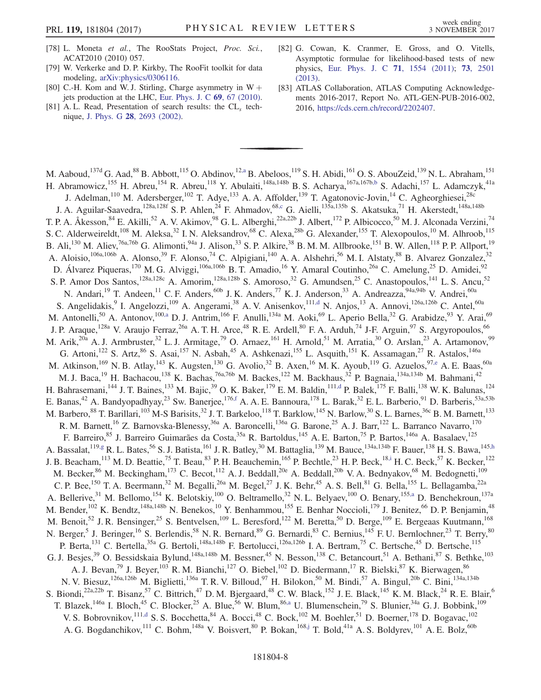- <span id="page-8-0"></span>[78] L. Moneta et al., The RooStats Project, Proc. Sci., ACAT2010 (2010) 057.
- [79] W. Verkerke and D. P. Kirkby, The RooFit toolkit for data modeling, [arXiv:physics/0306116.](http://arXiv.org/abs/physics/0306116)
- <span id="page-8-1"></span>[80] C.-H. Kom and W. J. Stirling, Charge asymmetry in  $W +$ jets production at the LHC, [Eur. Phys. J. C](https://doi.org/10.1140/epjc/s10052-010-1353-z) 69, 67 (2010).
- <span id="page-8-2"></span>[81] A. L. Read, Presentation of search results: the  $CL<sub>s</sub>$  technique, J. Phys. G 28[, 2693 \(2002\).](https://doi.org/10.1088/0954-3899/28/10/313)
- <span id="page-8-3"></span>[82] G. Cowan, K. Cranmer, E. Gross, and O. Vitells, Asymptotic formulae for likelihood-based tests of new physics, [Eur. Phys. J. C](https://doi.org/10.1140/epjc/s10052-011-1554-0) 71, 1554 (2011); 73[, 2501](https://doi.org/10.1140/epjc/s10052-013-2501-z) [\(2013\).](https://doi.org/10.1140/epjc/s10052-013-2501-z)
- <span id="page-8-4"></span>[83] ATLAS Collaboration, ATLAS Computing Acknowledgements 2016-2017, Report No. ATL-GEN-PUB-2016-002, 2016, <https://cds.cern.ch/record/2202407>.

<span id="page-8-13"></span><span id="page-8-12"></span><span id="page-8-11"></span><span id="page-8-10"></span><span id="page-8-9"></span><span id="page-8-8"></span><span id="page-8-7"></span><span id="page-8-6"></span><span id="page-8-5"></span>M. Aaboud, <sup>137d</sup> G. Aad, <sup>88</sup> B. Abbott, <sup>115</sup> O. Abdinov, <sup>12[,a](#page-20-0)</sup> B. Abeloos, <sup>119</sup> S. H. Abidi, <sup>161</sup> O. S. AbouZeid, <sup>139</sup> N. L. Abraham, <sup>151</sup> H. Abramowicz,<sup>155</sup> H. Abreu,<sup>154</sup> R. Abreu,<sup>118</sup> Y. Abulaiti,<sup>148a,148b</sup> B. S. Acharya,<sup>167a,167b[,b](#page-20-1)</sup> S. Adachi,<sup>157</sup> L. Adamczyk,<sup>41a</sup> J. Adelman,<sup>110</sup> M. Adersberger,<sup>102</sup> T. Adye,<sup>133</sup> A. A. Affolder,<sup>139</sup> T. Agatonovic-Jovin,<sup>14</sup> C. Agheorghiesei,<sup>28c</sup> J. A. Aguilar-Saavedra,<sup>128a,128f</sup> S. P. Ahlen,<sup>24</sup> F. Ahmadov,<sup>6[8,c](#page-20-2)</sup> G. Aielli,<sup>135a,135b</sup> S. Akatsuka,<sup>71</sup> H. Akerstedt,<sup>148a,148b</sup> T. P. A. Åkesson, <sup>84</sup> E. Akilli, <sup>52</sup> A. V. Akimov, <sup>98</sup> G. L. Alberghi, <sup>22a, 22b</sup> J. Albert, <sup>172</sup> P. Albicocco, <sup>50</sup> M. J. Alconada Verzini, <sup>74</sup> S. C. Alderweireldt,<sup>108</sup> M. Aleksa,<sup>32</sup> I. N. Aleksandrov,<sup>68</sup> C. Alexa,<sup>28b</sup> G. Alexander,<sup>155</sup> T. Alexopoulos,<sup>10</sup> M. Alhroob,<sup>115</sup> B. Ali,<sup>130</sup> M. Aliev,<sup>76a,76b</sup> G. Alimonti,<sup>94a</sup> J. Alison,<sup>33</sup> S. P. Alkire,<sup>38</sup> B. M. M. Allbrooke,<sup>151</sup> B. W. Allen,<sup>118</sup> P. P. Allport,<sup>19</sup> A. Aloisio,<sup>106a,106b</sup> A. Alonso,<sup>39</sup> F. Alonso,<sup>74</sup> C. Alpigiani,<sup>140</sup> A. A. Alshehri,<sup>56</sup> M. I. Alstaty,<sup>88</sup> B. Alvarez Gonzalez,<sup>32</sup> D. Álvarez Piqueras,<sup>170</sup> M. G. Alviggi,<sup>106a,106b</sup> B. T. Amadio,<sup>16</sup> Y. Amaral Coutinho,<sup>26a</sup> C. Amelung,<sup>25</sup> D. Amidei,<sup>92</sup> S. P. Amor Dos Santos,<sup>128a,128c</sup> A. Amorim,<sup>128a,128b</sup> S. Amoroso,<sup>32</sup> G. Amundsen,<sup>25</sup> C. Anastopoulos,<sup>141</sup> L. S. Ancu,<sup>52</sup> N. Andari,<sup>19</sup> T. Andeen,<sup>11</sup> C. F. Anders,<sup>60b</sup> J. K. Anders,<sup>77</sup> K. J. Anderson,<sup>33</sup> A. Andreazza,<sup>94a,94b</sup> V. Andrei,<sup>60a</sup> S. Angelidakis,<sup>9</sup> I. Angelozzi,<sup>109</sup> A. Angerami,<sup>38</sup> A. V. Anisenkov,<sup>111[,d](#page-20-3)</sup> N. Anjos,<sup>13</sup> A. Annovi,<sup>126a,126b</sup> C. Antel,<sup>60a</sup> M. Antonelli,<sup>50</sup> A. Antonov,<sup>100[,a](#page-20-0)</sup> D. J. Antrim,<sup>166</sup> F. Anulli,<sup>134a</sup> M. Aoki,<sup>69</sup> L. Aperio Bella,<sup>32</sup> G. Arabidze,<sup>93</sup> Y. Arai,<sup>69</sup> J. P. Araque,<sup>128a</sup> V. Araujo Ferraz,<sup>26a</sup> A. T. H. Arce,<sup>48</sup> R. E. Ardell,<sup>80</sup> F. A. Arduh,<sup>74</sup> J-F. Arguin,<sup>97</sup> S. Argyropoulos,<sup>66</sup> M. Arik,<sup>20a</sup> A. J. Armbruster,<sup>32</sup> L. J. Armitage,<sup>79</sup> O. Arnaez,<sup>161</sup> H. Arnold,<sup>51</sup> M. Arratia,<sup>30</sup> O. Arslan,<sup>23</sup> A. Artamonov,<sup>99</sup> G. Artoni,<sup>122</sup> S. Artz,<sup>86</sup> S. Asai,<sup>157</sup> N. Asbah,<sup>45</sup> A. Ashkenazi,<sup>155</sup> L. Asquith,<sup>151</sup> K. Assamagan,<sup>27</sup> R. Astalos,<sup>146a</sup> M. Atkinson,<sup>169</sup> N. B. Atlay,<sup>143</sup> K. Augsten,<sup>130</sup> G. Avolio,<sup>32</sup> B. Axen,<sup>16</sup> M. K. Ayoub,<sup>119</sup> G. Azuelos,<sup>97[,e](#page-20-4)</sup> A. E. Baas,<sup>60a</sup> M. J. Baca,<sup>19</sup> H. Bachacou,<sup>138</sup> K. Bachas,<sup>76a,76b</sup> M. Backes,<sup>122</sup> M. Backhaus,<sup>32</sup> P. Bagnaia,<sup>134a,134b</sup> M. Bahmani,<sup>42</sup> H. Bahrasemani,  $^{144}$  J. T. Baines,  $^{133}$  M. Bajic,  $^{39}$  O. K. Baker,  $^{179}$  E. M. Baldin,  $^{111,d}$  $^{111,d}$  $^{111,d}$  P. Balek,  $^{175}$  F. Balli,  $^{138}$  W. K. Balunas,  $^{124}$ E. Banas,<sup>42</sup> A. Bandyopadhyay,<sup>23</sup> Sw. Banerjee,<sup>17[6,f](#page-20-5)</sup> A. A. E. Bannoura,<sup>178</sup> L. Barak,<sup>32</sup> E. L. Barberio,<sup>91</sup> D. Barberis,<sup>53a,53b</sup> M. Barbero,  $^{88}$  T. Barillari,  $^{103}$  M-S Barisits,  $^{32}$  J. T. Barkeloo,  $^{118}$  T. Barklow,  $^{145}$  N. Barlow,  $^{30}$  S. L. Barnes,  $^{36c}$  B. M. Barnett,  $^{133}$ R. M. Barnett,<sup>16</sup> Z. Barnovska-Blenessy,<sup>36a</sup> A. Baroncelli,<sup>136a</sup> G. Barone,<sup>25</sup> A. J. Barr,<sup>122</sup> L. Barranco Navarro,<sup>170</sup> F. Barreiro, <sup>85</sup> J. Barreiro Guimarães da Costa, <sup>35a</sup> R. Bartoldus, <sup>145</sup> A. E. Barton, <sup>75</sup> P. Bartos, <sup>146a</sup> A. Basalaev, <sup>125</sup> A. Bassalat,  $^{119,g}$  $^{119,g}$  $^{119,g}$  R. L. Bates,  $^{56}$  S. J. Batista,  $^{161}$  J. R. Batley,  $^{30}$  M. Battaglia,  $^{139}$  M. Bauce,  $^{134a,134b}$  F. Bauer,  $^{138}$  H. S. Bawa,  $^{145,h}$  $^{145,h}$  $^{145,h}$ J. B. Beacham,<sup>113</sup> M. D. Beattie,<sup>75</sup> T. Beau,<sup>83</sup> P. H. Beauchemin,<sup>165</sup> P. Bechtle,<sup>23</sup> H. P. Beck,<sup>18[,i](#page-20-8)</sup> H. C. Beck,<sup>57</sup> K. Becker,<sup>122</sup> M. Becker,<sup>86</sup> M. Beckingham,<sup>173</sup> C. Becot,<sup>112</sup> A. J. Beddall,<sup>20e</sup> A. Beddall,<sup>20b</sup> V. A. Bednyakov,<sup>68</sup> M. Bedognetti,<sup>109</sup> C. P. Bee, <sup>150</sup> T. A. Beermann,<sup>32</sup> M. Begalli,<sup>26a</sup> M. Begel,<sup>27</sup> J. K. Behr,<sup>45</sup> A. S. Bell,<sup>81</sup> G. Bella,<sup>155</sup> L. Bellagamba,<sup>22a</sup> A. Bellerive,<sup>31</sup> M. Bellomo,<sup>154</sup> K. Belotskiy,<sup>100</sup> O. Beltramello,<sup>32</sup> N. L. Belyaev,<sup>100</sup> O. Benary,<sup>15[5,a](#page-20-0)</sup> D. Benchekroun,<sup>137a</sup> M. Bender, <sup>102</sup> K. Bendtz, <sup>148a, 148b</sup> N. Benekos, <sup>10</sup> Y. Benhammou, <sup>155</sup> E. Benhar Noccioli, <sup>179</sup> J. Benitez, <sup>66</sup> D. P. Benjamin, <sup>48</sup> M. Benoit,<sup>52</sup> J. R. Bensinger,<sup>25</sup> S. Bentvelsen,<sup>109</sup> L. Beresford,<sup>122</sup> M. Beretta,<sup>50</sup> D. Berge,<sup>109</sup> E. Bergeaas Kuutmann,<sup>168</sup> N. Berger,<sup>5</sup> J. Beringer,<sup>16</sup> S. Berlendis,<sup>58</sup> N. R. Bernard,<sup>89</sup> G. Bernardi,<sup>83</sup> C. Bernius,<sup>145</sup> F. U. Bernlochner,<sup>23</sup> T. Berry,<sup>80</sup> P. Berta,<sup>131</sup> C. Bertella,<sup>35a</sup> G. Bertoli,<sup>148a,148b</sup> F. Bertolucci,<sup>126a,126b</sup> I. A. Bertram,<sup>75</sup> C. Bertsche,<sup>45</sup> D. Bertsche,<sup>115</sup> G. J. Besjes,<sup>39</sup> O. Bessidskaia Bylund,<sup>148a,148b</sup> M. Bessner,<sup>45</sup> N. Besson,<sup>138</sup> C. Betancourt,<sup>51</sup> A. Bethani,<sup>87</sup> S. Bethke,<sup>103</sup> A. J. Bevan,<sup>79</sup> J. Beyer,<sup>103</sup> R. M. Bianchi,<sup>127</sup> O. Biebel,<sup>102</sup> D. Biedermann,<sup>17</sup> R. Bielski,<sup>87</sup> K. Bierwagen,<sup>86</sup> N. V. Biesuz,<sup>126a,126b</sup> M. Biglietti,<sup>136a</sup> T. R. V. Billoud,<sup>97</sup> H. Bilokon,<sup>50</sup> M. Bindi,<sup>57</sup> A. Bingul,<sup>20b</sup> C. Bini,<sup>134a,134b</sup> S. Biondi,<sup>22a,22b</sup> T. Bisanz,<sup>57</sup> C. Bittrich,<sup>47</sup> D. M. Bjergaard,<sup>48</sup> C. W. Black,<sup>152</sup> J. E. Black,<sup>145</sup> K. M. Black,<sup>24</sup> R. E. Blair,<sup>6</sup> T. Blazek,<sup>146a</sup> I. Bloch,<sup>45</sup> C. Blocker,<sup>25</sup> A. Blue,<sup>56</sup> W. Blum,<sup>8[6,a](#page-20-0)</sup> U. Blumenschein,<sup>79</sup> S. Blunier,<sup>34a</sup> G. J. Bobbink,<sup>109</sup> V. S. Bobrovnikov, <sup>111[,d](#page-20-3)</sup> S. S. Bocchetta, <sup>84</sup> A. Bocci, <sup>48</sup> C. Bock, <sup>102</sup> M. Boehler, <sup>51</sup> D. Boerner, <sup>178</sup> D. Bogavac, <sup>102</sup> A. G. Bogdanchikov,<sup>111</sup> C. Bohm,<sup>148a</sup> V. Boisvert,<sup>80</sup> P. Bokan,<sup>168[,j](#page-20-9)</sup> T. Bold,<sup>41a</sup> A. S. Boldyrev,<sup>101</sup> A. E. Bolz,<sup>60b</sup>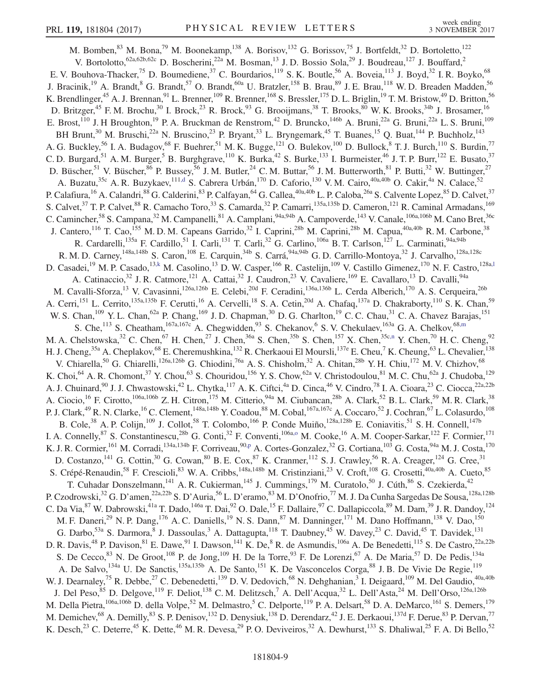<span id="page-9-4"></span><span id="page-9-3"></span><span id="page-9-2"></span><span id="page-9-1"></span><span id="page-9-0"></span>M. Bomben,<sup>83</sup> M. Bona,<sup>79</sup> M. Boonekamp,<sup>138</sup> A. Borisov,<sup>132</sup> G. Borissov,<sup>75</sup> J. Bortfeldt,<sup>32</sup> D. Bortoletto,<sup>122</sup> V. Bortolotto,  $62a,62b,62c$  D. Boscherini,  $22a$  M. Bosman,  $13$  J. D. Bossio Sola,  $29$  J. Boudreau,  $127$  J. Bouffard,  $2$ E. V. Bouhova-Thacker,<sup>75</sup> D. Boumediene,<sup>37</sup> C. Bourdarios,<sup>119</sup> S. K. Boutle,<sup>56</sup> A. Boveia,<sup>113</sup> J. Boyd,<sup>32</sup> I. R. Boyko,<sup>68</sup> J. Bracinik,<sup>19</sup> A. Brandt,<sup>8</sup> G. Brandt,<sup>57</sup> O. Brandt,<sup>60a</sup> U. Bratzler,<sup>158</sup> B. Brau,<sup>89</sup> J. E. Brau,<sup>118</sup> W. D. Breaden Madden,<sup>56</sup> K. Brendlinger,<sup>45</sup> A. J. Brennan,<sup>91</sup> L. Brenner,<sup>109</sup> R. Brenner,<sup>168</sup> S. Bressler,<sup>175</sup> D. L. Briglin,<sup>19</sup> T. M. Bristow,<sup>49</sup> D. Britton,<sup>56</sup> D. Britzger,<sup>45</sup> F. M. Brochu,<sup>30</sup> I. Brock,<sup>23</sup> R. Brock,<sup>93</sup> G. Brooijmans,<sup>38</sup> T. Brooks,<sup>80</sup> W. K. Brooks,<sup>34b</sup> J. Brosamer,<sup>16</sup> E. Brost,<sup>110</sup> J. H Broughton,<sup>19</sup> P. A. Bruckman de Renstrom,<sup>42</sup> D. Bruncko,<sup>146b</sup> A. Bruni,<sup>22a</sup> G. Bruni,<sup>22a</sup> L. S. Bruni,<sup>109</sup> BH Brunt,<sup>30</sup> M. Bruschi,<sup>22a</sup> N. Bruscino,<sup>23</sup> P. Bryant,<sup>33</sup> L. Bryngemark,<sup>45</sup> T. Buanes,<sup>15</sup> Q. Buat,<sup>144</sup> P. Buchholz,<sup>143</sup> A. G. Buckley, <sup>56</sup> I. A. Budagov, <sup>68</sup> F. Buehrer, <sup>51</sup> M. K. Bugge, <sup>121</sup> O. Bulekov, <sup>100</sup> D. Bullock,  $8$  T. J. Burch,  $110$  S. Burdin,  $77$ C. D. Burgard,<sup>51</sup> A. M. Burger,<sup>5</sup> B. Burghgrave,<sup>110</sup> K. Burka,<sup>42</sup> S. Burke,<sup>133</sup> I. Burmeister,<sup>46</sup> J. T. P. Burr,<sup>122</sup> E. Busato,<sup>37</sup> D. Büscher,<sup>51</sup> V. Büscher,<sup>86</sup> P. Bussey,<sup>56</sup> J. M. Butler,<sup>24</sup> C. M. Buttar,<sup>56</sup> J. M. Butterworth,<sup>81</sup> P. Butti,<sup>32</sup> W. Buttinger,<sup>27</sup> A. Buzatu,<sup>35c</sup> A. R. Buzykaev,<sup>11[1,d](#page-20-3)</sup> S. Cabrera Urbán,<sup>170</sup> D. Caforio,<sup>130</sup> V. M. Cairo,<sup>40a,40b</sup> O. Cakir,<sup>4a</sup> N. Calace,<sup>52</sup> P. Calafiura, <sup>16</sup> A. Calandri, <sup>88</sup> G. Calderini, <sup>83</sup> P. Calfayan, <sup>64</sup> G. Callea, <sup>40a, 40b</sup> L. P. Caloba, <sup>26a</sup> S. Calvente Lopez, <sup>85</sup> D. Calvet, <sup>37</sup> S. Calvet,  $37$  T. P. Calvet,  $88$  R. Camacho Toro,  $33$  S. Camarda,  $32$  P. Camarri,  $155a,135b$  D. Cameron,  $121$  R. Caminal Armadans,  $169$ C. Camincher,<sup>58</sup> S. Campana,<sup>32</sup> M. Campanelli,<sup>81</sup> A. Camplani,<sup>94a,94b</sup> A. Campoverde,<sup>143</sup> V. Canale,<sup>106a,106b</sup> M. Cano Bret,<sup>36c</sup> J. Cantero,<sup>116</sup> T. Cao,<sup>155</sup> M. D. M. Capeans Garrido,<sup>32</sup> I. Caprini,<sup>28b</sup> M. Caprini,<sup>28b</sup> M. Capua,<sup>40a,40b</sup> R. M. Carbone,<sup>38</sup> R. Cardarelli,<sup>135a</sup> F. Cardillo,<sup>51</sup> I. Carli,<sup>131</sup> T. Carli,<sup>32</sup> G. Carlino,<sup>106a</sup> B. T. Carlson,<sup>127</sup> L. Carminati,<sup>94a,94b</sup> R. M. D. Carney, <sup>148a, 148b</sup> S. Caron, <sup>108</sup> E. Carquin, <sup>34b</sup> S. Carrá, <sup>94a, 94b</sup> G. D. Carrillo-Montoya, <sup>32</sup> J. Carvalho, <sup>128a, 128c</sup> D. Casadei,<sup>19</sup> M. P. Casado,<sup>1[3,k](#page-20-10)</sup> M. Casolino,<sup>13</sup> D. W. Casper,<sup>166</sup> R. Castelijn,<sup>109</sup> V. Castillo Gimenez,<sup>170</sup> N. F. Castro,<sup>128[a,l](#page-20-11)</sup> A. Catinaccio,<sup>32</sup> J. R. Catmore,<sup>121</sup> A. Cattai,<sup>32</sup> J. Caudron,<sup>23</sup> V. Cavaliere,<sup>169</sup> E. Cavallaro,<sup>13</sup> D. Cavalli,<sup>94a</sup> M. Cavalli-Sforza,<sup>13</sup> V. Cavasinni,<sup>126a,126b</sup> E. Celebi,<sup>20d</sup> F. Ceradini,<sup>136a,136b</sup> L. Cerda Alberich,<sup>170</sup> A. S. Cerqueira,<sup>26b</sup> A. Cerri,<sup>151</sup> L. Cerrito,<sup>135a,135b</sup> F. Cerutti,<sup>16</sup> A. Cervelli,<sup>18</sup> S. A. Cetin,<sup>20d</sup> A. Chafaq,<sup>137a</sup> D. Chakraborty,<sup>110</sup> S. K. Chan,<sup>59</sup> W. S. Chan,  $^{109}$  Y. L. Chan,  $^{62a}$  P. Chang,  $^{169}$  J. D. Chapman,  $^{30}$  D. G. Charlton,  $^{19}$  C. C. Chau,  $^{31}$  C. A. Chavez Barajas,  $^{151}$ S. Che,  $^{113}$  S. Cheatham,  $^{167a,167c}$  A. Chegwidden,  $^{93}$  S. Chekanov,  $^{6}$  S. V. Chekulaev,  $^{163a}$  G. A. Chelkov,  $^{68,m}$  $^{68,m}$  $^{68,m}$ M. A. Chelstowska,<sup>32</sup> C. Chen,<sup>67</sup> H. Chen,<sup>27</sup> J. Chen,<sup>36a</sup> S. Chen,<sup>35b</sup> S. Chen,<sup>157</sup> X. Chen,<sup>35[c,n](#page-20-13)</sup> Y. Chen,<sup>70</sup> H. C. Cheng,<sup>92</sup> H. J. Cheng,<sup>35a</sup> A. Cheplakov,<sup>68</sup> E. Cheremushkina,<sup>132</sup> R. Cherkaoui El Moursli,<sup>137e</sup> E. Cheu,<sup>7</sup> K. Cheung,<sup>63</sup> L. Chevalier,<sup>138</sup> V. Chiarella,<sup>50</sup> G. Chiarelli,<sup>126a,126b</sup> G. Chiodini,<sup>76a</sup> A. S. Chisholm,<sup>32</sup> A. Chitan,<sup>28b</sup> Y. H. Chiu,<sup>172</sup> M. V. Chizhov,<sup>68</sup> K. Choi,<sup>64</sup> A. R. Chomont,<sup>37</sup> Y. Chou,<sup>63</sup> S. Chouridou,<sup>156</sup> Y. S. Chow,<sup>62a</sup> V. Christodoulou,<sup>81</sup> M. C. Chu,<sup>62a</sup> J. Chudoba,<sup>129</sup> A. J. Chuinard,  $90$  J. J. Chwastowski,  $42$  L. Chytka,  $^{117}$  A. K. Ciftci,  $^{4a}$  D. Cinca,  $^{46}$  V. Cindro,  $^{78}$  I. A. Cioara,  $^{23}$  C. Ciocca,  $^{22a,22b}$ A. Ciocio,<sup>16</sup> F. Cirotto,<sup>106a,106b</sup> Z. H. Citron,<sup>175</sup> M. Citterio,<sup>94a</sup> M. Ciubancan,<sup>28b</sup> A. Clark,<sup>52</sup> B. L. Clark,<sup>59</sup> M. R. Clark,<sup>38</sup> P. J. Clark,<sup>49</sup> R. N. Clarke,<sup>16</sup> C. Clement,<sup>148a,148b</sup> Y. Coadou,<sup>88</sup> M. Cobal,<sup>167a,167c</sup> A. Coccaro,<sup>52</sup> J. Cochran,<sup>67</sup> L. Colasurdo,<sup>108</sup> B. Cole,<sup>38</sup> A. P. Colijn,<sup>109</sup> J. Collot,<sup>58</sup> T. Colombo,<sup>166</sup> P. Conde Muiño,<sup>128a,128b</sup> E. Coniavitis,<sup>51</sup> S. H. Connell,<sup>147b</sup> I. A. Connelly, <sup>87</sup> S. Constantinescu, <sup>28b</sup> G. Conti, <sup>32</sup> F. Conventi, <sup>106a[,o](#page-20-14)</sup> M. Cooke, <sup>16</sup> A. M. Cooper-Sarkar, <sup>122</sup> F. Cormier, <sup>171</sup> K. J. R. Cormier,<sup>161</sup> M. Corradi,<sup>134a,134b</sup> F. Corriveau,<sup>90[,p](#page-20-15)</sup> A. Cortes-Gonzalez,<sup>32</sup> G. Cortiana,<sup>103</sup> G. Costa,<sup>94a</sup> M. J. Costa,<sup>170</sup> D. Costanzo,<sup>141</sup> G. Cottin,<sup>30</sup> G. Cowan,<sup>80</sup> B. E. Cox,<sup>87</sup> K. Cranmer,<sup>112</sup> S. J. Crawley,<sup>56</sup> R. A. Creager,<sup>124</sup> G. Cree,<sup>31</sup> S. Crépé-Renaudin,<sup>58</sup> F. Crescioli,<sup>83</sup> W. A. Cribbs,<sup>148a,148b</sup> M. Cristinziani,<sup>23</sup> V. Croft,<sup>108</sup> G. Crosetti,<sup>40a,40b</sup> A. Cueto,<sup>85</sup> T. Cuhadar Donszelmann, <sup>141</sup> A. R. Cukierman, <sup>145</sup> J. Cummings, <sup>179</sup> M. Curatolo, <sup>50</sup> J. Cúth, <sup>86</sup> S. Czekierda, <sup>42</sup> P. Czodrowski,<sup>32</sup> G. D'amen,<sup>22a,22b</sup> S. D'Auria,<sup>56</sup> L. D'eramo,<sup>83</sup> M. D'Onofrio,<sup>77</sup> M. J. Da Cunha Sargedas De Sousa,<sup>128a,128b</sup> C. Da Via,  $87$  W. Dabrowski,  $4^{1a}$  T. Dado,  $146a$  T. Dai,  $92$  O. Dale,  $15$  F. Dallaire,  $97$  C. Dallapiccola,  $89$  M. Dam,  $39$  J. R. Dandoy,  $124$ M. F. Daneri,<sup>29</sup> N. P. Dang,<sup>176</sup> A. C. Daniells,<sup>19</sup> N. S. Dann,<sup>87</sup> M. Danninger,<sup>171</sup> M. Dano Hoffmann,<sup>138</sup> V. Dao,<sup>150</sup> G. Darbo,<sup>53a</sup> S. Darmora, <sup>8</sup> J. Dassoulas, <sup>3</sup> A. Dattagupta, <sup>118</sup> T. Daubney, <sup>45</sup> W. Davey, <sup>23</sup> C. David, <sup>45</sup> T. Davidek, <sup>131</sup> D. R. Davis,<sup>48</sup> P. Davison,<sup>81</sup> E. Dawe,<sup>91</sup> I. Dawson,<sup>141</sup> K. De,<sup>8</sup> R. de Asmundis,<sup>106a</sup> A. De Benedetti,<sup>115</sup> S. De Castro,<sup>22a,22b</sup> S. De Cecco,<sup>83</sup> N. De Groot,<sup>108</sup> P. de Jong,<sup>109</sup> H. De la Torre,<sup>93</sup> F. De Lorenzi,<sup>67</sup> A. De Maria,<sup>57</sup> D. De Pedis,<sup>134a</sup> A. De Salvo,<sup>134a</sup> U. De Sanctis,<sup>135a,135b</sup> A. De Santo,<sup>151</sup> K. De Vasconcelos Corga,<sup>88</sup> J. B. De Vivie De Regie,<sup>119</sup> W. J. Dearnaley,<sup>75</sup> R. Debbe,<sup>27</sup> C. Debenedetti,<sup>139</sup> D. V. Dedovich,<sup>68</sup> N. Dehghanian,<sup>3</sup> I. Deigaard,<sup>109</sup> M. Del Gaudio,<sup>40a,40b</sup> J. Del Peso,<sup>85</sup> D. Delgove,<sup>119</sup> F. Deliot,<sup>138</sup> C. M. Delitzsch,<sup>7</sup> A. Dell'Acqua,<sup>32</sup> L. Dell'Asta,<sup>24</sup> M. Dell'Orso,<sup>126a,126b</sup> M. Della Pietra,<sup>106a,106b</sup> D. della Volpe,<sup>52</sup> M. Delmastro,<sup>5</sup> C. Delporte,<sup>119</sup> P. A. Delsart,<sup>58</sup> D. A. DeMarco,<sup>161</sup> S. Demers,<sup>179</sup> M. Demichev, <sup>68</sup> A. Demilly, <sup>83</sup> S. P. Denisov, <sup>132</sup> D. Denysiuk, <sup>138</sup> D. Derendarz, <sup>42</sup> J. E. Derkaoui, <sup>137d</sup> F. Derue, <sup>83</sup> P. Dervan, <sup>77</sup> K. Desch,<sup>23</sup> C. Deterre,<sup>45</sup> K. Dette,<sup>46</sup> M. R. Devesa,<sup>29</sup> P. O. Deviveiros,<sup>32</sup> A. Dewhurst,<sup>133</sup> S. Dhaliwal,<sup>25</sup> F. A. Di Bello,<sup>52</sup>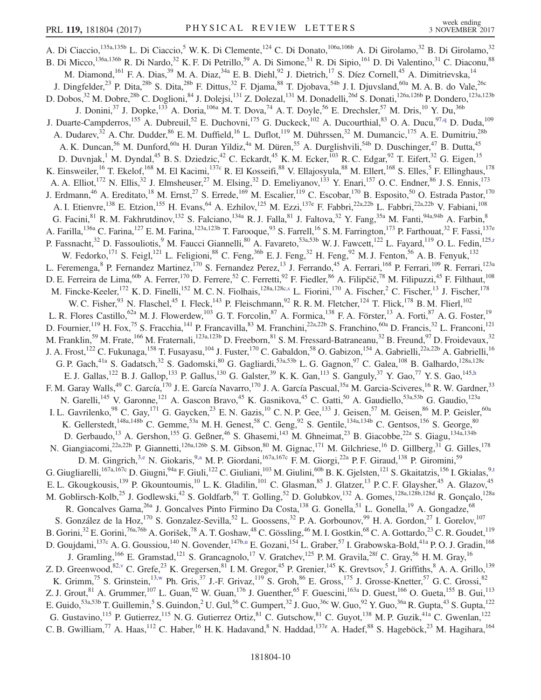<span id="page-10-6"></span><span id="page-10-5"></span><span id="page-10-4"></span><span id="page-10-3"></span><span id="page-10-2"></span><span id="page-10-1"></span><span id="page-10-0"></span>A. Di Ciaccio,<sup>135a,135b</sup> L. Di Ciaccio,<sup>5</sup> W. K. Di Clemente,<sup>124</sup> C. Di Donato,<sup>106a,106b</sup> A. Di Girolamo,<sup>32</sup> B. Di Girolamo,<sup>32</sup> B. Di Micco,<sup>136a,136b</sup> R. Di Nardo,<sup>32</sup> K. F. Di Petrillo,<sup>59</sup> A. Di Simone,<sup>51</sup> R. Di Sipio,<sup>161</sup> D. Di Valentino,<sup>31</sup> C. Diaconu,<sup>88</sup> M. Diamond, <sup>161</sup> F. A. Dias, <sup>39</sup> M. A. Diaz, <sup>34a</sup> E. B. Diehl, <sup>92</sup> J. Dietrich, <sup>17</sup> S. Díez Cornell, <sup>45</sup> A. Dimitrievska, <sup>14</sup> J. Dingfelder,<sup>23</sup> P. Dita,<sup>28b</sup> S. Dita,<sup>28b</sup> F. Dittus,<sup>32</sup> F. Djama,<sup>88</sup> T. Djobava,<sup>54b</sup> J. I. Djuvsland,<sup>60a</sup> M. A. B. do Vale,<sup>26c</sup> D. Dobos,<sup>32</sup> M. Dobre,<sup>28b</sup> C. Doglioni,<sup>84</sup> J. Dolejsi,<sup>131</sup> Z. Dolezal,<sup>131</sup> M. Donadelli,<sup>26d</sup> S. Donati,<sup>126a,126b</sup> P. Dondero,<sup>123a,123b</sup> J. Donini,<sup>37</sup> J. Dopke,<sup>133</sup> A. Doria,<sup>106a</sup> M. T. Dova,<sup>74</sup> A. T. Doyle,<sup>56</sup> E. Drechsler,<sup>57</sup> M. Dris,<sup>10</sup> Y. Du,<sup>36b</sup> J. Duarte-Campderros,<sup>155</sup> A. Dubreuil,<sup>52</sup> E. Duchovni,<sup>175</sup> G. Duckeck,<sup>102</sup> A. Ducourthial,<sup>83</sup> O. A. Ducu,<sup>9[7,q](#page-20-16)</sup> D. Duda,<sup>109</sup> A. Dudarev,<sup>32</sup> A. Chr. Dudder,<sup>86</sup> E. M. Duffield,<sup>16</sup> L. Duflot,<sup>119</sup> M. Dührssen,<sup>32</sup> M. Dumancic,<sup>175</sup> A. E. Dumitriu,<sup>28b</sup> A. K. Duncan, <sup>56</sup> M. Dunford, <sup>60a</sup> H. Duran Yildiz, <sup>4a</sup> M. Düren, <sup>55</sup> A. Durglishvili, <sup>54b</sup> D. Duschinger, <sup>47</sup> B. Dutta, <sup>45</sup> D. Duvnjak,<sup>1</sup> M. Dyndal,<sup>45</sup> B. S. Dziedzic,<sup>42</sup> C. Eckardt,<sup>45</sup> K. M. Ecker,<sup>103</sup> R. C. Edgar,<sup>92</sup> T. Eifert,<sup>32</sup> G. Eigen,<sup>15</sup> K. Einsweiler,<sup>16</sup> T. Ekelof,<sup>168</sup> M. El Kacimi,<sup>137c</sup> R. El Kosseifi,<sup>88</sup> V. Ellajosyula,<sup>88</sup> M. Ellert,<sup>168</sup> S. Elles,<sup>5</sup> F. Ellinghaus,<sup>178</sup> A. A. Elliot,<sup>172</sup> N. Ellis,<sup>32</sup> J. Elmsheuser,<sup>27</sup> M. Elsing,<sup>32</sup> D. Emeliyanov,<sup>133</sup> Y. Enari,<sup>157</sup> O. C. Endner,<sup>86</sup> J. S. Ennis,<sup>173</sup> J. Erdmann,<sup>46</sup> A. Ereditato,<sup>18</sup> M. Ernst,<sup>27</sup> S. Errede,<sup>169</sup> M. Escalier,<sup>119</sup> C. Escobar,<sup>170</sup> B. Esposito,<sup>50</sup> O. Estrada Pastor,<sup>170</sup> A. I. Etienvre,<sup>138</sup> E. Etzion,<sup>155</sup> H. Evans,<sup>64</sup> A. Ezhilov,<sup>125</sup> M. Ezzi,<sup>137e</sup> F. Fabbri,<sup>22a,22b</sup> L. Fabbri,<sup>22a,22b</sup> V. Fabiani,<sup>108</sup> G. Facini,  $81$  R. M. Fakhrutdinov,  $132$  S. Falciano,  $134a$  R. J. Falla,  $81$  J. Faltova,  $32$  Y. Fang,  $35a$  M. Fanti,  $94a,94b$  A. Farbin,  $8$ A. Farilla, <sup>136a</sup> C. Farina, <sup>127</sup> E. M. Farina, <sup>123a,123b</sup> T. Farooque, <sup>93</sup> S. Farrell, <sup>16</sup> S. M. Farrington, <sup>173</sup> P. Farthouat, <sup>32</sup> F. Fassi, <sup>137e</sup> P. Fassnacht,<sup>32</sup> D. Fassouliotis,<sup>9</sup> M. Faucci Giannelli,<sup>80</sup> A. Favareto,<sup>53a,53b</sup> W. J. Fawcett,<sup>122</sup> L. Fayard,<sup>119</sup> O. L. Fedin,<sup>125[,r](#page-20-17)</sup> W. Fedorko, <sup>171</sup> S. Feigl, <sup>121</sup> L. Feligioni, <sup>88</sup> C. Feng, <sup>36b</sup> E. J. Feng, <sup>32</sup> H. Feng, <sup>92</sup> M. J. Fenton, <sup>56</sup> A. B. Fenyuk, <sup>132</sup> L. Feremenga, <sup>8</sup> P. Fernandez Martinez, <sup>170</sup> S. Fernandez Perez, <sup>13</sup> J. Ferrando, <sup>45</sup> A. Ferrari, <sup>168</sup> P. Ferrari, <sup>109</sup> R. Ferrari, <sup>123a</sup> D. E. Ferreira de Lima,<sup>60b</sup> A. Ferrer,<sup>170</sup> D. Ferrere,<sup>52</sup> C. Ferretti,<sup>92</sup> F. Fiedler,<sup>86</sup> A. Filipčič,<sup>78</sup> M. Filipuzzi,<sup>45</sup> F. Filthaut,<sup>108</sup> M. Fincke-Keeler,<sup>172</sup> K. D. Finelli,<sup>152</sup> M. C. N. Fiolhais,<sup>128a,128c[,s](#page-20-18)</sup> L. Fiorini,<sup>170</sup> A. Fischer,<sup>2</sup> C. Fischer,<sup>13</sup> J. Fischer,<sup>178</sup> W. C. Fisher,  $93$  N. Flaschel,  $45$  I. Fleck,  $143$  P. Fleischmann,  $92$  R. R. M. Fletcher,  $124$  T. Flick,  $178$  B. M. Flierl,  $102$ L. R. Flores Castillo,<sup>62a</sup> M. J. Flowerdew,<sup>103</sup> G. T. Forcolin,<sup>87</sup> A. Formica,<sup>138</sup> F. A. Förster,<sup>13</sup> A. Forti,<sup>87</sup> A. G. Foster,<sup>19</sup> D. Fournier, <sup>119</sup> H. Fox, <sup>75</sup> S. Fracchia, <sup>141</sup> P. Francavilla, <sup>83</sup> M. Franchini, <sup>22a, 22b</sup> S. Franchino, <sup>60a</sup> D. Francis, <sup>32</sup> L. Franconi, <sup>121</sup> M. Franklin,<sup>59</sup> M. Frate,<sup>166</sup> M. Fraternali,<sup>123a,123b</sup> D. Freeborn,<sup>81</sup> S. M. Fressard-Batraneanu,<sup>32</sup> B. Freund,<sup>97</sup> D. Froidevaux,<sup>32</sup> J. A. Frost,<sup>122</sup> C. Fukunaga,<sup>158</sup> T. Fusayasu,<sup>104</sup> J. Fuster,<sup>170</sup> C. Gabaldon,<sup>58</sup> O. Gabizon,<sup>154</sup> A. Gabrielli,<sup>22a,22b</sup> A. Gabrielli,<sup>16</sup> G. P. Gach,<sup>41a</sup> S. Gadatsch,<sup>32</sup> S. Gadomski,<sup>80</sup> G. Gagliardi,<sup>53a,53b</sup> L. G. Gagnon,<sup>97</sup> C. Galea,<sup>108</sup> B. Galhardo,<sup>128a,128c</sup> E. J. Gallas,<sup>122</sup> B. J. Gallop,<sup>133</sup> P. Gallus,<sup>130</sup> G. Galster,<sup>39</sup> K. K. Gan,<sup>113</sup> S. Ganguly,<sup>37</sup> Y. Gao,<sup>77</sup> Y. S. Gao,<sup>14[5,h](#page-20-7)</sup> F. M. Garay Walls,<sup>49</sup> C. García,<sup>170</sup> J. E. García Navarro,<sup>170</sup> J. A. García Pascual,<sup>35a</sup> M. Garcia-Sciveres,<sup>16</sup> R. W. Gardner,<sup>33</sup> N. Garelli,<sup>145</sup> V. Garonne,<sup>121</sup> A. Gascon Bravo,<sup>45</sup> K. Gasnikova,<sup>45</sup> C. Gatti,<sup>50</sup> A. Gaudiello,<sup>53a,53b</sup> G. Gaudio,<sup>123a</sup> I. L. Gavrilenko,  $98$  C. Gay,  $^{171}$  G. Gaycken,  $^{23}$  E. N. Gazis,  $^{10}$  C. N. P. Gee,  $^{133}$  J. Geisen,  $^{57}$  M. Geisen,  $^{86}$  M. P. Geisler,  $^{60a}$ K. Gellerstedt,  $^{148a,148b}$  C. Gemme,  $^{53a}$  M. H. Genest,  $^{58}$  C. Geng,  $^{92}$  S. Gentile,  $^{134a,134b}$  C. Gentsos,  $^{156}$  S. George,  $^{80}$ D. Gerbaudo,<sup>13</sup> A. Gershon,<sup>155</sup> G. Geßner,<sup>46</sup> S. Ghasemi,<sup>143</sup> M. Ghneimat,<sup>23</sup> B. Giacobbe,<sup>22a</sup> S. Giagu,<sup>134a,134b</sup> N. Giangiacomi,<sup>22a,22b</sup> P. Giannetti,<sup>126a,126b</sup> S.M. Gibson,<sup>80</sup> M. Gignac,<sup>171</sup> M. Gilchriese,<sup>16</sup> D. Gillberg,<sup>31</sup> G. Gilles,<sup>178</sup> D. M. Gingrich,<sup>[3,e](#page-20-4)</sup> N. Giokaris,<sup>9[,a](#page-20-0)</sup> M. P. Giordani,<sup>167a,167c</sup> F. M. Giorgi,<sup>22a</sup> P. F. Giraud,<sup>138</sup> P. Giromini,<sup>59</sup> G. Giugliarelli,<sup>167a,167c</sup> D. Giugni,<sup>94a</sup> F. Giuli,<sup>122</sup> C. Giuliani,<sup>103</sup> M. Giulini,<sup>60b</sup> B. K. Gjelsten,<sup>121</sup> S. Gkaitatzis,<sup>156</sup> I. Gkialas,<sup>[9,t](#page-20-19)</sup> E. L. Gkougkousis,<sup>139</sup> P. Gkountoumis,<sup>10</sup> L. K. Gladilin,<sup>101</sup> C. Glasman,<sup>85</sup> J. Glatzer,<sup>13</sup> P. C. F. Glaysher,<sup>45</sup> A. Glazov,<sup>45</sup> M. Goblirsch-Kolb,<sup>25</sup> J. Godlewski,<sup>42</sup> S. Goldfarb,<sup>91</sup> T. Golling,<sup>52</sup> D. Golubkov,<sup>132</sup> A. Gomes,<sup>128a,128b,128d</sup> R. Gonçalo,<sup>128a</sup> R. Goncalves Gama,<sup>26a</sup> J. Goncalves Pinto Firmino Da Costa,<sup>138</sup> G. Gonella,<sup>51</sup> L. Gonella,<sup>19</sup> A. Gongadze,<sup>68</sup> S. González de la Hoz,<sup>170</sup> S. Gonzalez-Sevilla,<sup>52</sup> L. Goossens,<sup>32</sup> P. A. Gorbounov,<sup>99</sup> H. A. Gordon,<sup>27</sup> I. Gorelov,<sup>107</sup> B. Gorini,<sup>32</sup> E. Gorini,<sup>76a,76b</sup> A. Gorišek,<sup>78</sup> A. T. Goshaw,<sup>48</sup> C. Gössling,<sup>46</sup> M. I. Gostkin,<sup>68</sup> C. A. Gottardo,<sup>23</sup> C. R. Goudet,<sup>119</sup> D. Goujdami,<sup>137c</sup> A. G. Goussiou,<sup>140</sup> N. Govender,<sup>147[b,u](#page-20-20)</sup> E. Gozani,<sup>154</sup> L. Graber,<sup>57</sup> I. Grabowska-Bold,<sup>41a</sup> P. O. J. Gradin,<sup>168</sup> J. Gramling,<sup>166</sup> E. Gramstad,<sup>121</sup> S. Grancagnolo,<sup>17</sup> V. Gratchev,<sup>125</sup> P.M. Gravila,<sup>28f</sup> C. Gray,<sup>56</sup> H.M. Gray,<sup>16</sup> Z. D. Greenwood,  $82, v$  C. Grefe,  $23$  K. Gregersen,  $81$  I. M. Gregor,  $45$  P. Grenier,  $145$  K. Grevtsov,  $5$  J. Griffiths,  $8$  A. A. Grillo,  $139$ K. Grimm,<sup>75</sup> S. Grinstein,<sup>1[3,w](#page-20-22)</sup> Ph. Gris,<sup>37</sup> J.-F. Grivaz,<sup>119</sup> S. Groh,<sup>86</sup> E. Gross,<sup>175</sup> J. Grosse-Knetter,<sup>57</sup> G. C. Grossi,<sup>82</sup> Z. J. Grout, <sup>81</sup> A. Grummer, <sup>107</sup> L. Guan, <sup>92</sup> W. Guan, <sup>176</sup> J. Guenther, <sup>65</sup> F. Guescini, <sup>163a</sup> D. Guest, <sup>166</sup> O. Gueta, <sup>155</sup> B. Gui, <sup>113</sup> E. Guido,  $53a,53b$  T. Guillemin,  $5$  S. Guindon,  $^2$  U. Gul,  $^{56}$  C. Gumpert,  $^{32}$  J. Guo,  $^{36c}$  W. Guo,  $^{92}$  Y. Guo,  $^{36a}$  R. Gupta,  $^{43}$  S. Gupta,  $^{122}$ G. Gustavino,  $^{115}$  P. Gutierrez,  $^{115}$  N. G. Gutierrez Ortiz,  $^{81}$  C. Gutschow,  $^{81}$  C. Guyot,  $^{138}$  M. P. Guzik,  $^{41a}$  C. Gwenlan,  $^{122}$ C. B. Gwilliam,<sup>77</sup> A. Haas,<sup>112</sup> C. Haber,<sup>16</sup> H. K. Hadavand,<sup>8</sup> N. Haddad,<sup>137e</sup> A. Hadef,<sup>88</sup> S. Hageböck,<sup>23</sup> M. Hagihara,<sup>164</sup>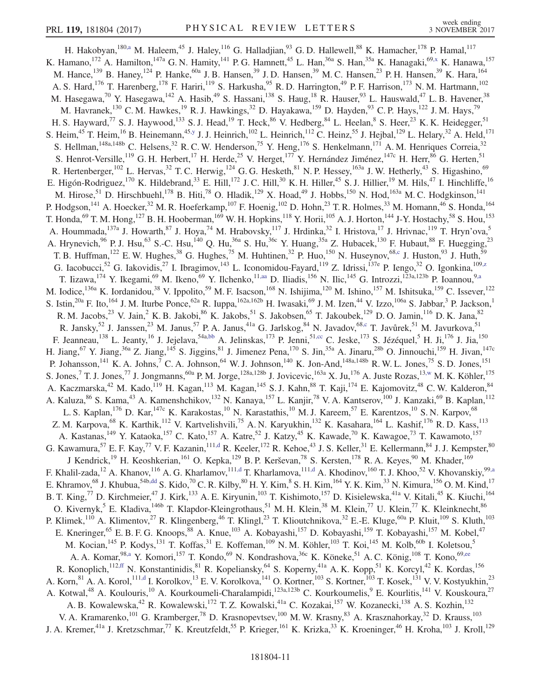<span id="page-11-7"></span><span id="page-11-6"></span><span id="page-11-5"></span><span id="page-11-4"></span><span id="page-11-3"></span><span id="page-11-2"></span><span id="page-11-1"></span><span id="page-11-0"></span>H. Hakobyan,<sup>18[0,a](#page-20-0)</sup> M. Haleem,<sup>45</sup> J. Haley,<sup>116</sup> G. Halladjian,<sup>93</sup> G.D. Hallewell,<sup>88</sup> K. Hamacher,<sup>178</sup> P. Hamal,<sup>117</sup> K. Hamano, <sup>172</sup> A. Hamilton, <sup>147a</sup> G. N. Hamity, <sup>141</sup> P. G. Hamnett, <sup>45</sup> L. Han, <sup>36a</sup> S. Han, <sup>35a</sup> K. Hanagaki, <sup>6[9,x](#page-20-23)</sup> K. Hanawa, <sup>157</sup> M. Hance,<sup>139</sup> B. Haney,<sup>124</sup> P. Hanke,<sup>60a</sup> J. B. Hansen,<sup>39</sup> J. D. Hansen,<sup>39</sup> M. C. Hansen,<sup>23</sup> P. H. Hansen,<sup>39</sup> K. Hara,<sup>164</sup> A. S. Hard, <sup>176</sup> T. Harenberg, <sup>178</sup> F. Hariri, <sup>119</sup> S. Harkusha, <sup>95</sup> R. D. Harrington, <sup>49</sup> P. F. Harrison, <sup>173</sup> N. M. Hartmann, <sup>102</sup> M. Hasegawa,<sup>70</sup> Y. Hasegawa,<sup>142</sup> A. Hasib,<sup>49</sup> S. Hassani,<sup>138</sup> S. Haug,<sup>18</sup> R. Hauser,<sup>93</sup> L. Hauswald,<sup>47</sup> L. B. Havener,<sup>38</sup> M. Havranek,<sup>130</sup> C. M. Hawkes,<sup>19</sup> R. J. Hawkings,<sup>32</sup> D. Hayakawa,<sup>159</sup> D. Hayden,<sup>93</sup> C. P. Hays,<sup>122</sup> J. M. Hays,<sup>79</sup> H. S. Hayward,<sup>77</sup> S. J. Haywood,<sup>133</sup> S. J. Head,<sup>19</sup> T. Heck,<sup>86</sup> V. Hedberg,<sup>84</sup> L. Heelan,<sup>8</sup> S. Heer,<sup>23</sup> K. K. Heidegger,<sup>51</sup> S. Heim,<sup>45</sup> T. Heim,<sup>16</sup> B. Heinemann,<sup>45[,y](#page-20-24)</sup> J. J. Heinrich,<sup>102</sup> L. Heinrich,<sup>112</sup> C. Heinz,<sup>55</sup> J. Hejbal,<sup>129</sup> L. Helary,<sup>32</sup> A. Held,<sup>171</sup> S. Hellman,  $148a,148b$  C. Helsens,  $32$  R. C. W. Henderson,  $75$  Y. Heng,  $176$  S. Henkelmann,  $171$  A. M. Henriques Correia,  $32$ S. Henrot-Versille,<sup>119</sup> G. H. Herbert,<sup>17</sup> H. Herde,<sup>25</sup> V. Herget,<sup>177</sup> Y. Hernández Jiménez,<sup>147c</sup> H. Herr,<sup>86</sup> G. Herten,<sup>51</sup> R. Hertenberger,<sup>102</sup> L. Hervas,<sup>32</sup> T. C. Herwig,<sup>124</sup> G. G. Hesketh,<sup>81</sup> N. P. Hessey,<sup>163a</sup> J. W. Hetherly,<sup>43</sup> S. Higashino,<sup>69</sup> E. Higón-Rodriguez,<sup>170</sup> K. Hildebrand,<sup>33</sup> E. Hill,<sup>172</sup> J. C. Hill,<sup>30</sup> K. H. Hiller,<sup>45</sup> S. J. Hillier,<sup>19</sup> M. Hils,<sup>47</sup> I. Hinchliffe,<sup>16</sup> M. Hirose,<sup>51</sup> D. Hirschbuehl,<sup>178</sup> B. Hiti,<sup>78</sup> O. Hladik,<sup>129</sup> X. Hoad,<sup>49</sup> J. Hobbs,<sup>150</sup> N. Hod,<sup>163a</sup> M. C. Hodgkinson,<sup>141</sup> P. Hodgson,<sup>141</sup> A. Hoecker,<sup>32</sup> M. R. Hoeferkamp,<sup>107</sup> F. Hoenig,<sup>102</sup> D. Hohn,<sup>23</sup> T. R. Holmes,<sup>33</sup> M. Homann,<sup>46</sup> S. Honda,<sup>164</sup> T. Honda,<sup>69</sup> T. M. Hong,<sup>127</sup> B. H. Hooberman,<sup>169</sup> W. H. Hopkins,<sup>118</sup> Y. Horii,<sup>105</sup> A. J. Horton,<sup>144</sup> J-Y. Hostachy,<sup>58</sup> S. Hou,<sup>153</sup> A. Hoummada,<sup>137a</sup> J. Howarth,<sup>87</sup> J. Hoya,<sup>74</sup> M. Hrabovsky,<sup>117</sup> J. Hrdinka,<sup>32</sup> I. Hristova,<sup>17</sup> J. Hrivnac,<sup>119</sup> T. Hryn'ova,<sup>5</sup> A. Hrynevich,  $96$  P. J. Hsu,  $63$  S.-C. Hsu,  $140$  Q. Hu,  $36a$  S. Hu,  $36c$  Y. Huang,  $35a$  Z. Hubacek,  $130$  F. Hubaut,  $88$  F. Huegging,  $23$ T. B. Huffman,<sup>122</sup> E. W. Hughes,<sup>38</sup> G. Hughes,<sup>75</sup> M. Huhtinen,<sup>32</sup> P. Huo,<sup>150</sup> N. Huseynov,<sup>68[,c](#page-20-2)</sup> J. Huston,<sup>93</sup> J. Huth,<sup>59</sup> G. Iacobucci,<sup>52</sup> G. Iakovidis,<sup>27</sup> I. Ibragimov,<sup>143</sup> L. Iconomidou-Fayard,<sup>119</sup> Z. Idrissi,<sup>137e</sup> P. Iengo,<sup>32</sup> O. Igonkina,<sup>109[,z](#page-20-25)</sup> T. Iizawa, <sup>174</sup> Y. Ikegami, <sup>69</sup> M. Ikeno, <sup>69</sup> Y. Ilchenko, <sup>1[1,aa](#page-20-26)</sup> D. Iliadis, <sup>156</sup> N. Ilic, <sup>145</sup> G. Introzzi, <sup>123a, 123b</sup> P. Ioannou, <sup>[9,a](#page-20-0)</sup> M. Iodice,<sup>136a</sup> K. Iordanidou,<sup>38</sup> V. Ippolito,<sup>59</sup> M. F. Isacson,<sup>168</sup> N. Ishijima,<sup>120</sup> M. Ishino,<sup>157</sup> M. Ishitsuka,<sup>159</sup> C. Issever,<sup>122</sup> S. Istin,<sup>20a</sup> F. Ito,<sup>164</sup> J. M. Iturbe Ponce,<sup>62a</sup> R. Iuppa,<sup>162a,162b</sup> H. Iwasaki,<sup>69</sup> J. M. Izen,<sup>44</sup> V. Izzo,<sup>106a</sup> S. Jabbar,<sup>3</sup> P. Jackson,<sup>1</sup> R. M. Jacobs,<sup>23</sup> V. Jain,<sup>2</sup> K. B. Jakobi,<sup>86</sup> K. Jakobs,<sup>51</sup> S. Jakobsen,<sup>65</sup> T. Jakoubek,<sup>129</sup> D. O. Jamin,<sup>116</sup> D. K. Jana,<sup>82</sup> R. Jansky,<sup>52</sup> J. Janssen,<sup>23</sup> M. Janus,<sup>57</sup> P. A. Janus,<sup>41a</sup> G. Jarlskog,<sup>84</sup> N. Javadov,<sup>68[,c](#page-20-2)</sup> T. Javůrek,<sup>51</sup> M. Javurkova,<sup>51</sup> F. Jeanneau,<sup>138</sup> L. Jeanty,<sup>16</sup> J. Jejelava,<sup>54[a,bb](#page-20-27)</sup> A. Jelinskas,<sup>173</sup> P. Jenni,<sup>51[,cc](#page-20-28)</sup> C. Jeske,<sup>173</sup> S. Jézéquel,<sup>5</sup> H. Ji,<sup>176</sup> J. Jia,<sup>150</sup> H. Jiang,  $^{67}$  Y. Jiang,  $^{36a}$  Z. Jiang,  $^{145}$  S. Jiggins,  $^{81}$  J. Jimenez Pena,  $^{170}$  S. Jin,  $^{35a}$  A. Jinaru,  $^{28b}$  O. Jinnouchi,  $^{159}$  H. Jivan,  $^{147c}$ P. Johansson,<sup>141</sup> K. A. Johns,<sup>7</sup> C. A. Johnson,<sup>64</sup> W. J. Johnson,<sup>140</sup> K. Jon-And,<sup>148a,148b</sup> R. W. L. Jones,<sup>75</sup> S. D. Jones,<sup>151</sup> S. Jones,<sup>7</sup> T. J. Jones,<sup>77</sup> J. Jongmanns,<sup>60a</sup> P. M. Jorge,<sup>128a,128b</sup> J. Jovicevic,<sup>163a</sup> X. Ju,<sup>176</sup> A. Juste Rozas,<sup>13[,w](#page-20-22)</sup> M. K. Köhler,<sup>175</sup> A. Kaczmarska,<sup>42</sup> M. Kado,<sup>119</sup> H. Kagan,<sup>113</sup> M. Kagan,<sup>145</sup> S. J. Kahn,<sup>88</sup> T. Kaji,<sup>174</sup> E. Kajomovitz,<sup>48</sup> C. W. Kalderon,<sup>84</sup> A. Kaluza, <sup>86</sup> S. Kama, <sup>43</sup> A. Kamenshchikov, <sup>132</sup> N. Kanaya, <sup>157</sup> L. Kanjir, <sup>78</sup> V. A. Kantserov, <sup>100</sup> J. Kanzaki, <sup>69</sup> B. Kaplan, <sup>112</sup> L. S. Kaplan,<sup>176</sup> D. Kar,<sup>147c</sup> K. Karakostas,<sup>10</sup> N. Karastathis,<sup>10</sup> M. J. Kareem,<sup>57</sup> E. Karentzos,<sup>10</sup> S. N. Karpov,<sup>68</sup> Z. M. Karpova,<sup>68</sup> K. Karthik,<sup>112</sup> V. Kartvelishvili,<sup>75</sup> A. N. Karyukhin,<sup>132</sup> K. Kasahara,<sup>164</sup> L. Kashif,<sup>176</sup> R. D. Kass,<sup>113</sup> A. Kastanas,<sup>149</sup> Y. Kataoka,<sup>157</sup> C. Kato,<sup>157</sup> A. Katre,<sup>52</sup> J. Katzy,<sup>45</sup> K. Kawade,<sup>70</sup> K. Kawagoe,<sup>73</sup> T. Kawamoto,<sup>157</sup> G. Kawamura,<sup>57</sup> E. F. Kay,<sup>77</sup> V. F. Kazanin,<sup>111[,d](#page-20-3)</sup> R. Keeler,<sup>172</sup> R. Kehoe,<sup>43</sup> J. S. Keller,<sup>31</sup> E. Kellermann,<sup>84</sup> J. J. Kempster,<sup>80</sup> J Kendrick,<sup>19</sup> H. Keoshkerian,<sup>161</sup> O. Kepka,<sup>129</sup> B. P. Kerševan,<sup>78</sup> S. Kersten,<sup>178</sup> R. A. Keyes,<sup>90</sup> M. Khader,<sup>169</sup> F. Khalil-zada,<sup>12</sup> A. Khanov,<sup>116</sup> A. G. Kharlamov,<sup>11[1,d](#page-20-3)</sup> T. Kharlamova,<sup>111,d</sup> A. Khodinov,<sup>160</sup> T. J. Khoo,<sup>52</sup> V. Khovanskiy,<sup>9[9,a](#page-20-0)</sup> E. Khramov,<sup>68</sup> J. Khubua,<sup>54b[,dd](#page-20-29)</sup> S. Kido,<sup>70</sup> C. R. Kilby,<sup>80</sup> H. Y. Kim,<sup>8</sup> S. H. Kim,<sup>164</sup> Y. K. Kim,<sup>33</sup> N. Kimura,<sup>156</sup> O. M. Kind,<sup>17</sup> B. T. King,<sup>77</sup> D. Kirchmeier,<sup>47</sup> J. Kirk,<sup>133</sup> A. E. Kiryunin,<sup>103</sup> T. Kishimoto,<sup>157</sup> D. Kisielewska,<sup>41a</sup> V. Kitali,<sup>45</sup> K. Kiuchi,<sup>164</sup><br>B. T. King,<sup>77</sup> D. Kirchmeier,<sup>47</sup> J. Kirk,<sup>133</sup> A. E. Kiryunin,<sup>103</sup> T. Kishimo O. Kivernyk,<sup>5</sup> E. Kladiva,<sup>146b</sup> T. Klapdor-Kleingrothaus,<sup>51</sup> M. H. Klein,<sup>38</sup> M. Klein,<sup>77</sup> U. Klein,<sup>77</sup> K. Kleinknecht,<sup>86</sup> P. Klimek,<sup>110</sup> A. Klimentov,<sup>27</sup> R. Klingenberg,<sup>46</sup> T. Klingl,<sup>23</sup> T. Klioutchnikova,<sup>32</sup> E.-E. Kluge,<sup>60a</sup> P. Kluit,<sup>109</sup> S. Kluth,<sup>103</sup> E. Kneringer,<sup>65</sup> E. B. F. G. Knoops,<sup>88</sup> A. Knue,<sup>103</sup> A. Kobayashi,<sup>157</sup> D. Kobayashi,<sup>159</sup> T. Kobayashi,<sup>157</sup> M. Kobel,<sup>47</sup> M. Kocian, <sup>145</sup> P. Kodys, <sup>131</sup> T. Koffas, <sup>31</sup> E. Koffeman, <sup>109</sup> N. M. Köhler, <sup>103</sup> T. Koi, <sup>145</sup> M. Kolb, <sup>60b</sup> I. Koletsou, <sup>5</sup> A. A. Komar, <sup>9[8,a](#page-20-0)</sup> Y. Komori, <sup>157</sup> T. Kondo, <sup>69</sup> N. Kondrashova, <sup>36c</sup> K. Köneke, <sup>51</sup> A. C. König, <sup>108</sup> T. Kono, <sup>69[,ee](#page-20-30)</sup> R. Konoplich,<sup>11[2,ff](#page-20-31)</sup> N. Konstantinidis,<sup>81</sup> R. Kopeliansky,<sup>64</sup> S. Koperny,<sup>41a</sup> A. K. Kopp,<sup>51</sup> K. Korcyl,<sup>42</sup> K. Kordas,<sup>156</sup> A. Korn,<sup>81</sup> A. A. Korol,<sup>111[,d](#page-20-3)</sup> I. Korolkov,<sup>13</sup> E. V. Korolkova,<sup>141</sup> O. Kortner,<sup>103</sup> S. Kortner,<sup>103</sup> T. Kosek,<sup>131</sup> V. V. Kostyukhin,<sup>23</sup> A. Kotwal,<sup>48</sup> A. Koulouris,<sup>10</sup> A. Kourkoumeli-Charalampidi,<sup>123a,123b</sup> C. Kourkoumelis,<sup>9</sup> E. Kourlitis,<sup>141</sup> V. Kouskoura,<sup>27</sup> A. B. Kowalewska,<sup>42</sup> R. Kowalewski,<sup>172</sup> T. Z. Kowalski,<sup>41a</sup> C. Kozakai,<sup>157</sup> W. Kozanecki,<sup>138</sup> A. S. Kozhin,<sup>132</sup> V. A. Kramarenko,<sup>101</sup> G. Kramberger,<sup>78</sup> D. Krasnopevtsev,<sup>100</sup> M. W. Krasny,<sup>83</sup> A. Krasznahorkay,<sup>32</sup> D. Krauss,<sup>103</sup> J. A. Kremer,<sup>41a</sup> J. Kretzschmar,<sup>77</sup> K. Kreutzfeldt,<sup>55</sup> P. Krieger,<sup>161</sup> K. Krizka,<sup>33</sup> K. Kroeninger,<sup>46</sup> H. Kroha,<sup>103</sup> J. Kroll,<sup>129</sup>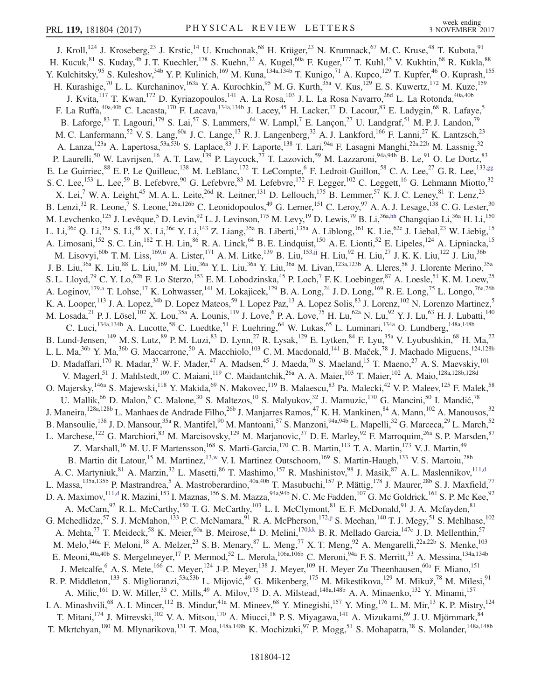<span id="page-12-3"></span><span id="page-12-2"></span><span id="page-12-1"></span><span id="page-12-0"></span>J. Kroll,<sup>124</sup> J. Kroseberg,<sup>23</sup> J. Krstic,<sup>14</sup> U. Kruchonak,<sup>68</sup> H. Krüger,<sup>23</sup> N. Krumnack,<sup>67</sup> M. C. Kruse,<sup>48</sup> T. Kubota,<sup>91</sup> H. Kucuk,<sup>81</sup> S. Kuday,<sup>4b</sup> J. T. Kuechler,<sup>178</sup> S. Kuehn,<sup>32</sup> A. Kugel,<sup>60a</sup> F. Kuger,<sup>177</sup> T. Kuhl,<sup>45</sup> V. Kukhtin,<sup>68</sup> R. Kukla,<sup>88</sup> Y. Kulchitsky,<sup>95</sup> S. Kuleshov,<sup>34b</sup> Y. P. Kulinich,<sup>169</sup> M. Kuna,<sup>134a,134b</sup> T. Kunigo,<sup>71</sup> A. Kupco,<sup>129</sup> T. Kupfer,<sup>46</sup> O. Kuprash,<sup>155</sup> H. Kurashige,<sup>70</sup> L. L. Kurchaninov,<sup>163a</sup> Y. A. Kurochkin,<sup>95</sup> M. G. Kurth,<sup>35a</sup> V. Kus,<sup>129</sup> E. S. Kuwertz,<sup>172</sup> M. Kuze,<sup>159</sup> J. Kvita,<sup>117</sup> T. Kwan,<sup>172</sup> D. Kyriazopoulos,<sup>141</sup> A. La Rosa,<sup>103</sup> J. L. La Rosa Navarro,<sup>26d</sup> L. La Rotonda,<sup>40a,40b</sup> F. La Ruffa,<sup>40a,40b</sup> C. Lacasta,<sup>170</sup> F. Lacava,<sup>134a,134b</sup> J. Lacey,<sup>45</sup> H. Lacker,<sup>17</sup> D. Lacour,<sup>83</sup> E. Ladygin,<sup>68</sup> R. Lafaye,<sup>5</sup> B. Laforge,  $83$  T. Lagouri,  $^{179}$  S. Lai,  $^{57}$  S. Lammers,  $^{64}$  W. Lampl,  $^7$  E. Lançon,  $^{27}$  U. Landgraf,  $^{51}$  M. P. J. Landon,  $^{79}$ M. C. Lanfermann,<sup>52</sup> V. S. Lang,<sup>60a</sup> J. C. Lange,<sup>13</sup> R. J. Langenberg,<sup>32</sup> A. J. Lankford,<sup>166</sup> F. Lanni,<sup>27</sup> K. Lantzsch,<sup>23</sup> A. Lanza,<sup>123a</sup> A. Lapertosa,<sup>53a,53b</sup> S. Laplace,<sup>83</sup> J. F. Laporte,<sup>138</sup> T. Lari,<sup>94a</sup> F. Lasagni Manghi,<sup>22a,22b</sup> M. Lassnig,<sup>32</sup> P. Laurelli,<sup>50</sup> W. Lavrijsen,<sup>16</sup> A. T. Law,<sup>139</sup> P. Laycock,<sup>77</sup> T. Lazovich,<sup>59</sup> M. Lazzaroni,<sup>94a,94b</sup> B. Le,<sup>91</sup> O. Le Dortz,<sup>83</sup> E. Le Guirriec,  $88$  E. P. Le Quilleuc,  $^{138}$  M. LeBlanc,  $^{172}$  T. LeCompte,  $^6$  F. Ledroit-Guillon,  $^{58}$  C. A. Lee,  $^{27}$  G. R. Lee,  $^{133,gg}$  $^{133,gg}$  $^{133,gg}$ S. C. Lee,<sup>153</sup> L. Lee,<sup>59</sup> B. Lefebvre,<sup>90</sup> G. Lefebvre,<sup>83</sup> M. Lefebvre,<sup>172</sup> F. Legger,<sup>102</sup> C. Leggett,<sup>16</sup> G. Lehmann Miotto,<sup>32</sup> X. Lei,<sup>7</sup> W. A. Leight,<sup>45</sup> M. A. L. Leite,<sup>26d</sup> R. Leitner,<sup>131</sup> D. Lellouch,<sup>175</sup> B. Lemmer,<sup>57</sup> K. J. C. Leney,<sup>81</sup> T. Lenz,<sup>23</sup> B. Lenzi,<sup>32</sup> R. Leone,<sup>7</sup> S. Leone,<sup>126a,126b</sup> C. Leonidopoulos,<sup>49</sup> G. Lerner,<sup>151</sup> C. Leroy,<sup>97</sup> A. A. J. Lesage,<sup>138</sup> C. G. Lester,<sup>30</sup> M. Levchenko, <sup>125</sup> J. Levêque, <sup>5</sup> D. Levin, <sup>92</sup> L. J. Levinson, <sup>175</sup> M. Levy, <sup>19</sup> D. Lewis, <sup>79</sup> B. Li, <sup>36[a,hh](#page-20-33)</sup> Changqiao Li, <sup>36a</sup> H. Li, <sup>150</sup> L. Li,<sup>36c</sup> Q. Li,<sup>35a</sup> S. Li,<sup>48</sup> X. Li,<sup>36c</sup> Y. Li,<sup>143</sup> Z. Liang,<sup>35a</sup> B. Liberti,<sup>135a</sup> A. Liblong,<sup>161</sup> K. Lie,<sup>62c</sup> J. Liebal,<sup>23</sup> W. Liebig,<sup>15</sup> A. Limosani,<sup>152</sup> S. C. Lin,<sup>182</sup> T. H. Lin,<sup>86</sup> R. A. Linck,<sup>64</sup> B. E. Lindquist,<sup>150</sup> A. E. Lionti,<sup>52</sup> E. Lipeles,<sup>124</sup> A. Lipniacka,<sup>15</sup> M. Lisovyi,<sup>60b</sup> T. M. Liss,<sup>16[9,ii](#page-20-34)</sup> A. Lister,<sup>171</sup> A. M. Litke,<sup>139</sup> B. Liu,<sup>153[,jj](#page-20-35)</sup> H. Liu,<sup>92</sup> H. Liu,<sup>27</sup> J. K. K. Liu,<sup>122</sup> J. Liu,<sup>36b</sup> J. B. Liu,<sup>36a</sup> K. Liu,<sup>88</sup> L. Liu,<sup>169</sup> M. Liu,<sup>36a</sup> Y. L. Liu,<sup>36a</sup> Y. Liu,<sup>36a</sup> M. Livan,<sup>123a,123b</sup> A. Lleres,<sup>58</sup> J. Llorente Merino,<sup>35a</sup> S. L. Lloyd,<sup>79</sup> C. Y. Lo,<sup>62b</sup> F. Lo Sterzo,<sup>153</sup> E. M. Lobodzinska,<sup>45</sup> P. Loch,<sup>7</sup> F. K. Loebinger,<sup>87</sup> A. Loesle,<sup>51</sup> K. M. Loew,<sup>25</sup> A. Loginov, <sup>17[9,a](#page-20-0)</sup> T. Lohse, <sup>17</sup> K. Lohwasser, <sup>141</sup> M. Lokajicek, <sup>129</sup> B. A. Long, <sup>24</sup> J. D. Long, <sup>169</sup> R. E. Long, <sup>75</sup> L. Longo, <sup>76a, 76b</sup> K. A. Looper, <sup>113</sup> J. A. Lopez, <sup>34b</sup> D. Lopez Mateos, <sup>59</sup> I. Lopez Paz, <sup>13</sup> A. Lopez Solis, <sup>83</sup> J. Lorenz, <sup>102</sup> N. Lorenzo Martinez, 5 M. Losada,  $^{21}$  P. J. Lösel,  $^{102}$  X. Lou,  $^{35a}$  A. Lounis,  $^{119}$  J. Love,  $^6$  P. A. Love,  $^{75}$  H. Lu,  $^{62}$  N. Lu,  $^{92}$  Y. J. Lu,  $^{63}$  H. J. Lubatti,  $^{140}$ C. Luci,<sup>134a,134b</sup> A. Lucotte,<sup>58</sup> C. Luedtke,<sup>51</sup> F. Luehring,<sup>64</sup> W. Lukas,<sup>65</sup> L. Luminari,<sup>134a</sup> O. Lundberg,<sup>148a,148b</sup> B. Lund-Jensen,<sup>149</sup> M. S. Lutz,<sup>89</sup> P. M. Luzi,<sup>83</sup> D. Lynn,<sup>27</sup> R. Lysak,<sup>129</sup> E. Lytken,<sup>84</sup> F. Lyu,<sup>35a</sup> V. Lyubushkin,<sup>68</sup> H. Ma,<sup>27</sup> L. L. Ma,<sup>36b</sup> Y. Ma,<sup>36b</sup> G. Maccarrone,<sup>50</sup> A. Macchiolo,<sup>103</sup> C. M. Macdonald,<sup>141</sup> B. Maček,<sup>78</sup> J. Machado Miguens,<sup>124,128b</sup> D. Madaffari,<sup>170</sup> R. Madar,<sup>37</sup> W. F. Mader,<sup>47</sup> A. Madsen,<sup>45</sup> J. Maeda,<sup>70</sup> S. Maeland,<sup>15</sup> T. Maeno,<sup>27</sup> A. S. Maevskiy,<sup>101</sup> V. Magerl,<sup>51</sup> J. Mahlstedt,<sup>109</sup> C. Maiani,<sup>119</sup> C. Maidantchik,<sup>26a</sup> A. A. Maier,<sup>103</sup> T. Maier,<sup>102</sup> A. Maio,<sup>128a,128b,128d</sup> O. Majersky,<sup>146a</sup> S. Majewski,<sup>118</sup> Y. Makida,<sup>69</sup> N. Makovec,<sup>119</sup> B. Malaescu,<sup>83</sup> Pa. Malecki,<sup>42</sup> V. P. Maleev,<sup>125</sup> F. Malek,<sup>58</sup> U. Mallik, <sup>66</sup> D. Malon, <sup>6</sup> C. Malone, <sup>30</sup> S. Maltezos, <sup>10</sup> S. Malyukov, <sup>32</sup> J. Mamuzic, <sup>170</sup> G. Mancini, <sup>50</sup> I. Mandić, <sup>78</sup> J. Maneira,<sup>128a,128b</sup> L. Manhaes de Andrade Filho,<sup>26b</sup> J. Manjarres Ramos,<sup>47</sup> K. H. Mankinen,<sup>84</sup> A. Mann,<sup>102</sup> A. Manousos,<sup>32</sup> B. Mansoulie, <sup>138</sup> J. D. Mansour, <sup>35a</sup> R. Mantifel, <sup>90</sup> M. Mantoani, <sup>57</sup> S. Manzoni, <sup>94a, 94b</sup> L. Mapelli, <sup>32</sup> G. Marceca, <sup>29</sup> L. March, <sup>52</sup> L. Marchese,<sup>122</sup> G. Marchiori,<sup>83</sup> M. Marcisovsky,<sup>129</sup> M. Marjanovic,<sup>37</sup> D. E. Marley,<sup>92</sup> F. Marroquim,<sup>26a</sup> S. P. Marsden,<sup>87</sup> Z. Marshall,<sup>16</sup> M. U. F Martensson,<sup>168</sup> S. Marti-Garcia,<sup>170</sup> C. B. Martin,<sup>113</sup> T. A. Martin,<sup>173</sup> V. J. Martin,<sup>49</sup> B. Martin dit Latour,<sup>15</sup> M. Martinez,<sup>13[,w](#page-20-22)</sup> V. I. Martinez Outschoorn,<sup>169</sup> S. Martin-Haugh,<sup>133</sup> V. S. Martoiu,<sup>28b</sup> A. C. Martyniuk, <sup>81</sup> A. Marzin, <sup>32</sup> L. Masetti, <sup>86</sup> T. Mashimo, <sup>157</sup> R. Mashinistov, <sup>98</sup> J. Masik, <sup>87</sup> A. L. Maslennikov, <sup>11[1,d](#page-20-3)</sup> L. Massa,<sup>135a,135b</sup> P. Mastrandrea,<sup>5</sup> A. Mastroberardino,<sup>40a,40b</sup> T. Masubuchi,<sup>157</sup> P. Mättig,<sup>178</sup> J. Maurer,<sup>28b</sup> S. J. Maxfield,<sup>77</sup> D. A. Maximov, $^{111,d}$  $^{111,d}$  $^{111,d}$  R. Mazini, $^{153}$  I. Maznas, $^{156}$  S. M. Mazza, $^{94a,94b}$  N. C. Mc Fadden, $^{107}$  G. Mc Goldrick, $^{161}$  S. P. Mc Kee, $^{92}$ A. McCarn, <sup>92</sup> R. L. McCarthy, <sup>150</sup> T. G. McCarthy, <sup>103</sup> L. I. McClymont, <sup>81</sup> E. F. McDonald, <sup>91</sup> J. A. Mcfayden, <sup>81</sup> G. Mchedlidze,<sup>57</sup> S. J. McMahon,<sup>133</sup> P. C. McNamara,<sup>91</sup> R. A. McPherson,<sup>17[2,p](#page-20-15)</sup> S. Meehan,<sup>140</sup> T. J. Megy,<sup>51</sup> S. Mehlhase,<sup>102</sup> A. Mehta,<sup>77</sup> T. Meideck,<sup>58</sup> K. Meier,<sup>60a</sup> B. Meirose,<sup>44</sup> D. Melini,<sup>17[0,kk](#page-20-36)</sup> B. R. Mellado Garcia,<sup>147c</sup> J. D. Mellenthin,<sup>57</sup> M. Melo,<sup>146a</sup> F. Meloni,<sup>18</sup> A. Melzer,<sup>23</sup> S. B. Menary,<sup>87</sup> L. Meng,<sup>77</sup> X. T. Meng,<sup>92</sup> A. Mengarelli,<sup>22a,22b</sup> S. Menke,<sup>103</sup> E. Meoni,<sup>40a,40b</sup> S. Mergelmeyer,<sup>17</sup> P. Mermod,<sup>52</sup> L. Merola,<sup>106a,106b</sup> C. Meroni,<sup>94a</sup> F. S. Merritt,<sup>33</sup> A. Messina,<sup>134a,134b</sup> J. Metcalfe, <sup>6</sup> A. S. Mete,<sup>166</sup> C. Meyer,<sup>124</sup> J-P. Meyer,<sup>138</sup> J. Meyer,<sup>109</sup> H. Meyer Zu Theenhausen, <sup>60a</sup> F. Miano, <sup>151</sup> R. P. Middleton, <sup>133</sup> S. Miglioranzi, <sup>53a, 53b</sup> L. Mijović, <sup>49</sup> G. Mikenberg, <sup>175</sup> M. Mikestikova, <sup>129</sup> M. Mikuž, <sup>78</sup> M. Milesi, <sup>91</sup> A. Milic,<sup>161</sup> D. W. Miller,<sup>33</sup> C. Mills,<sup>49</sup> A. Milov,<sup>175</sup> D. A. Milstead,<sup>148a,148b</sup> A. A. Minaenko,<sup>132</sup> Y. Minami,<sup>157</sup> I. A. Minashvili,<sup>68</sup> A. I. Mincer,<sup>112</sup> B. Mindur,<sup>41a</sup> M. Mineev,<sup>68</sup> Y. Minegishi,<sup>157</sup> Y. Ming,<sup>176</sup> L. M. Mir,<sup>13</sup> K. P. Mistry,<sup>124</sup> T. Mitani,<sup>174</sup> J. Mitrevski,<sup>102</sup> V. A. Mitsou,<sup>170</sup> A. Miucci,<sup>18</sup> P. S. Miyagawa,<sup>141</sup> A. Mizukami,<sup>69</sup> J. U. Mjörnmark,<sup>84</sup> T. Mkrtchyan,<sup>180</sup> M. Mlynarikova,<sup>131</sup> T. Moa,<sup>148a,148b</sup> K. Mochizuki,<sup>97</sup> P. Mogg,<sup>51</sup> S. Mohapatra,<sup>38</sup> S. Molander,<sup>148a,148b</sup>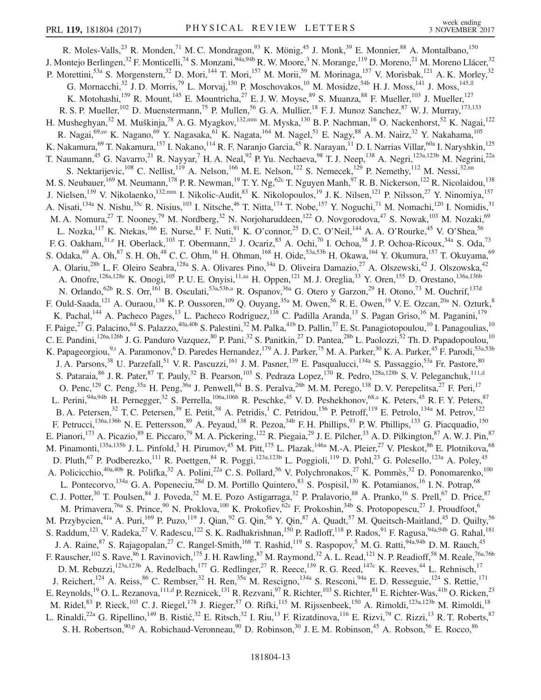<span id="page-13-2"></span><span id="page-13-1"></span><span id="page-13-0"></span>R. Moles-Valls,<sup>23</sup> R. Monden,<sup>71</sup> M. C. Mondragon,<sup>93</sup> K. Mönig,<sup>45</sup> J. Monk,<sup>39</sup> E. Monnier,<sup>88</sup> A. Montalbano,<sup>150</sup> J. Montejo Berlingen,<sup>32</sup> F. Monticelli,<sup>74</sup> S. Monzani,<sup>94a,94b</sup> R. W. Moore,<sup>3</sup> N. Morange,<sup>119</sup> D. Moreno,<sup>21</sup> M. Moreno Llácer,<sup>32</sup> P. Morettini,<sup>53a</sup> S. Morgenstern,<sup>32</sup> D. Mori,<sup>144</sup> T. Mori,<sup>157</sup> M. Morii,<sup>59</sup> M. Morinaga,<sup>157</sup> V. Morisbak,<sup>121</sup> A. K. Morley,<sup>32</sup> G. Mornacchi,<sup>32</sup> J. D. Morris,<sup>79</sup> L. Morvaj,<sup>150</sup> P. Moschovakos,<sup>10</sup> M. Mosidze,<sup>54b</sup> H. J. Moss,<sup>141</sup> J. Moss,<sup>145,11</sup> K. Motohashi,<sup>159</sup> R. Mount,<sup>145</sup> E. Mountricha,<sup>27</sup> E. J. W. Moyse,<sup>89</sup> S. Muanza,<sup>88</sup> F. Mueller,<sup>103</sup> J. Mueller,<sup>127</sup> R. S. P. Mueller,  $102$  D. Muenstermann,  $75$  P. Mullen,  $56$  G. A. Mullier,  $18$  F. J. Munoz Sanchez,  $87$  W. J. Murray,  $173,133$ H. Musheghyan,<sup>32</sup> M. Muškinja,<sup>78</sup> A. G. Myagkov,<sup>13[2,mm](#page-20-38)</sup> M. Myska,<sup>130</sup> B. P. Nachman,<sup>16</sup> O. Nackenhorst,<sup>52</sup> K. Nagai,<sup>122</sup> R. Nagai,<sup>6[9,ee](#page-20-30)</sup> K. Nagano,<sup>69</sup> Y. Nagasaka,<sup>61</sup> K. Nagata, <sup>164</sup> M. Nagel,<sup>51</sup> E. Nagy,<sup>88</sup> A. M. Nairz,<sup>32</sup> Y. Nakahama, <sup>105</sup> K. Nakamura,<sup>69</sup> T. Nakamura,<sup>157</sup> I. Nakano,<sup>114</sup> R. F. Naranjo Garcia,<sup>45</sup> R. Narayan,<sup>11</sup> D. I. Narrias Villar,<sup>60a</sup> I. Naryshkin,<sup>125</sup> T. Naumann,<sup>45</sup> G. Navarro,<sup>21</sup> R. Nayyar,<sup>7</sup> H. A. Neal,<sup>92</sup> P. Yu. Nechaeva,<sup>98</sup> T. J. Neep,<sup>138</sup> A. Negri,<sup>123a,123b</sup> M. Negrini,<sup>22a</sup> S. Nektarijevic,<sup>108</sup> C. Nellist,<sup>119</sup> A. Nelson,<sup>166</sup> M. E. Nelson,<sup>122</sup> S. Nemecek,<sup>129</sup> P. Nemethy,<sup>112</sup> M. Nessi,<sup>32[,nn](#page-20-39)</sup> M. S. Neubauer,<sup>169</sup> M. Neumann,<sup>178</sup> P. R. Newman,<sup>19</sup> T. Y. Ng,<sup>62c</sup> T. Nguyen Manh,<sup>97</sup> R. B. Nickerson,<sup>122</sup> R. Nicolaidou,<sup>138</sup> J. Nielsen,<sup>139</sup> V. Nikolaenko,<sup>132[,mm](#page-20-38)</sup> I. Nikolic-Audit,<sup>83</sup> K. Nikolopoulos,<sup>19</sup> J. K. Nilsen,<sup>121</sup> P. Nilsson,<sup>27</sup> Y. Ninomiya,<sup>157</sup> A. Nisati,<sup>134a</sup> N. Nishu,<sup>35c</sup> R. Nisius,<sup>103</sup> I. Nitsche,<sup>46</sup> T. Nitta,<sup>174</sup> T. Nobe,<sup>157</sup> Y. Noguchi,<sup>71</sup> M. Nomachi,<sup>120</sup> I. Nomidis,<sup>31</sup> M. A. Nomura,<sup>27</sup> T. Nooney,<sup>79</sup> M. Nordberg,<sup>32</sup> N. Norjoharuddeen,<sup>122</sup> O. Novgorodova,<sup>47</sup> S. Nowak,<sup>103</sup> M. Nozaki,<sup>69</sup> L. Nozka,  $^{117}$  K. Ntekas,  $^{166}$  E. Nurse,  $^{81}$  F. Nuti,  $^{91}$  K. O'connor,  $^{25}$  D. C. O'Neil,  $^{144}$  A. A. O'Rourke,  $^{45}$  V. O'Shea,  $^{56}$ F. G. Oakham,  $31,e$  $31,e$  H. Oberlack,  $103$  T. Obermann,  $23$  J. Ocariz,  $83$  A. Ochi,  $70$  I. Ochoa,  $38$  J. P. Ochoa-Ricoux,  $34a$  S. Oda,  $73$ S. Odaka,  $^{69}$  A. Oh,  $^{87}$  S. H. Oh,  $^{48}$  C. C. Ohm,  $^{16}$  H. Ohman,  $^{168}$  H. Oide,  $^{53a,53b}$  H. Okawa,  $^{164}$  Y. Okumura,  $^{157}$  T. Okuyama,  $^{69}$ A. Olariu,<sup>28b</sup> L. F. Oleiro Seabra,<sup>128a</sup> S. A. Olivares Pino,<sup>34a</sup> D. Oliveira Damazio,<sup>27</sup> A. Olszewski,<sup>42</sup> J. Olszowska,<sup>42</sup> A. Onofre,<sup>128a,128e</sup> K. Onogi,<sup>105</sup> P. U. E. Onyisi,<sup>1[1,aa](#page-20-26)</sup> H. Oppen,<sup>121</sup> M. J. Oreglia,<sup>33</sup> Y. Oren,<sup>155</sup> D. Orestano,<sup>136a,136b</sup> N. Orlando, <sup>62b</sup> R. S. Orr, <sup>161</sup> B. Osculati, <sup>53a, 53b, a</sup> R. Ospanov, <sup>36a</sup> G. Otero y Garzon, <sup>29</sup> H. Otono, <sup>73</sup> M. Ouchrif, <sup>137d</sup> F. Ould-Saada, <sup>121</sup> A. Ouraou, <sup>138</sup> K. P. Oussoren, <sup>109</sup> Q. Ouyang, <sup>35a</sup> M. Owen, <sup>56</sup> R. E. Owen, <sup>19</sup> V. E. Ozcan, <sup>20a</sup> N. Ozturk, <sup>8</sup> K. Pachal,<sup>144</sup> A. Pacheco Pages,<sup>13</sup> L. Pacheco Rodriguez,<sup>138</sup> C. Padilla Aranda,<sup>13</sup> S. Pagan Griso,<sup>16</sup> M. Paganini,<sup>179</sup> F. Paige,<sup>27</sup> G. Palacino,<sup>64</sup> S. Palazzo,<sup>40a,40b</sup> S. Palestini,<sup>32</sup> M. Palka,<sup>41b</sup> D. Pallin,<sup>37</sup> E. St. Panagiotopoulou,<sup>10</sup> I. Panagoulias,<sup>10</sup> C. E. Pandini,<sup>126a,126b</sup> J. G. Panduro Vazquez, <sup>80</sup> P. Pani,<sup>32</sup> S. Panitkin,<sup>27</sup> D. Pantea,<sup>28b</sup> L. Paolozzi,<sup>52</sup> Th. D. Papadopoulou,<sup>10</sup> K. Papageorgiou,<sup>9[,t](#page-20-19)</sup> A. Paramonov,<sup>6</sup> D. Paredes Hernandez,<sup>179</sup> A. J. Parker,<sup>75</sup> M. A. Parker,<sup>30</sup> K. A. Parker,<sup>45</sup> F. Parodi,<sup>53a,53b</sup> J. A. Parsons,<sup>38</sup> U. Parzefall,<sup>51</sup> V. R. Pascuzzi,<sup>161</sup> J. M. Pasner,<sup>139</sup> E. Pasqualucci,<sup>134a</sup> S. Passaggio,<sup>53a</sup> Fr. Pastore,<sup>80</sup> S. Pataraia, <sup>86</sup> J. R. Pater, <sup>87</sup> T. Pauly, <sup>32</sup> B. Pearson, <sup>103</sup> S. Pedraza Lopez, <sup>170</sup> R. Pedro, <sup>128a, 128b</sup> S. V. Peleganchuk, <sup>11[1,d](#page-20-3)</sup> O. Penc,<sup>129</sup> C. Peng,<sup>35a</sup> H. Peng,<sup>36a</sup> J. Penwell,<sup>64</sup> B. S. Peralva,<sup>26b</sup> M. M. Perego,<sup>138</sup> D. V. Perepelitsa,<sup>27</sup> F. Peri,<sup>17</sup> L. Perini,<sup>94a,94b</sup> H. Pernegger,<sup>32</sup> S. Perrella,<sup>106a,106b</sup> R. Peschke,<sup>45</sup> V.D. Peshekhonov,<sup>68[,a](#page-20-0)</sup> K. Peters,<sup>45</sup> R. F. Y. Peters,<sup>87</sup> B. A. Petersen,<sup>32</sup> T. C. Petersen,<sup>39</sup> E. Petit,<sup>58</sup> A. Petridis,<sup>1</sup> C. Petridou,<sup>156</sup> P. Petroff,<sup>119</sup> E. Petrolo,<sup>134a</sup> M. Petrov,<sup>122</sup> F. Petrucci,<sup>136a,136b</sup> N. E. Pettersson,<sup>89</sup> A. Peyaud,<sup>138</sup> R. Pezoa,<sup>34b</sup> F. H. Phillips,<sup>93</sup> P. W. Phillips,<sup>133</sup> G. Piacquadio,<sup>150</sup> E. Pianori,<sup>173</sup> A. Picazio,<sup>89</sup> E. Piccaro,<sup>79</sup> M. A. Pickering,<sup>122</sup> R. Piegaia,<sup>29</sup> J. E. Pilcher,<sup>33</sup> A. D. Pilkington,<sup>87</sup> A. W. J. Pin,<sup>87</sup> M. Pinamonti, <sup>135a,135b</sup> J. L. Pinfold,<sup>3</sup> H. Pirumov,<sup>45</sup> M. Pitt,<sup>175</sup> L. Plazak,<sup>146a</sup> M.-A. Pleier,<sup>27</sup> V. Pleskot,<sup>86</sup> E. Plotnikova,<sup>68</sup> D. Pluth, <sup>67</sup> P. Podberezko, <sup>111</sup> R. Poettgen, <sup>84</sup> R. Poggi, <sup>123a, 123b</sup> L. Poggioli, <sup>119</sup> D. Pohl, <sup>23</sup> G. Polesello, <sup>123a</sup> A. Poley, <sup>45</sup> A. Policicchio,<sup>40a,40b</sup> R. Polifka,<sup>32</sup> A. Polini,<sup>22a</sup> C. S. Pollard,<sup>56</sup> V. Polychronakos,<sup>27</sup> K. Pommès,<sup>32</sup> D. Ponomarenko,<sup>100</sup> L. Pontecorvo,<sup>134a</sup> G. A. Popeneciu,<sup>28d</sup> D. M. Portillo Quintero,<sup>83</sup> S. Pospisil,<sup>130</sup> K. Potamianos,<sup>16</sup> I. N. Potrap,<sup>68</sup> C. J. Potter,<sup>30</sup> T. Poulsen,<sup>84</sup> J. Poveda,<sup>32</sup> M. E. Pozo Astigarraga,<sup>32</sup> P. Pralavorio,<sup>88</sup> A. Pranko,<sup>16</sup> S. Prell,<sup>67</sup> D. Price,<sup>87</sup> M. Primavera,<sup>76a</sup> S. Prince,<sup>90</sup> N. Proklova,<sup>100</sup> K. Prokofiev,<sup>62c</sup> F. Prokoshin,<sup>34b</sup> S. Protopopescu,<sup>27</sup> J. Proudfoot,<sup>6</sup> M. Przybycien,<sup>41a</sup> A. Puri,<sup>169</sup> P. Puzo,<sup>119</sup> J. Qian,<sup>92</sup> G. Qin,<sup>56</sup> Y. Qin,<sup>87</sup> A. Quadt,<sup>57</sup> M. Queitsch-Maitland,<sup>45</sup> D. Quilty,<sup>56</sup> S. Raddum,  $^{121}$  V. Radeka,  $^{27}$  V. Radescu,  $^{122}$  S. K. Radhakrishnan,  $^{150}$  P. Radloff,  $^{118}$  P. Rados,  $^{91}$  F. Ragusa,  $^{94a,94b}$  G. Rahal,  $^{181}$ J. A. Raine, <sup>87</sup> S. Rajagopalan, <sup>27</sup> C. Rangel-Smith, <sup>168</sup> T. Rashid, <sup>119</sup> S. Raspopov, 5 M. G. Ratti, <sup>94a, 94b</sup> D. M. Rauch, <sup>45</sup> F. Rauscher,  $^{102}$  S. Rave,  $^{86}$  I. Ravinovich,  $^{175}$  J. H. Rawling,  $^{87}$  M. Raymond,  $^{32}$  A. L. Read,  $^{121}$  N. P. Readioff,  $^{58}$  M. Reale,  $^{76a,76b}$ D. M. Rebuzzi,<sup>123a,123b</sup> A. Redelbach,<sup>177</sup> G. Redlinger,<sup>27</sup> R. Reece,<sup>139</sup> R. G. Reed,<sup>147c</sup> K. Reeves,<sup>44</sup> L. Rehnisch,<sup>17</sup> J. Reichert,<sup>124</sup> A. Reiss,<sup>86</sup> C. Rembser,<sup>32</sup> H. Ren,<sup>35a</sup> M. Rescigno,<sup>134a</sup> S. Resconi,<sup>94a</sup> E. D. Resseguie,<sup>124</sup> S. Rettie,<sup>171</sup> E. Reynolds,<sup>19</sup> O. L. Rezanova,<sup>111[,d](#page-20-3)</sup> P. Reznicek,<sup>131</sup> R. Rezvani,<sup>97</sup> R. Richter,<sup>103</sup> S. Richter,<sup>81</sup> E. Richter-Was,<sup>41b</sup> O. Ricken,<sup>23</sup> M. Ridel,<sup>83</sup> P. Rieck,<sup>103</sup> C. J. Riegel,<sup>178</sup> J. Rieger,<sup>57</sup> O. Rifki,<sup>115</sup> M. Rijssenbeek,<sup>150</sup> A. Rimoldi,<sup>123a,123b</sup> M. Rimoldi,<sup>18</sup> L. Rinaldi,<sup>22a</sup> G. Ripellino,<sup>149</sup> B. Ristić,<sup>32</sup> E. Ritsch,<sup>32</sup> I. Riu,<sup>13</sup> F. Rizatdinova,<sup>116</sup> E. Rizvi,<sup>79</sup> C. Rizzi,<sup>13</sup> R. T. Roberts,<sup>87</sup> S. H. Robertson,<sup>90[,p](#page-20-15)</sup> A. Robichaud-Veronneau,<sup>90</sup> D. Robinson,<sup>30</sup> J. E. M. Robinson,<sup>45</sup> A. Robson,<sup>56</sup> E. Rocco,<sup>86</sup>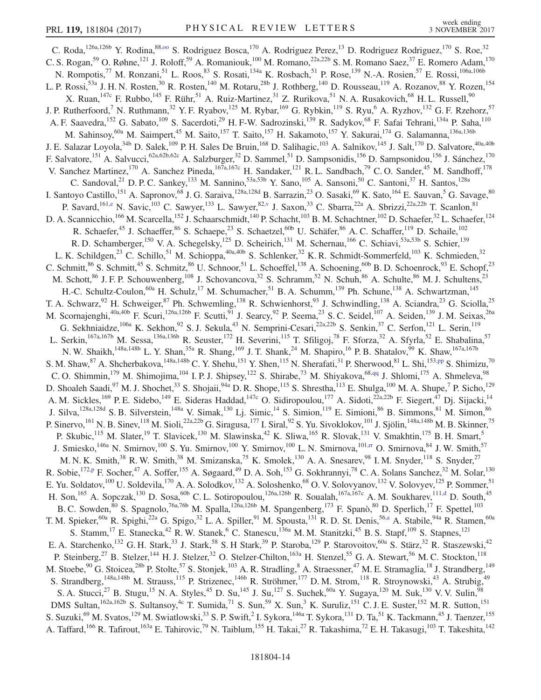<span id="page-14-3"></span><span id="page-14-2"></span><span id="page-14-1"></span><span id="page-14-0"></span>C. Roda, $^{126a,126b}$  Y. Rodina, $^{88,00}$  S. Rodriguez Bosca, $^{170}$  A. Rodriguez Perez, $^{13}$  D. Rodriguez Rodriguez, $^{170}$  S. Roe, $^{32}$ C. S. Rogan,<sup>59</sup> O. Røhne,<sup>121</sup> J. Roloff,<sup>59</sup> A. Romaniouk,<sup>100</sup> M. Romano,<sup>22a,22b</sup> S. M. Romano Saez,<sup>37</sup> E. Romero Adam,<sup>170</sup> N. Rompotis,<sup>77</sup> M. Ronzani,<sup>51</sup> L. Roos,<sup>83</sup> S. Rosati,<sup>134a</sup> K. Rosbach,<sup>51</sup> P. Rose,<sup>139</sup> N.-A. Rosien,<sup>57</sup> E. Rossi,<sup>106a,106b</sup> L. P. Rossi,<sup>53a</sup> J. H. N. Rosten,<sup>30</sup> R. Rosten,<sup>140</sup> M. Rotaru,<sup>28b</sup> J. Rothberg,<sup>140</sup> D. Rousseau,<sup>119</sup> A. Rozanov,<sup>88</sup> Y. Rozen,<sup>154</sup> X. Ruan,  $147c$  F. Rubbo,  $145$  F. Rühr,  $51$  A. Ruiz-Martinez,  $31$  Z. Rurikova,  $51$  N. A. Rusakovich,  $68$  H. L. Russell,  $90$ J. P. Rutherfoord,<sup>7</sup> N. Ruthmann,<sup>32</sup> Y. F. Ryabov,<sup>125</sup> M. Rybar,<sup>169</sup> G. Rybkin,<sup>119</sup> S. Ryu,<sup>6</sup> A. Ryzhov,<sup>132</sup> G. F. Rzehorz,<sup>57</sup> A. F. Saavedra,<sup>152</sup> G. Sabato,<sup>109</sup> S. Sacerdoti,<sup>29</sup> H. F-W. Sadrozinski,<sup>139</sup> R. Sadykov,<sup>68</sup> F. Safai Tehrani,<sup>134a</sup> P. Saha,<sup>110</sup> M. Sahinsoy,<sup>60a</sup> M. Saimpert,<sup>45</sup> M. Saito,<sup>157</sup> T. Saito,<sup>157</sup> H. Sakamoto,<sup>157</sup> Y. Sakurai,<sup>174</sup> G. Salamanna,<sup>136a,136b</sup> J. E. Salazar Loyola,<sup>34b</sup> D. Salek,<sup>109</sup> P. H. Sales De Bruin,<sup>168</sup> D. Salihagic,<sup>103</sup> A. Salnikov,<sup>145</sup> J. Salt,<sup>170</sup> D. Salvatore,<sup>40a,40b</sup> F. Salvatore,<sup>151</sup> A. Salvucci,<sup>62a,62b,62c</sup> A. Salzburger,<sup>32</sup> D. Sammel,<sup>51</sup> D. Sampsonidis,<sup>156</sup> D. Sampsonidou,<sup>156</sup> J. Sánchez,<sup>170</sup> V. Sanchez Martinez,<sup>170</sup> A. Sanchez Pineda,<sup>167a,167c</sup> H. Sandaker,<sup>121</sup> R. L. Sandbach,<sup>79</sup> C. O. Sander,<sup>45</sup> M. Sandhoff,<sup>178</sup> C. Sandoval,<sup>21</sup> D. P. C. Sankey,<sup>133</sup> M. Sannino,<sup>53a,53b</sup> Y. Sano,<sup>105</sup> A. Sansoni,<sup>50</sup> C. Santoni,<sup>37</sup> H. Santos,<sup>128a</sup> I. Santoyo Castillo,<sup>151</sup> A. Sapronov,<sup>68</sup> J. G. Saraiva,<sup>128a,128d</sup> B. Sarrazin,<sup>23</sup> O. Sasaki,<sup>69</sup> K. Sato,<sup>164</sup> E. Sauvan,<sup>5</sup> G. Savage,<sup>80</sup> P. Savard,<sup>16[1,e](#page-20-4)</sup> N. Savic,<sup>103</sup> C. Sawyer,<sup>133</sup> L. Sawyer,<sup>8[2,v](#page-20-21)</sup> J. Saxon,<sup>33</sup> C. Sbarra,<sup>22a</sup> A. Sbrizzi,<sup>22a,22b</sup> T. Scanlon,<sup>81</sup> D. A. Scannicchio,<sup>166</sup> M. Scarcella,<sup>152</sup> J. Schaarschmidt,<sup>140</sup> P. Schacht,<sup>103</sup> B. M. Schachtner,<sup>102</sup> D. Schaefer,<sup>32</sup> L. Schaefer,<sup>124</sup> R. Schaefer,<sup>45</sup> J. Schaeffer,<sup>86</sup> S. Schaepe,<sup>23</sup> S. Schaetzel,<sup>60b</sup> U. Schäfer,<sup>86</sup> A. C. Schaffer,<sup>119</sup> D. Schaile,<sup>102</sup> R. D. Schamberger,<sup>150</sup> V. A. Schegelsky,<sup>125</sup> D. Scheirich,<sup>131</sup> M. Schernau,<sup>166</sup> C. Schiavi,<sup>53a,53b</sup> S. Schier,<sup>139</sup> L. K. Schildgen,<sup>23</sup> C. Schillo,<sup>51</sup> M. Schioppa,<sup>40a,40b</sup> S. Schlenker,<sup>32</sup> K. R. Schmidt-Sommerfeld,<sup>103</sup> K. Schmieden,<sup>32</sup> C. Schmitt,<sup>86</sup> S. Schmitt,<sup>45</sup> S. Schmitz,<sup>86</sup> U. Schnoor,<sup>51</sup> L. Schoeffel,<sup>138</sup> A. Schoening,<sup>60b</sup> B. D. Schoenrock,<sup>93</sup> E. Schopf,<sup>23</sup> M. Schott,<sup>86</sup> J. F. P. Schouwenberg,<sup>108</sup> J. Schovancova,<sup>32</sup> S. Schramm,<sup>52</sup> N. Schuh,<sup>86</sup> A. Schulte,<sup>86</sup> M. J. Schultens,<sup>23</sup> H.-C. Schultz-Coulon,<sup>60a</sup> H. Schulz,<sup>17</sup> M. Schumacher,<sup>51</sup> B. A. Schumm,<sup>139</sup> Ph. Schune,<sup>138</sup> A. Schwartzman,<sup>145</sup> T. A. Schwarz,  $92$  H. Schweiger,  $87$  Ph. Schwemling,  $138$  R. Schwienhorst,  $93$  J. Schwindling,  $138$  A. Sciandra,  $23$  G. Sciolla,  $25$ M. Scornajenghi,<sup>40a,40b</sup> F. Scuri,<sup>126a,126b</sup> F. Scutti,<sup>91</sup> J. Searcy,<sup>92</sup> P. Seema,<sup>23</sup> S. C. Seidel,<sup>107</sup> A. Seiden,<sup>139</sup> J. M. Seixas,<sup>26a</sup> G. Sekhniaidze,<sup>106a</sup> K. Sekhon,<sup>92</sup> S. J. Sekula,<sup>43</sup> N. Semprini-Cesari,<sup>22a,22b</sup> S. Senkin,<sup>37</sup> C. Serfon,<sup>121</sup> L. Serin,<sup>119</sup> L. Serkin, <sup>167a, 167b</sup> M. Sessa, <sup>136a, 136b</sup> R. Seuster, <sup>172</sup> H. Severini, <sup>115</sup> T. Sfiligoj, <sup>78</sup> F. Sforza, <sup>32</sup> A. Sfyrla, <sup>52</sup> E. Shabalina, <sup>57</sup> N. W. Shaikh,<sup>148a,148b</sup> L. Y. Shan,<sup>35a</sup> R. Shang,<sup>169</sup> J. T. Shank,<sup>24</sup> M. Shapiro,<sup>16</sup> P. B. Shatalov,<sup>99</sup> K. Shaw,<sup>167a,167b</sup> S. M. Shaw,  $87$  A. Shcherbakova,  $148a,148b$  C. Y. Shehu,  $151$  Y. Shen,  $115$  N. Sherafati,  $31$  P. Sherwood,  $81$  L. Shi,  $153,pp$  $153,pp$  S. Shimizu,  $70$ C. O. Shimmin,<sup>179</sup> M. Shimojima,<sup>104</sup> I. P. J. Shipsey,<sup>122</sup> S. Shirabe,<sup>73</sup> M. Shiyakova,<sup>68[,qq](#page-20-42)</sup> J. Shlomi,<sup>175</sup> A. Shmeleva,<sup>98</sup> D. Shoaleh Saadi,  $97$  M. J. Shochet,  $33$  S. Shojaii,  $94a$  D. R. Shope,  $115$  S. Shrestha,  $113$  E. Shulga,  $100$  M. A. Shupe,  $7$  P. Sicho,  $129$ A. M. Sickles,<sup>169</sup> P. E. Sidebo,<sup>149</sup> E. Sideras Haddad,<sup>147c</sup> O. Sidiropoulou,<sup>177</sup> A. Sidoti,<sup>22a,22b</sup> F. Siegert,<sup>47</sup> Dj. Sijacki,<sup>14</sup> J. Silva,<sup>128a,128d</sup> S. B. Silverstein,<sup>148a</sup> V. Simak,<sup>130</sup> Lj. Simic,<sup>14</sup> S. Simion,<sup>119</sup> E. Simioni,<sup>86</sup> B. Simmons,<sup>81</sup> M. Simon,<sup>86</sup> P. Sinervo,<sup>161</sup> N. B. Sinev,<sup>118</sup> M. Sioli,<sup>22a,22b</sup> G. Siragusa,<sup>177</sup> I. Siral,<sup>92</sup> S. Yu. Sivoklokov,<sup>101</sup> J. Sjölin,<sup>148a,148b</sup> M. B. Skinner,<sup>75</sup> P. Skubic,<sup>115</sup> M. Slater,<sup>19</sup> T. Slavicek,<sup>130</sup> M. Slawinska,<sup>42</sup> K. Sliwa,<sup>165</sup> R. Slovak,<sup>131</sup> V. Smakhtin,<sup>175</sup> B. H. Smart,<sup>5</sup> J. Smiesko,<sup>146a</sup> N. Smirnov,<sup>100</sup> S. Yu. Smirnov,<sup>100</sup> Y. Smirnov,<sup>100</sup> L. N. Smirnova,<sup>101[,rr](#page-20-43)</sup> O. Smirnova,<sup>84</sup> J. W. Smith,<sup>57</sup> M. N. K. Smith,<sup>38</sup> R. W. Smith,<sup>38</sup> M. Smizanska,<sup>75</sup> K. Smolek,<sup>130</sup> A. A. Snesarev,<sup>98</sup> I. M. Snyder,<sup>118</sup> S. Snyder,<sup>27</sup> R. Sobie,<sup>172[,p](#page-20-15)</sup> F. Socher,<sup>47</sup> A. Soffer,<sup>155</sup> A. Søgaard,<sup>49</sup> D. A. Soh,<sup>153</sup> G. Sokhrannyi,<sup>78</sup> C. A. Solans Sanchez,<sup>32</sup> M. Solar,<sup>130</sup> E. Yu. Soldatov,<sup>100</sup> U. Soldevila,<sup>170</sup> A. A. Solodkov,<sup>132</sup> A. Soloshenko,<sup>68</sup> O. V. Solovyanov,<sup>132</sup> V. Solovyev,<sup>125</sup> P. Sommer,<sup>51</sup> H. Son,<sup>165</sup> A. Sopczak,<sup>130</sup> D. Sosa,<sup>60b</sup> C. L. Sotiropoulou,<sup>126a,126b</sup> R. Soualah,<sup>167a,167c</sup> A. M. Soukharev,<sup>11[1,d](#page-20-3)</sup> D. South,<sup>45</sup> B. C. Sowden,  $80$  S. Spagnolo,  $76a,76b$  M. Spalla,  $126a,126b$  M. Spangenberg,  $173$  F. Spanò,  $80$  D. Sperlich,  $17$  F. Spettel,  $103$ T. M. Spieker,<sup>60a</sup> R. Spighi,<sup>22a</sup> G. Spigo,<sup>32</sup> L. A. Spiller,<sup>91</sup> M. Spousta,<sup>131</sup> R. D. St. Denis,<sup>5[6,a](#page-20-0)</sup> A. Stabile,<sup>94a</sup> R. Stamen,<sup>60a</sup> S. Stamm,<sup>17</sup> E. Stanecka,<sup>42</sup> R. W. Stanek,<sup>6</sup> C. Stanescu,<sup>136a</sup> M. M. Stanitzki,<sup>45</sup> B. S. Stapf,<sup>109</sup> S. Stapnes,<sup>121</sup> E. A. Starchenko,<sup>132</sup> G. H. Stark,<sup>33</sup> J. Stark,<sup>58</sup> S. H Stark,<sup>39</sup> P. Staroba,<sup>129</sup> P. Starovoitov,<sup>60a</sup> S. Stärz,<sup>32</sup> R. Staszewski,<sup>42</sup> P. Steinberg,<sup>27</sup> B. Stelzer,<sup>144</sup> H. J. Stelzer,<sup>32</sup> O. Stelzer-Chilton,<sup>163a</sup> H. Stenzel,<sup>55</sup> G. A. Stewart,<sup>56</sup> M. C. Stockton,<sup>118</sup> M. Stoebe,<sup>90</sup> G. Stoicea,<sup>28b</sup> P. Stolte,<sup>57</sup> S. Stonjek,<sup>103</sup> A. R. Stradling,<sup>8</sup> A. Straessner,<sup>47</sup> M. E. Stramaglia,<sup>18</sup> J. Strandberg,<sup>149</sup> S. Strandberg, <sup>148a,148b</sup> M. Strauss, <sup>115</sup> P. Strizenec, <sup>146b</sup> R. Ströhmer, <sup>177</sup> D. M. Strom, <sup>118</sup> R. Stroynowski, <sup>43</sup> A. Strubig, <sup>49</sup> S. A. Stucci,<sup>27</sup> B. Stugu,<sup>15</sup> N. A. Styles,<sup>45</sup> D. Su,<sup>145</sup> J. Su,<sup>127</sup> S. Suchek,<sup>60a</sup> Y. Sugaya,<sup>120</sup> M. Suk,<sup>130</sup> V. V. Sulin,<sup>98</sup> DMS Sultan,<sup>162a,162b</sup> S. Sultansoy,<sup>4c</sup> T. Sumida,<sup>71</sup> S. Sun,<sup>59</sup> X. Sun,<sup>3</sup> K. Suruliz,<sup>151</sup> C. J. E. Suster,<sup>152</sup> M. R. Sutton,<sup>151</sup> S. Suzuki,<sup>69</sup> M. Svatos,<sup>129</sup> M. Swiatlowski,<sup>33</sup> S. P. Swift,<sup>2</sup> I. Sykora,<sup>146a</sup> T. Sykora,<sup>131</sup> D. Ta,<sup>51</sup> K. Tackmann,<sup>45</sup> J. Taenzer,<sup>155</sup> A. Taffard,<sup>166</sup> R. Tafirout,<sup>163a</sup> E. Tahirovic,<sup>79</sup> N. Taiblum,<sup>155</sup> H. Takai,<sup>27</sup> R. Takashima,<sup>72</sup> E. H. Takasugi,<sup>103</sup> T. Takeshita,<sup>142</sup>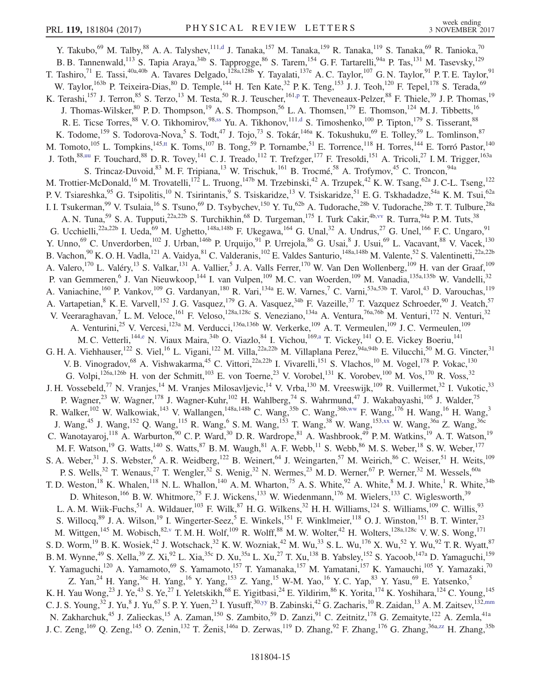<span id="page-15-7"></span><span id="page-15-6"></span><span id="page-15-5"></span><span id="page-15-4"></span><span id="page-15-3"></span><span id="page-15-2"></span><span id="page-15-1"></span><span id="page-15-0"></span>Y. Takubo,<sup>69</sup> M. Talby,<sup>88</sup> A. A. Talyshev,<sup>11[1,d](#page-20-3)</sup> J. Tanaka,<sup>157</sup> M. Tanaka,<sup>159</sup> R. Tanaka,<sup>119</sup> S. Tanaka,<sup>69</sup> R. Tanioka,<sup>70</sup> B. B. Tannenwald,<sup>113</sup> S. Tapia Araya,<sup>34b</sup> S. Tapprogge,<sup>86</sup> S. Tarem,<sup>154</sup> G. F. Tartarelli,<sup>94a</sup> P. Tas,<sup>131</sup> M. Tasevsky,<sup>129</sup> T. Tashiro,<sup>71</sup> E. Tassi,<sup>40a,40b</sup> A. Tavares Delgado,<sup>128a,128b</sup> Y. Tayalati,<sup>137e</sup> A. C. Taylor,<sup>107</sup> G. N. Taylor,<sup>91</sup> P. T. E. Taylor,<sup>91</sup> W. Taylor,<sup>163b</sup> P. Teixeira-Dias,<sup>80</sup> D. Temple,<sup>144</sup> H. Ten Kate,<sup>32</sup> P. K. Teng,<sup>153</sup> J. J. Teoh,<sup>120</sup> F. Tepel,<sup>178</sup> S. Terada,<sup>69</sup> K. Terashi,<sup>157</sup> J. Terron,<sup>85</sup> S. Terzo,<sup>13</sup> M. Testa,<sup>50</sup> R. J. Teuscher,<sup>161[,p](#page-20-15)</sup> T. Theveneaux-Pelzer,<sup>88</sup> F. Thiele,<sup>39</sup> J. P. Thomas,<sup>19</sup> J. Thomas-Wilsker,  $80$  P. D. Thompson,  $^{19}$  A. S. Thompson,  $^{56}$  L. A. Thomsen,  $^{179}$  E. Thomson,  $^{124}$  M. J. Tibbetts,  $^{16}$ R. E. Ticse Torres,<sup>88</sup> V. O. Tikhomirov,<sup>9[8,ss](#page-21-0)</sup> Yu. A. Tikhonov,<sup>11[1,d](#page-20-3)</sup> S. Timoshenko,<sup>100</sup> P. Tipton,<sup>179</sup> S. Tisserant,<sup>88</sup> K. Todome, <sup>159</sup> S. Todorova-Nova, <sup>5</sup> S. Todt, <sup>47</sup> J. Tojo, <sup>73</sup> S. Tokár, <sup>146a</sup> K. Tokushuku, <sup>69</sup> E. Tolley, <sup>59</sup> L. Tomlinson, <sup>87</sup> M. Tomoto,<sup>105</sup> L. Tompkins,<sup>145[,tt](#page-21-1)</sup> K. Toms,<sup>107</sup> B. Tong,<sup>59</sup> P. Tornambe,<sup>51</sup> E. Torrence,<sup>118</sup> H. Torres,<sup>144</sup> E. Torró Pastor,<sup>140</sup> J. Toth,<sup>88[,uu](#page-21-2)</sup> F. Touchard,<sup>88</sup> D. R. Tovey,<sup>141</sup> C. J. Treado,<sup>112</sup> T. Trefzger,<sup>177</sup> F. Tresoldi,<sup>151</sup> A. Tricoli,<sup>27</sup> I. M. Trigger,<sup>163a</sup> S. Trincaz-Duvoid,  $83$  M. F. Tripiana,  $13$  W. Trischuk,  $161$  B. Trocmé,  $58$  A. Trofymov,  $45$  C. Troncon,  $94a$ M. Trottier-McDonald,<sup>16</sup> M. Trovatelli,<sup>172</sup> L. Truong,<sup>147b</sup> M. Trzebinski,<sup>42</sup> A. Trzupek,<sup>42</sup> K. W. Tsang,<sup>62a</sup> J. C-L. Tseng,<sup>122</sup> P. V. Tsiareshka,<sup>95</sup> G. Tsipolitis,<sup>10</sup> N. Tsirintanis,<sup>9</sup> S. Tsiskaridze,<sup>13</sup> V. Tsiskaridze,<sup>51</sup> E. G. Tskhadadze,<sup>54a</sup> K. M. Tsui,<sup>62a</sup> I. I. Tsukerman,<sup>99</sup> V. Tsulaia,<sup>16</sup> S. Tsuno,<sup>69</sup> D. Tsybychev,<sup>150</sup> Y. Tu,<sup>62b</sup> A. Tudorache,<sup>28b</sup> V. Tudorache,<sup>28b</sup> T. T. Tulbure,<sup>28a</sup> A. N. Tuna,<sup>59</sup> S. A. Tupputi,<sup>22a,22b</sup> S. Turchikhin,<sup>68</sup> D. Turgeman,<sup>175</sup> I. Turk Cakir,<sup>4[b,vv](#page-21-3)</sup> R. Turra,<sup>94a</sup> P. M. Tuts,<sup>38</sup> G. Ucchielli,<sup>22a,22b</sup> I. Ueda,<sup>69</sup> M. Ughetto,<sup>148a,148b</sup> F. Ukegawa,<sup>164</sup> G. Unal,<sup>32</sup> A. Undrus,<sup>27</sup> G. Unel,<sup>166</sup> F. C. Ungaro,<sup>91</sup> Y. Unno,<sup>69</sup> C. Unverdorben,<sup>102</sup> J. Urban,<sup>146b</sup> P. Urquijo,<sup>91</sup> P. Urrejola,<sup>86</sup> G. Usai,<sup>8</sup> J. Usui,<sup>69</sup> L. Vacavant,<sup>88</sup> V. Vacek,<sup>130</sup> B. Vachon, <sup>90</sup> K. O. H. Vadla, <sup>121</sup> A. Vaidya, <sup>81</sup> C. Valderanis, <sup>102</sup> E. Valdes Santurio, <sup>148a, 148b</sup> M. Valente, <sup>52</sup> S. Valentinetti, <sup>22a, 22b</sup> A. Valero,<sup>170</sup> L. Valéry,<sup>13</sup> S. Valkar,<sup>131</sup> A. Vallier,<sup>5</sup> J. A. Valls Ferrer,<sup>170</sup> W. Van Den Wollenberg,<sup>109</sup> H. van der Graaf,<sup>109</sup> P. van Gemmeren,<sup>6</sup> J. Van Nieuwkoop,<sup>144</sup> I. van Vulpen,<sup>109</sup> M. C. van Woerden,<sup>109</sup> M. Vanadia,<sup>135a,135b</sup> W. Vandelli,<sup>32</sup> A. Vaniachine,<sup>160</sup> P. Vankov,<sup>109</sup> G. Vardanyan,<sup>180</sup> R. Vari,<sup>134a</sup> E.W. Varnes,<sup>7</sup> C. Varni,<sup>53a,53b</sup> T. Varol,<sup>43</sup> D. Varouchas,<sup>119</sup> A. Vartapetian, <sup>8</sup> K. E. Varvell, <sup>152</sup> J. G. Vasquez, <sup>179</sup> G. A. Vasquez, <sup>34b</sup> F. Vazeille, <sup>37</sup> T. Vazquez Schroeder, <sup>90</sup> J. Veatch, <sup>57</sup> V. Veeraraghavan,<sup>7</sup> L. M. Veloce,<sup>161</sup> F. Veloso,<sup>128a,128c</sup> S. Veneziano,<sup>134a</sup> A. Ventura,<sup>76a,76b</sup> M. Venturi,<sup>172</sup> N. Venturi,<sup>32</sup> A. Venturini,<sup>25</sup> V. Vercesi,<sup>123a</sup> M. Verducci,<sup>136a,136b</sup> W. Verkerke,<sup>109</sup> A. T. Vermeulen,<sup>109</sup> J. C. Vermeulen,<sup>109</sup> M. C. Vetterli, <sup>144[,e](#page-20-4)</sup> N. Viaux Maira, <sup>34b</sup> O. Viazlo, <sup>84</sup> I. Vichou, <sup>169[,a](#page-20-0)</sup> T. Vickey, <sup>141</sup> O. E. Vickey Boeriu, <sup>141</sup> G. H. A. Viehhauser,<sup>122</sup> S. Viel,<sup>16</sup> L. Vigani,<sup>122</sup> M. Villa,<sup>22a,22b</sup> M. Villaplana Perez,<sup>94a,94b</sup> E. Vilucchi,<sup>50</sup> M. G. Vincter,<sup>31</sup> V. B. Vinogradov,<sup>68</sup> A. Vishwakarma,<sup>45</sup> C. Vittori,<sup>22a,22b</sup> I. Vivarelli,<sup>151</sup> S. Vlachos,<sup>10</sup> M. Vogel,<sup>178</sup> P. Vokac,<sup>130</sup> G. Volpi,  $^{126a,126b}$  H. von der Schmitt,  $^{103}$  E. von Toerne,  $^{23}$  V. Vorobel,  $^{131}$  K. Vorobev,  $^{100}$  M. Vos,  $^{170}$  R. Voss,  $^{32}$ J. H. Vossebeld,<sup>77</sup> N. Vranjes,<sup>14</sup> M. Vranjes Milosavljevic,<sup>14</sup> V. Vrba,<sup>130</sup> M. Vreeswijk,<sup>109</sup> R. Vuillermet,<sup>32</sup> I. Vukotic,<sup>33</sup> P. Wagner,<sup>23</sup> W. Wagner,<sup>178</sup> J. Wagner-Kuhr,<sup>102</sup> H. Wahlberg,<sup>74</sup> S. Wahrmund,<sup>47</sup> J. Wakabayashi,<sup>105</sup> J. Walder,<sup>75</sup> R. Walker,<sup>102</sup> W. Walkowiak,<sup>143</sup> V. Wallangen,<sup>148a,148b</sup> C. Wang,<sup>35b</sup> C. Wang,<sup>36[b,ww](#page-21-4)</sup> F. Wang,<sup>176</sup> H. Wang,<sup>16</sup> H. Wang,<sup>3</sup> J. Wang,<sup>45</sup> J. Wang,<sup>152</sup> Q. Wang,<sup>115</sup> R. Wang,<sup>6</sup> S. M. Wang,<sup>153</sup> T. Wang,<sup>38</sup> W. Wang,<sup>15[3,xx](#page-21-5)</sup> W. Wang,<sup>36a</sup> Z. Wang,<sup>36c</sup> C. Wanotayaroj,<sup>118</sup> A. Warburton,<sup>90</sup> C. P. Ward,<sup>30</sup> D. R. Wardrope,<sup>81</sup> A. Washbrook,<sup>49</sup> P. M. Watkins,<sup>19</sup> A. T. Watson,<sup>19</sup> M. F. Watson,<sup>19</sup> G. Watts,<sup>140</sup> S. Watts,<sup>87</sup> B. M. Waugh,<sup>81</sup> A. F. Webb,<sup>11</sup> S. Webb,<sup>86</sup> M. S. Weber,<sup>18</sup> S. W. Weber,<sup>177</sup> S. A. Weber,<sup>31</sup> J. S. Webster,<sup>6</sup> A. R. Weidberg,<sup>122</sup> B. Weinert,<sup>64</sup> J. Weingarten,<sup>57</sup> M. Weirich,<sup>86</sup> C. Weiser,<sup>51</sup> H. Weits,<sup>109</sup> P. S. Wells,<sup>32</sup> T. Wenaus,<sup>27</sup> T. Wengler,<sup>32</sup> S. Wenig,<sup>32</sup> N. Wermes,<sup>23</sup> M. D. Werner,<sup>67</sup> P. Werner,<sup>32</sup> M. Wessels,<sup>60a</sup> T. D. Weston,<sup>18</sup> K. Whalen,<sup>118</sup> N. L. Whallon,<sup>140</sup> A. M. Wharton,<sup>75</sup> A. S. White,<sup>92</sup> A. White,<sup>8</sup> M. J. White,<sup>1</sup> R. White,<sup>34b</sup> D. Whiteson,<sup>166</sup> B. W. Whitmore,<sup>75</sup> F. J. Wickens,<sup>133</sup> W. Wiedenmann,<sup>176</sup> M. Wielers,<sup>133</sup> C. Wiglesworth,<sup>39</sup> L. A. M. Wiik-Fuchs,  $^{51}$  A. Wildauer,  $^{103}$  F. Wilk,  $^{87}$  H. G. Wilkens,  $^{32}$  H. H. Williams,  $^{124}$  S. Williams,  $^{109}$  C. Willis,  $^{93}$ S. Willocq,<sup>89</sup> J. A. Wilson,<sup>19</sup> I. Wingerter-Seez,<sup>5</sup> E. Winkels,<sup>151</sup> F. Winklmeier,<sup>118</sup> O. J. Winston,<sup>151</sup> B. T. Winter,<sup>23</sup> M. Wittgen,<sup>145</sup> M. Wobisch,<sup>8[2,v](#page-20-21)</sup> T. M. H. Wolf,<sup>109</sup> R. Wolff,<sup>88</sup> M. W. Wolter,<sup>42</sup> H. Wolters,<sup>128a,128c</sup> V. W. S. Wong,<sup>171</sup> S. D. Worm, <sup>19</sup> B. K. Wosiek, <sup>42</sup> J. Wotschack, <sup>32</sup> K. W. Wozniak, <sup>42</sup> M. Wu, <sup>33</sup> S. L. Wu, <sup>176</sup> X. Wu, <sup>52</sup> Y. Wu, <sup>92</sup> T. R. Wyatt, <sup>87</sup> B. M. Wynne,<sup>49</sup> S. Xella,<sup>39</sup> Z. Xi,<sup>92</sup> L. Xia,<sup>35c</sup> D. Xu,<sup>35a</sup> L. Xu,<sup>27</sup> T. Xu,<sup>138</sup> B. Yabsley,<sup>152</sup> S. Yacoob,<sup>147a</sup> D. Yamaguchi,<sup>159</sup> Y. Yamaguchi,<sup>120</sup> A. Yamamoto,<sup>69</sup> S. Yamamoto,<sup>157</sup> T. Yamanaka,<sup>157</sup> M. Yamatani,<sup>157</sup> K. Yamauchi,<sup>105</sup> Y. Yamazaki,<sup>70</sup> Z. Yan,<sup>24</sup> H. Yang,<sup>36c</sup> H. Yang,<sup>16</sup> Y. Yang,<sup>153</sup> Z. Yang,<sup>15</sup> W-M. Yao,<sup>16</sup> Y. C. Yap,<sup>83</sup> Y. Yasu,<sup>69</sup> E. Yatsenko,<sup>5</sup> K. H. Yau Wong,<sup>23</sup> J. Ye,<sup>43</sup> S. Ye,<sup>27</sup> I. Yeletskikh,<sup>68</sup> E. Yigitbasi,<sup>24</sup> E. Yildirim,<sup>86</sup> K. Yorita,<sup>174</sup> K. Yoshihara,<sup>124</sup> C. Young,<sup>145</sup> C. J. S. Young, <sup>32</sup> J. Yu, <sup>8</sup> J. Yu, <sup>67</sup> S. P. Y. Yuen, <sup>23</sup> I. Yusuff, <sup>3[0,yy](#page-21-6)</sup> B. Zabinski, <sup>42</sup> G. Zacharis, <sup>10</sup> R. Zaidan, <sup>13</sup> A. M. Zaitsev, <sup>13[2,mm](#page-20-38)</sup> N. Zakharchuk,<sup>45</sup> J. Zalieckas,<sup>15</sup> A. Zaman,<sup>150</sup> S. Zambito,<sup>59</sup> D. Zanzi,<sup>91</sup> C. Zeitnitz,<sup>178</sup> G. Zemaityte,<sup>122</sup> A. Zemla,<sup>41a</sup> J. C. Zeng,<sup>169</sup> Q. Zeng,<sup>145</sup> O. Zenin,<sup>132</sup> T. Ženiš,<sup>146a</sup> D. Zerwas,<sup>119</sup> D. Zhang,<sup>92</sup> F. Zhang,<sup>176</sup> G. Zhang,<sup>36a[,zz](#page-21-7)</sup> H. Zhang,<sup>35b</sup>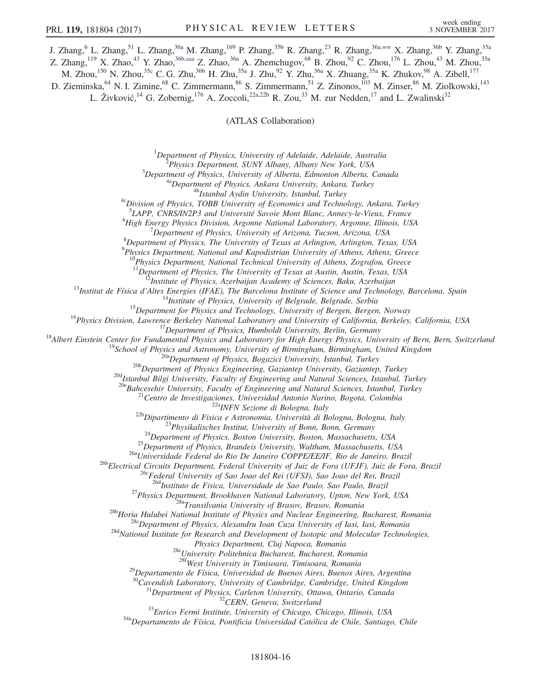<span id="page-16-0"></span>J. Zhang,<sup>6</sup> L. Zhang,<sup>51</sup> L. Zhang,<sup>36a</sup> M. Zhang,<sup>169</sup> P. Zhang,<sup>35b</sup> R. Zhang,<sup>23</sup> R. Zhang,<sup>36a[,ww](#page-21-4)</sup> X. Zhang,<sup>35b</sup> Y. Zhang,<sup>35a</sup> Z. Zhang,<sup>119</sup> X. Zhao,<sup>43</sup> Y. Zhao,<sup>36b[,aaa](#page-21-8)</sup> Z. Zhao,<sup>36a</sup> A. Zhemchugov,<sup>68</sup> B. Zhou,<sup>92</sup> C. Zhou,<sup>176</sup> L. Zhou,<sup>43</sup> M. Zhou,<sup>35a</sup> M. Zhou,<sup>150</sup> N. Zhou,<sup>35c</sup> C. G. Zhu,<sup>36b</sup> H. Zhu,<sup>35a</sup> J. Zhu,<sup>92</sup> Y. Zhu,<sup>36a</sup> X. Zhuang,<sup>35a</sup> K. Zhukov,<sup>98</sup> A. Zibell,<sup>177</sup> D. Zieminska, <sup>64</sup> N. I. Zimine, <sup>68</sup> C. Zimmermann, <sup>86</sup> S. Zimmermann, <sup>51</sup> Z. Zinonos, <sup>103</sup> M. Zinser, <sup>86</sup> M. Ziolkowski, <sup>143</sup>

L. Živković,<sup>14</sup> G. Zobernig,<sup>176</sup> A. Zoccoli,<sup>22a,22b</sup> R. Zou,<sup>33</sup> M. zur Nedden,<sup>17</sup> and L. Zwalinski<sup>32</sup>

(ATLAS Collaboration)

<sup>1</sup>Department of Physics, University of Adelaide, Adelaide, Australia<br><sup>2</sup>Physics Department, SUNY Albany, Albany New York, USA

<sup>2</sup>Physics Department, SUNY Albany, Albany New York, USA<br><sup>3</sup>Department of Physics, University of Alberta, Edmonton Alberta, Canada

<sup>4a</sup>Department of Physics, Ankara University, Ankara, Turkey<br><sup>4b</sup>Istanbul Aydin University, Istanbul, Turkey<br><sup>4c</sup>Division of Physics, TOBB University of Economics and Technology, Ankara, Turkey

<sup>5</sup>LAPP, CNRS/IN2P3 and Université Savoie Mont Blanc, Annecy-le-Vieux, France<br><sup>6</sup>High Engrey Physics Division, Argonna National Laboratory Argonna, Illinois, US

 ${}^{6}$ High Energy Physics Division, Argonne National Laboratory, Argonne, Illinois, USA

 $^7$ Department of Physics, University of Arizona, Tucson, Arizona, USA

 $8$ Department of Physics, The University of Texas at Arlington, Arlington, Texas, USA

 $^{9}$ Physics Department, National and Kapodistrian University of Athens, Athens, Greece

 $10^1$ Physics Department, National Technical University of Athens, Zografou, Greece<br> $11$ Department of Physics, The University of Texas at Austin, Austin, Texas, USA

<sup>11</sup>Department of Physics, The University of Texas at Austin, Austin, Texas, USA<br><sup>12</sup>Institute of Physics, Azerbaijan Academy of Sciences, Baku, Azerbaijan<br><sup>13</sup>Institut de Física d'Altes Energies (IFAE), The Barcelona Ins

<sup>200</sup>Istanbul Bilgi University, Faculty of Engineering and Natural Sciences, Istanbul, Turkey<br><sup>200</sup>Bahcesehir University, Faculty of Engineering and Natural Sciences, Istanbul, Turkey<br><sup>21</sup>Centro de Investigaciones, Univer

<sup>27</sup> Physics Department, Brookhaven National Laboratory, Upton, New York, USA<br><sup>28b</sup>Horia Hulubei National Institute of Physics and Nuclear Engineering, Bucharest, Romania<br><sup>28b</sup>Horia Hulubei National Institute of Physics a

Physics Department, Cluj Napoca, Romania<br><sup>28e</sup>University Politehnica Bucharest, Bucharest, Romania<br><sup>28f</sup>West University in Timisoara, Timisoara, Romania

<sup>29</sup>Departamento de Física, Universidad de Buenos Aires, Buenos Aires, Argentina <sup>30</sup>Cavendish Laboratory, University of Cambridge, Cambridge, United Kingdom

<sup>31</sup>Department of Physics, Carleton University, Ottawa, Ontario, Canada<br><sup>32</sup>CERN, Geneva, Switzerland<br><sup>33</sup>Enrico Fermi Institute, University of Chicago, Chicago, Illinois, USA<br><sup>34</sup>aDepartamento de Física, Pontificia Unive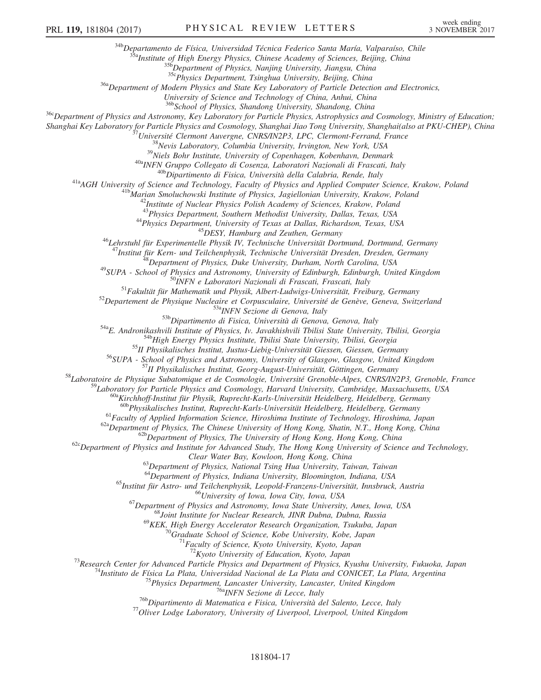<sup>34b</sup>Departamento de Física, Universidad Técnica Federico Santa María, Valparaíso, Chile<br><sup>35a</sup>Institute of High Energy Physics, Chinese Academy of Sciences, Beijing, China<br><sup>35b</sup>Department of Physics, Nanjing University, J

<sup>36a</sup>Department of Modern Physics and State Key Laboratory of Particle Detection and Electronics,

University of Science and Technology of China, Anhui, China<br><sup>36b</sup>School of Physics, Shandong University, Shandong, China

<sup>36c</sup>Department of Physics and Astronomy, Key Laboratory for Particle Physics, Astrophysics and Cosmology, Ministry of Education;<br>Shanghai Key Laboratory for Particle Physics and Cosmology, Shanghai Jiao Tong University,

<sup>37</sup>Université Clermont Auvergne, CNRS/IN2P3, LPC, Clermont-Ferrand, France<br><sup>38</sup>Nevis Laboratory, Columbia University, Irvington, New York, USA<br><sup>39</sup>Niels Bohr Institute, University of Copenhagen, Kobenhavn, Denmark<br><sup>40a</sup>I

<sup>44</sup>Physics Department, University of Texas at Dallas, Richardson, Texas, USA<br><sup>45</sup>DESY, Hamburg and Zeuthen, Germany<br><sup>46</sup>Lehrstuhl für Experimentelle Physik IV, Technische Universität Dortmund, Dortmund, Germany<br><sup>47</sup>Insti

<sup>47</sup>Institut für Kern- und Teilchenphysik, Technische Universität Dresden, Dresden, Germany<br><sup>48</sup> SUPA - School of Physics and Astronomy, University, Durham, North Carolina, USA<br><sup>49</sup> SUPA - School of Physics and Astronomy,

<sup>58</sup>Laboratoire de Physique Subatomique et de Cosmologie, Université Grenoble-Alpes, CNRS/IN2P3, Grenoble, France<br><sup>59</sup>Laboratory for Particle Physics and Cosmology, Harvard University, Cambridge, Massachusetts, USA<br><sup>60a</sup>K

<sup>61</sup>Faculty of Applied Information Science, Hiroshima Institute of Technology, Hiroshima, Japan<br><sup>62a</sup>Department of Physics, The Chinese University of Hong Kong, Shatin, N.T., Hong Kong, China<br><sup>62b</sup>Department of Physics an

Clear Water Bay, Kowloon, Hong Kong, China<br><sup>63</sup>Department of Physics, National Tsing Hua University, Taiwan, Taiwan<br><sup>64</sup>Department of Physics, Indiana University, Bloomington, Indiana, USA

<sup>65</sup>Institut für Astro- und Teilchenphysik, Leopold-Franzens-Universität, Innsbruck, Austria<br><sup>66</sup>University of Iowa, Iowa City, Iowa, USA<br><sup>67</sup>Department of Physics and Astronomy, Iowa State University, Ames, Iowa, USA<br><sup>68</sup>

<sup>69</sup>KEK, High Energy Accelerator Research Organization, Tsukuba, Japan <sup>70</sup>Graduate School of Science, Kobe University, Kobe, Japan <sup>71</sup>Faculty of Science, Kyoto University, Kyoto, Japan *72*Kyoto University of Education,

<sup>73</sup>Research Center for Advanced Particle Physics and Department of Physics, Kyushu University, Fukuoka, Japan<br><sup>74</sup>Instituto de Física La Plata, Universidad Nacional de La Plata and CONICET, La Plata, Argentina<br><sup>75</sup>Physic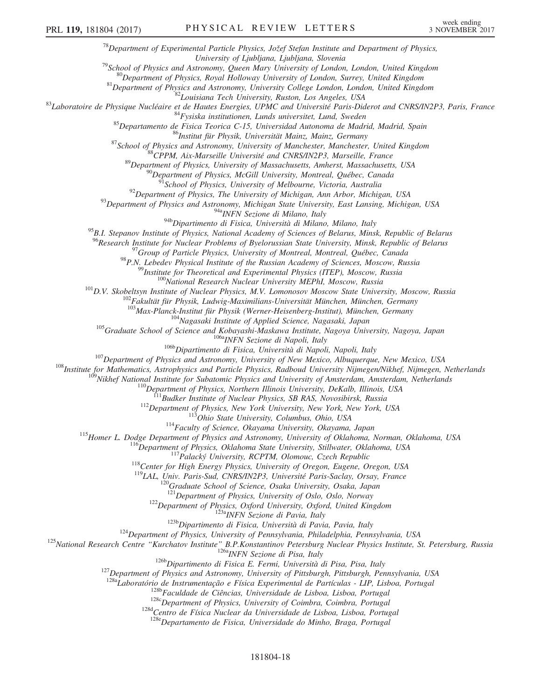<sup>78</sup>Department of Experimental Particle Physics, Jožef Stefan Institute and Department of Physics,<br>University of Ljubljana, Ljubljana, Slovenia University of Ljubljana, Ljubljana, Slovenia<br>
<sup>79</sup>School of Physics and Astronomy, Queen Mary University of London, London, United Kingdom<br>
<sup>80</sup>Department of Physics and Astronomy, University of London, Surrey, United King <sup>94a</sup> $NFN$  Sezione di Milano, Italy<br><sup>94b</sup>Dipartimento di Fisica, Università di Milano, Milano, Italy <sup>95</sup>B.I. Stepanov Institute of Physics, National Academy of Sciences of Belarus, Minsk, Republic of Belarus<br><sup>96</sup>Research Institute for Nuclear Problems of Byelorussian State University, Minsk, Republic of Belarus <sup>97</sup>Group of Particle Physics, University of Montreal, Montreal, Québec, Canada<br><sup>98</sup>P.N. Lebedev Physical Institute of the Russian Academy of Sciences, Moscow, Russia<br><sup>99</sup>Institute for Theoretical and Experimental Physics <sup>105</sup>Graduate School of Science and Nobayashi Institute of Applied Science, Nagasaki, Japan<br><sup>105</sup>Graduate School of Science and Nobayashi-Maskawa Institute, Nagoya, Japan<br><sup>106</sup>Sippartimento di Fisica, Università di Napoli, <sup>122</sup>Department of Physics, Oxford University, Oxford, United Kingdom<br><sup>123</sup>Department of Physics, Oxford Università di Pavia, Italy<br><sup>124</sup>Department of Physics, University of Pennsylvania, Philadelphia, Pennsylvania, USA<br><sup></sup>  $^{1286}$ Faculdade de Ciências, Universidade de Lisboa, Lisboa, Portugal<br> $^{128c}$ Department of Physics, University of Coimbra, Coimbra, Portugal<br> $^{128d}$ Centro de Física Nuclear da Universidade de Lisboa, Lisboa, Portugal

 $128e$ Departamento de Fisica, Universidade do Minho, Braga, Portugal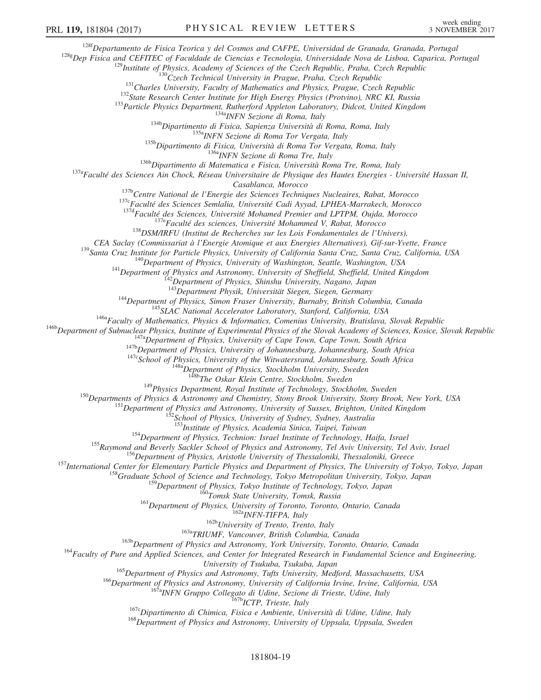<sup>128f</sup>Departamento de Fisica Teorica y del Cosmos and CAFPE, Universidad de Granada, Granada, Portugal<br><sup>128g</sup>Dep Fisica and CEFITEC of Faculdade de Ciencias e Tecnologia, Universidade Nova de Lisboa, Caparica, Portugal

<sup>129</sup>Institute of Physics, Academy of Sciences of the Czech Republic, Praha, Czech Republic<br><sup>130</sup>Czech Technical University in Prague, Praha, Czech Republic<br><sup>131</sup>Charles University, Faculty of Mathematics and Physics, Pra

Casablanca, Morocco<br>
<sup>137b</sup>Centre National de l'Energie des Sciences Techniques Nucleaires, Rabat, Morocco<br>
<sup>137d</sup>Faculté des Sciences, Université Mohamed Premier and LPTPM, Oujda, Morocco<br>
<sup>137d</sup>Faculté des Sciences, Uni

CEA Saclay (Commissariat à l'Energie Atomique et aux Energies Alternatives), Gif-sur-Yvette, France<br>
<sup>139</sup> Santa Cruz, Institute for Particle Physics, University of California Santa Cruz, Santa Cruz, California, USA<br>
<sup>140</sup>

<sup>144</sup>Department of Physics, Simon Fraser University, Burnaby, British Columbia, Canada<br><sup>145</sup>SLAC National Accelerator Laboratory, Stanford, California, USA<br><sup>146a</sup>Faculty of Mathematics, Physics & Informatics, Comenius Uni

<sup>149</sup>Physics Department, Royal Institute of Technology, Stockholm, Sweden<br><sup>150</sup>Departments of Physics & Astronomy and Chemistry, Stony Brook University, Stony Brook, New York, USA<br><sup>151</sup>Department of Physics and Astronomy,

<sup>154</sup>Department of Physics, Technion: Israel Institute of Technology, Haifa, Israel<br><sup>155</sup>Raymond and Beverly Sackler School of Physics and Astronomy, Tel Aviv University, Tel Aviv, Israel<br><sup>156</sup>Department of Physics, Arist

<sup>161</sup>Department of Physics, University of Toronto, Toronto, Ontario, Canada<br><sup>162h</sup> INFN-TIFPA, Italy<br><sup>162h</sup> University of Trento, Trento, Italy<br><sup>163h</sup> Department of Physics and Astronomy, York University, Toronto, Ontario

University of Tsukuba, Tsukuba, Japan<br>
<sup>165</sup>Department of Physics and Astronomy, Tufts University, Medford, Massachusetts, USA<br>
<sup>166</sup>Department of Physics and Astronomy, University of California Irvine, Irvine, California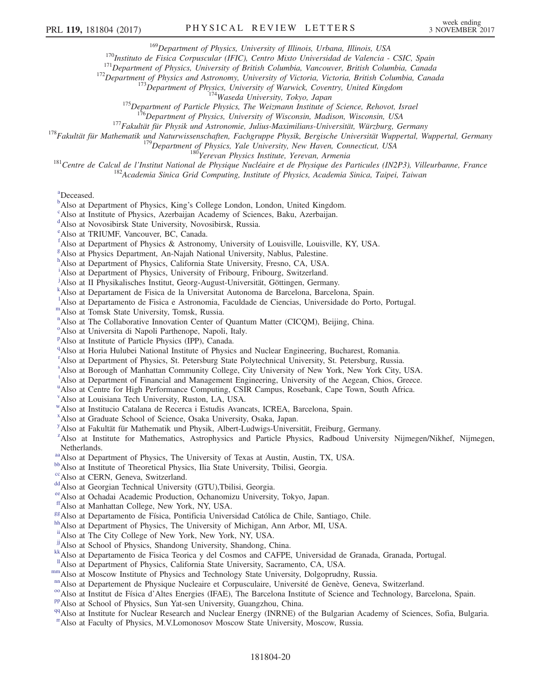<sup>170</sup>Instituto de Fisica Corpuscular (IFIC), Centro Mixto Universidad de Valencia - CSIC, Spain<br><sup>171</sup> Department of Physics, University of British Columbia, SUSA<br><sup>171</sup>Department of Physics, University of British Columbia,

<span id="page-20-0"></span>[a](#page-8-5) Deceased.

<span id="page-20-1"></span> $\mu^b$  $\mu^b$ Also at Department of Physi[c](#page-8-7)s, King's College London, London, United Kingdom.

<span id="page-20-2"></span>Also at Institute of Physics, Azerbaijan Academy of Sciences, Baku, Azerbaijan.

- <span id="page-20-3"></span>[d](#page-8-8) Also at Novosibirsk State University, Novosibirsk, Russia.
- <span id="page-20-4"></span>[e](#page-8-9) Also at TRIUMF, Vancouver, BC, Canada.
- <span id="page-20-5"></span>[f](#page-8-10) Also at Department of Physics & Astronomy, University of Louisville, Louisville, KY, USA.
- <span id="page-20-6"></span>[g](#page-8-11) Also at Physics Department, An-Najah National University, Nablus, Palestine.
- <span id="page-20-7"></span>[h](#page-8-11) Also at Department of Physics, California State University, Fresno, CA, USA.
- <span id="page-20-8"></span><sup>[i](#page-8-12)</sup>Also at Department of Physics, University of Fribourg, Fribourg, Switzerland.
- <span id="page-20-9"></span>[j](#page-8-13) Also at II Physikalisches Institut, Georg-August-Universität, Göttingen, Germany.
- <span id="page-20-10"></span>[k](#page-9-0)<br>Also at Departament de Fisica de la Universitat Autonoma de Barcelona, Barcelona, Spain.
- <span id="page-20-11"></span><sup>1</sup>A[l](#page-9-0)so at Departamento de Fisica e Astronomia, Faculdade de Ciencias, Universidade do Porto, Portugal.
- <span id="page-20-13"></span><span id="page-20-12"></span>[m](#page-9-1)Also at Tomsk State University, Tomsk, Russia.
- <sup>[n](#page-9-2)</sup>Also at The Collaborative Innovation Center of Quantum Matter (CICQM), Beijing, China.
- <span id="page-20-14"></span><sup>[o](#page-9-3)</sup>Also at Universita di Napoli Parthenope, Napoli, Italy.
- <span id="page-20-15"></span><su[p](#page-9-4)>p</sup>Also at Institute of Particle Physics (IPP), Canada.
- <span id="page-20-16"></span><sup>[q](#page-10-0)</sup>Also at Horia Hulubei National Institute of Physics and Nuclear Engineering, Bucharest, Romania.
- <span id="page-20-17"></span><sup>[r](#page-10-1)</sup> Also at Department of Physics, St. Petersburg State Polytechnical University, St. Petersburg, Russia.
- <span id="page-20-18"></span>[s](#page-10-2) Also at Borough of Manhattan Community College, City University of New York, New York City, USA.
- <span id="page-20-19"></span><sup>[t](#page-10-3)</sup>Also at Department of Financial and Management Engineering, University of the Aegean, Chios, Greece.
- <span id="page-20-20"></span><s[u](#page-10-4)p>u</sup>Also at Centre for High Performance Computing, CSIR Campus, Rosebank, Cape Town, South Africa.
- <span id="page-20-21"></span>[v](#page-10-5) Also at Louisiana Tech University, Ruston, LA, USA.
- <span id="page-20-22"></span>[w](#page-10-6)Also at Institucio Catalana de Recerca i Estudis Avancats, ICREA, Barcelona, Spain.
- <span id="page-20-23"></span>[x](#page-11-0) Also at Graduate School of Science, Osaka University, Osaka, Japan.
- <span id="page-20-24"></span>[y](#page-11-1) Also at Fakultät für Mathematik und Physik, Albert-Ludwigs-Universität, Freiburg, Germany.
- <span id="page-20-25"></span><sup>[z](#page-11-2)</sup>Also at Institute for Mathematics, Astrophysics and Particle Physics, Radboud University Nijmegen/Nikhef, Nijmegen, Netherlands.<br>aa Also at Department of Physics, The University of Texas at Austin, Austin, TX, USA.
- <span id="page-20-26"></span>
- <span id="page-20-27"></span>[bb](#page-11-4) Also at Institute of Theoretical Physics, Ilia State University, Tbilisi, Georgia. <sup>cc</sup> Also at CERN, Geneva, Switzerland.
- <span id="page-20-28"></span>
- <span id="page-20-29"></span>[dd](#page-11-5) Also at Georgian Technical University (GTU),Tbilisi, Georgia.
- <span id="page-20-30"></span>[ee](#page-11-6) Also at Ochadai Academic Production, Ochanomizu University, Tokyo, Japan. fralso at Manhattan College, New York, NY, USA.
- <span id="page-20-31"></span>
- <span id="page-20-33"></span><span id="page-20-32"></span>[ff](#page-11-7)Also at Manhattan College, New York, NY, USA. [gg](#page-12-0)Also at Departamento de Física, Pontificia Universidad Católica de Chile, Santiago, Chile. [hh](#page-12-1)Also at Department of Physics, The University of Michigan, Ann Arbor, MI, USA.
- 
- <span id="page-20-35"></span>
- <span id="page-20-34"></span><sup>[ii](#page-12-2)</sup>Also at The City College of New York, New York, NY, USA.<br><sup>ji</sup>Also at School of Physics, Shandong University, Shandong, China.
- <span id="page-20-36"></span><sup>[kk](#page-12-3)</sup>Also at Departamento de Fisica Teorica y del Cosmos and CAFPE, Universidad de Granada, Granada, Portugal. <sup>11</sup>Also at Department of Physics, California State University, Sacramento, CA, USA.
- <span id="page-20-37"></span>
- 
- <span id="page-20-40"></span>
- <span id="page-20-41"></span>
- <span id="page-20-42"></span>
- <span id="page-20-39"></span><span id="page-20-38"></span><sup>nm</sup>Also at Moscow Institute of Physics and Technology State University, Dolgoprudny, Russia.<br><sup>[nn](#page-13-2)</sup>Also at Departement de Physique Nucleaire et Corpusculaire, Université de Genève, Geneva, Switzerland.<br><sup>[oo](#page-14-0)</sup> Also at Institut
- <span id="page-20-43"></span>[rr](#page-14-3)Also at Faculty of Physics, M.V.Lomonosov Moscow State University, Moscow, Russia.